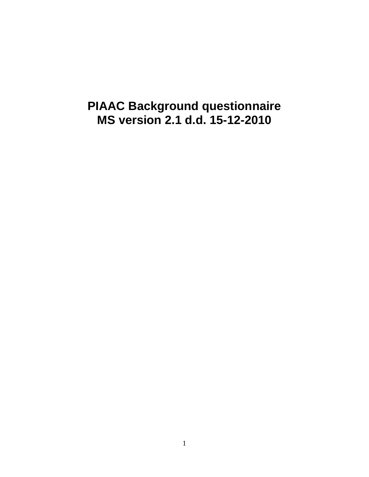## **PIAAC Background questionnaire MS version 2.1 d.d. 15-12-2010**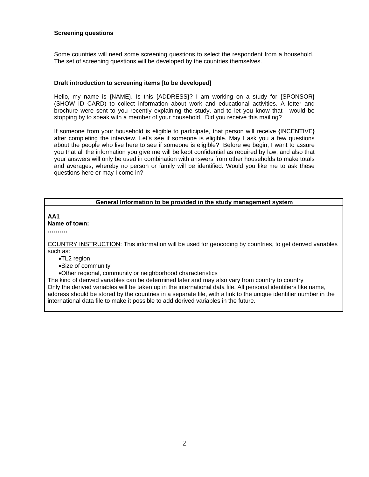### **Screening questions**

Some countries will need some screening questions to select the respondent from a household. The set of screening questions will be developed by the countries themselves.

### **Draft introduction to screening items [to be developed]**

Hello, my name is {NAME}. Is this {ADDRESS}? I am working on a study for {SPONSOR} (SHOW ID CARD) to collect information about work and educational activities. A letter and brochure were sent to you recently explaining the study, and to let you know that I would be stopping by to speak with a member of your household. Did you receive this mailing?

If someone from your household is eligible to participate, that person will receive {INCENTIVE} after completing the interview. Let's see if someone is eligible. May I ask you a few questions about the people who live here to see if someone is eligible? Before we begin, I want to assure you that all the information you give me will be kept confidential as required by law, and also that your answers will only be used in combination with answers from other households to make totals and averages, whereby no person or family will be identified. Would you like me to ask these questions here or may I come in?

### **General Information to be provided in the study management system**

**AA1** 

#### **Name of town:**

**……….** 

COUNTRY INSTRUCTION: This information will be used for geocoding by countries, to get derived variables such as:

- •TL2 region
- •Size of community
- •Other regional, community or neighborhood characteristics

The kind of derived variables can be determined later and may also vary from country to country Only the derived variables will be taken up in the international data file. All personal identifiers like name, address should be stored by the countries in a separate file, with a link to the unique identifier number in the international data file to make it possible to add derived variables in the future.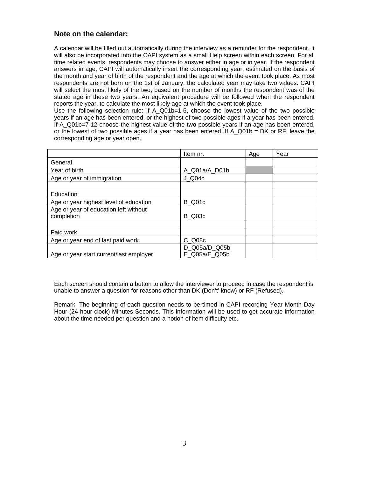### **Note on the calendar:**

A calendar will be filled out automatically during the interview as a reminder for the respondent. It will also be incorporated into the CAPI system as a small Help screen within each screen. For all time related events, respondents may choose to answer either in age or in year. If the respondent answers in age, CAPI will automatically insert the corresponding year, estimated on the basis of the month and year of birth of the respondent and the age at which the event took place. As most respondents are not born on the 1st of January, the calculated year may take two values. CAPI will select the most likely of the two, based on the number of months the respondent was of the stated age in these two years. An equivalent procedure will be followed when the respondent reports the year, to calculate the most likely age at which the event took place.

Use the following selection rule: If A\_Q01b=1-6, choose the lowest value of the two possible years if an age has been entered, or the highest of two possible ages if a year has been entered. If A\_Q01b=7-12 choose the highest value of the two possible years if an age has been entered, or the lowest of two possible ages if a year has been entered. If  $A_Q01b = DK$  or RF, leave the corresponding age or year open.

|                                                     | Item nr.                       | Age | Year |
|-----------------------------------------------------|--------------------------------|-----|------|
| General                                             |                                |     |      |
| Year of birth                                       | A Q01a/A D01b                  |     |      |
| Age or year of immigration                          | J Q04c                         |     |      |
|                                                     |                                |     |      |
| Education                                           |                                |     |      |
| Age or year highest level of education              | B Q01c                         |     |      |
| Age or year of education left without<br>completion | <b>B</b> Q03c                  |     |      |
|                                                     |                                |     |      |
| Paid work                                           |                                |     |      |
| Age or year end of last paid work                   | C Q08c                         |     |      |
| Age or year start current/last employer             | D_Q05a/D_Q05b<br>E Q05a/E Q05b |     |      |

Each screen should contain a button to allow the interviewer to proceed in case the respondent is unable to answer a question for reasons other than DK (Don't' know) or RF (Refused).

Remark: The beginning of each question needs to be timed in CAPI recording Year Month Day Hour (24 hour clock) Minutes Seconds. This information will be used to get accurate information about the time needed per question and a notion of item difficulty etc.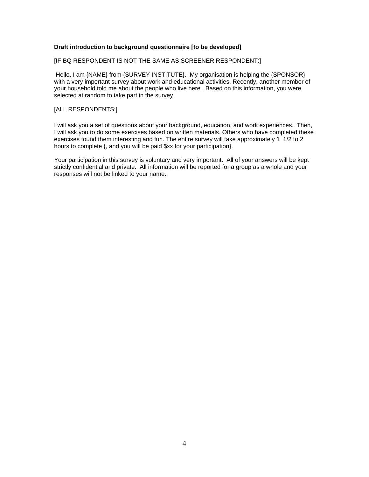### **Draft introduction to background questionnaire [to be developed]**

[IF BQ RESPONDENT IS NOT THE SAME AS SCREENER RESPONDENT:]

 Hello, I am {NAME} from {SURVEY INSTITUTE}. My organisation is helping the {SPONSOR} with a very important survey about work and educational activities. Recently, another member of your household told me about the people who live here. Based on this information, you were selected at random to take part in the survey.

### [ALL RESPONDENTS:]

I will ask you a set of questions about your background, education, and work experiences. Then, I will ask you to do some exercises based on written materials. Others who have completed these exercises found them interesting and fun. The entire survey will take approximately 1 1/2 to 2 hours to complete {, and you will be paid \$xx for your participation}.

Your participation in this survey is voluntary and very important. All of your answers will be kept strictly confidential and private. All information will be reported for a group as a whole and your responses will not be linked to your name.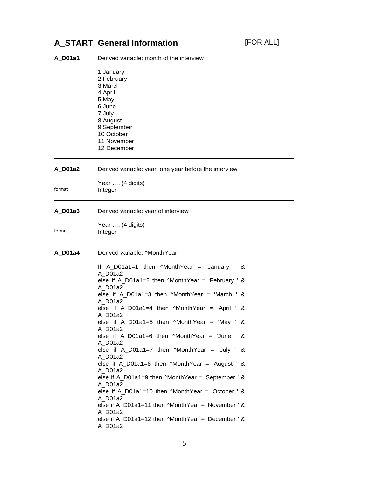## **A\_START General Information** [FOR ALL]

| <b>A_D01a1</b> | Derived variable: month of the interview                                                                                                                                        |
|----------------|---------------------------------------------------------------------------------------------------------------------------------------------------------------------------------|
|                | 1 January<br>2 February<br>3 March<br>4 April<br>5 May<br>6 June<br>7 July<br>8 August<br>9 September<br>10 October<br>11 November<br>12 December                               |
| A D01a2        | Derived variable: year, one year before the interview                                                                                                                           |
| format         | Year  (4 digits)<br>Integer                                                                                                                                                     |
| A D01a3        | Derived variable: year of interview                                                                                                                                             |
| format         | Year  (4 digits)<br>Integer                                                                                                                                                     |
| A_D01a4        | Derived variable: ^MonthYear                                                                                                                                                    |
|                | If $A_D01a1=1$ then $MonthYear = 'January ' &$<br>A D01a2<br>else if A_D01a1=2 then $M$ onthYear = 'February ' &<br>A D01a2<br>else if $A_D01a1=3$ then $MonthYear = 'March'$ & |
|                | A D01a2<br>else if $A_D01a1=4$ then $MontNear = 'April'$ &                                                                                                                      |
|                | A_D01a2<br>else if $A_D01a1=5$ then $MonthYear = 'May' &$<br>A_D01a2                                                                                                            |
|                | else if A_D01a1=6 then $M$ onthYear = 'June ' &<br>A_D01a2                                                                                                                      |
|                | else if $A_D01a1=7$ then $MonthYear = 'July ' &$<br>A D01a2                                                                                                                     |
|                | else if $A_D01a1=8$ then $MonthYear = 'August'$ &<br>A D01a2<br>else if $A_D01a1=9$ then $MonthYear = 'September'$ &                                                            |
|                | A_D01a2<br>else if A_D01a1=10 then $M$ onthYear = 'October ' &                                                                                                                  |
|                | A D01a2<br>else if A_D01a1=11 then $M$ onthYear = 'November' &<br>A D01a2                                                                                                       |
|                | else if A $D01a1=12$ then $MonthYear = 'December'$ &<br>A D01a2                                                                                                                 |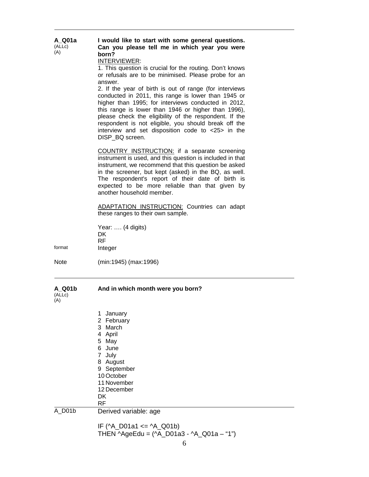| A_Q01a<br>(ALLc)<br>(A) | I would like to start with some general questions.<br>Can you please tell me in which year you were<br>born?<br>INTERVIEWER:<br>1. This question is crucial for the routing. Don't knows<br>or refusals are to be minimised. Please probe for an<br>answer.<br>2. If the year of birth is out of range (for interviews<br>conducted in 2011, this range is lower than 1945 or<br>higher than 1995; for interviews conducted in 2012,<br>this range is lower than 1946 or higher than 1996),<br>please check the eligibility of the respondent. If the<br>respondent is not eligible, you should break off the<br>interview and set disposition code to <25> in the<br>DISP BQ screen. |
|-------------------------|---------------------------------------------------------------------------------------------------------------------------------------------------------------------------------------------------------------------------------------------------------------------------------------------------------------------------------------------------------------------------------------------------------------------------------------------------------------------------------------------------------------------------------------------------------------------------------------------------------------------------------------------------------------------------------------|
|                         | COUNTRY INSTRUCTION: if a separate screening<br>instrument is used, and this question is included in that<br>instrument, we recommend that this question be asked<br>in the screener, but kept (asked) in the BQ, as well.<br>The respondent's report of their date of birth is<br>expected to be more reliable than that given by<br>another household member.<br>ADAPTATION INSTRUCTION: Countries can adapt                                                                                                                                                                                                                                                                        |
|                         | these ranges to their own sample.                                                                                                                                                                                                                                                                                                                                                                                                                                                                                                                                                                                                                                                     |
| format                  | Year:  (4 digits)<br>DK.<br><b>RF</b><br>Integer                                                                                                                                                                                                                                                                                                                                                                                                                                                                                                                                                                                                                                      |
|                         |                                                                                                                                                                                                                                                                                                                                                                                                                                                                                                                                                                                                                                                                                       |
| Note                    | (min:1945) (max:1996)                                                                                                                                                                                                                                                                                                                                                                                                                                                                                                                                                                                                                                                                 |
| A Q01b<br>(ALLc)<br>(A) | And in which month were you born?                                                                                                                                                                                                                                                                                                                                                                                                                                                                                                                                                                                                                                                     |
|                         | January<br>1<br>2 February<br>3 March<br>4 April<br>5 May<br>6 June<br>7 July<br>8 August<br>9 September<br>10 October<br>11 November<br>12 December<br>DK<br><b>RF</b>                                                                                                                                                                                                                                                                                                                                                                                                                                                                                                               |
| A_D01b                  | Derived variable: age                                                                                                                                                                                                                                                                                                                                                                                                                                                                                                                                                                                                                                                                 |
|                         | IF ( $^{\wedge}$ A_D01a1 <= $^{\wedge}$ A_Q01b)<br>THEN ^AgeEdu = (^A_D01a3 - ^A_Q01a - "1")                                                                                                                                                                                                                                                                                                                                                                                                                                                                                                                                                                                          |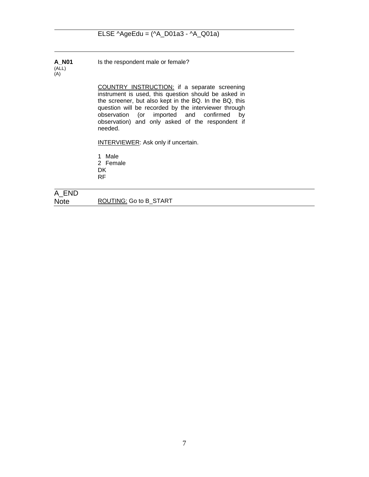**A\_N01**  (ALL) (A)

Is the respondent male or female?

COUNTRY INSTRUCTION: if a separate screening instrument is used, this question should be asked in the screener, but also kept in the BQ. In the BQ, this question will be recorded by the interviewer through observation (or imported and confirmed by observation) and only asked of the respondent if needed.

INTERVIEWER: Ask only if uncertain.

1 Male 2 Female

**DK** 

RF

A\_END Note ROUTING: Go to B\_START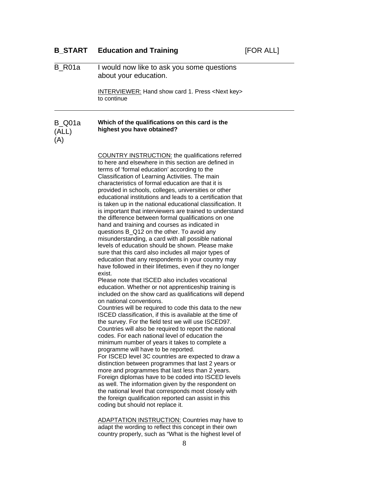|        | <b>B_START</b> Education and Training                                     | [FOR ALL] |
|--------|---------------------------------------------------------------------------|-----------|
| B_R01a | I would now like to ask you some questions<br>about your education.       |           |
|        | INTERVIEWER: Hand show card 1. Press <next key=""><br/>to continue</next> |           |
|        |                                                                           |           |

#### B\_Q01a (ALL) **Which of the qualifications on this card is the highest you have obtained?**

(A)

 COUNTRY INSTRUCTION: the qualifications referred to here and elsewhere in this section are defined in terms of 'formal education' according to the Classification of Learning Activities. The main characteristics of formal education are that it is provided in schools, colleges, universities or other educational institutions and leads to a certification that is taken up in the national educational classification. It is important that interviewers are trained to understand the difference between formal qualifications on one hand and training and courses as indicated in questions B\_Q12 on the other. To avoid any misunderstanding, a card with all possible national levels of education should be shown. Please make sure that this card also includes all major types of education that any respondents in your country may have followed in their lifetimes, even if they no longer exist.

Please note that ISCED also includes vocational education. Whether or not apprenticeship training is included on the show card as qualifications will depend on national conventions.

Countries will be required to code this data to the new ISCED classification, if this is available at the time of the survey. For the field test we will use ISCED97. Countries will also be required to report the national codes. For each national level of education the minimum number of years it takes to complete a programme will have to be reported. For ISCED level 3C countries are expected to draw a distinction between programmes that last 2 years or more and programmes that last less than 2 years. Foreign diplomas have to be coded into ISCED levels

as well. The information given by the respondent on the national level that corresponds most closely with the foreign qualification reported can assist in this coding but should not replace it.

ADAPTATION INSTRUCTION: Countries may have to adapt the wording to reflect this concept in their own country properly, such as "What is the highest level of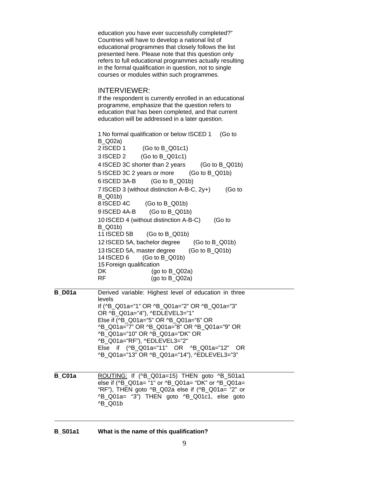education you have ever successfully completed?" Countries will have to develop a national list of educational programmes that closely follows the list presented here. Please note that this question only refers to full educational programmes actually resulting in the formal qualification in question, not to single courses or modules within such programmes.

#### INTERVIEWER:

If the respondent is currently enrolled in an educational programme, emphasize that the question refers to education that has been completed, and that current education will be addressed in a later question.

 1 No formal qualification or below ISCED 1 (Go to B\_Q02a) 2 ISCED 1 (Go to B\_Q01c1)<br>3 ISCED 2 (Go to B\_Q01c1)<br>4 ISCED 3C shorter than 2 years (Go to B\_Q01b)<br>5 ISCED 3C 2 years or more (Go to B\_Q01b)<br>6 ISCED 3A-B (Go to B\_Q01b)<br>7 ISCED 3 (without distinction A-B-C, 2y+) (Go to B\_Q01b) 8 ISCED 4C (Go to B\_Q01b)<br>9 ISCED 4A-B (Go to B\_Q01b)<br>10 ISCED 4 (without distinction A-B-C) (Go to B\_Q01b) 11 ISCED 5B (Go to B\_Q01b)<br>12 ISCED 5A, bachelor degree (Go to B\_Q01b)<br>13 ISCED 5A, master degree (Go to B\_Q01b) 14 ISCED 6 (Go to B\_Q01b) 15 Foreign qualification DK (go to B\_Q02a) RF (go to B\_Q02a)

**B** D01a Derived variable: Highest level of education in three levels If (^B\_Q01a="1" OR ^B\_Q01a="2" OR ^B\_Q01a="3" OR ^B\_Q01a="4"), ^EDLEVEL3="1" Else if (^B\_Q01a="5" OR ^B\_Q01a="6" OR ^B\_Q01a="7" OR ^B\_Q01a="8" OR ^B\_Q01a="9" OR ^B\_Q01a="10" OR ^B\_Q01a="DK" OR ^B\_Q01a="RF"), ^EDLEVEL3="2" Else if (^B\_Q01a="11" OR ^B\_Q01a="12" OR ^B\_Q01a="13" OR ^B\_Q01a="14"), ^EDLEVEL3="3"

**B\_C01a** ROUTING: If (^B\_Q01a=15) THEN goto ^B\_S01a1  else if ( $^{\circ}$ B Q01a= "1" or  $^{\circ}$ B Q01a= "DK" or  $^{\circ}$ B Q01a= "RF"), THEN goto ^B\_Q02a else if (^B\_Q01a= "2" or ^B\_Q01a= "3") THEN goto ^B\_Q01c1, else goto ^B\_Q01b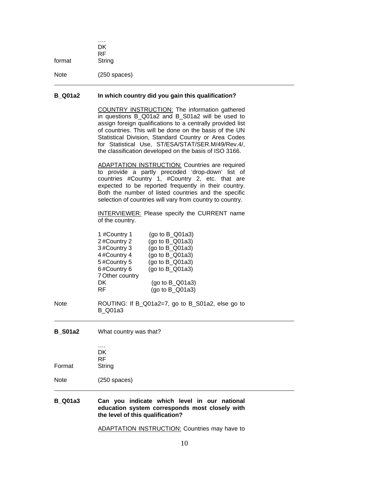| format | $\cdots$<br>DK<br><b>RF</b><br>String |  |
|--------|---------------------------------------|--|
| Note   | $(250$ spaces)                        |  |

### **B\_Q01a2 In which country did you gain this qualification?**

COUNTRY INSTRUCTION: The information gathered in questions B\_Q01a2 and B\_S01a2 will be used to assign foreign qualifications to a centrally provided list of countries. This will be done on the basis of the UN Statistical Division, Standard Country or Area Codes for Statistical Use, ST/ESA/STAT/SER.M/49/Rev.4/, the classification developed on the basis of ISO 3166.

ADAPTATION INSTRUCTION: Countries are required  to provide a partly precoded 'drop-down' list of countries #Country 1, #Country 2, etc. that are expected to be reported frequently in their country. Both the number of listed countries and the specific selection of countries will vary from country to country.

INTERVIEWER: Please specify the CURRENT name  of the country.

| 1 #Country 1    | (go to $B_Q$ Q01a3) |
|-----------------|---------------------|
| 2#Country 2     | (go to B_Q01a3)     |
| 3#Country 3     | (go to B_Q01a3)     |
| 4#Country 4     | (go to B_Q01a3)     |
| 5#Country 5     | (go to B_Q01a3)     |
| 6#Country 6     | (go to B_Q01a3)     |
| 7 Other country |                     |
| DK              | (go to B_Q01a3)     |
| RF              | (go to B_Q01a3)     |
|                 |                     |

Note **ROUTING:** If B\_Q01a2=7, go to B\_S01a2, else go to B\_Q01a3

**B\_S01a2** What country was that?

|        | DK     |
|--------|--------|
|        | RF     |
| Format | String |

Note (250 spaces)

**B\_Q01a3 Can you indicate which level in our national**  **education system corresponds most closely with the level of this qualification?** 

ADAPTATION INSTRUCTION: Countries may have to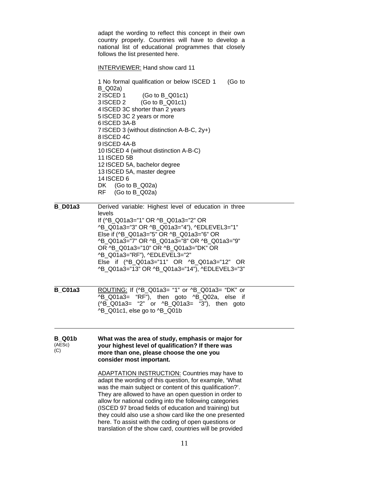adapt the wording to reflect this concept in their own country properly. Countries will have to develop a national list of educational programmes that closely follows the list presented here. INTERVIEWER: Hand show card 11

 No formal qualification or below ISCED 1 (Go to B\_Q02a) ISCED 1 (Go to B\_Q01c1) ISCED 2 (Go to B\_Q01c1) ISCED 3C shorter than 2 years ISCED 3C 2 years or more ISCED 3A-B ISCED 3 (without distinction A-B-C, 2y+) ISCED 4C ISCED 4A-B ISCED 4 (without distinction A-B-C) ISCED 5B ISCED 5A, bachelor degree ISCED 5A, master degree 14 ISCED 6 DK (Go to B\_Q02a) RF (Go to B\_Q02a)

**B** D01a3 Derived variable: Highest level of education in three levels If (^B\_Q01a3="1" OR ^B\_Q01a3="2" OR ^B\_Q01a3="3" OR ^B\_Q01a3="4"), ^EDLEVEL3="1" Else if (^B\_Q01a3="5" OR ^B\_Q01a3="6" OR ^B\_Q01a3="7" OR ^B\_Q01a3="8" OR ^B\_Q01a3="9" OR ^B\_Q01a3="10" OR ^B\_Q01a3="DK" OR ^B\_Q01a3="RF"), ^EDLEVEL3="2" Else if (^B\_Q01a3="11" OR ^B\_Q01a3="12" OR ^B\_Q01a3="13" OR ^B\_Q01a3="14"), ^EDLEVEL3="3"

**B\_C01a3** ROUTING: If (^B\_Q01a3= "1" or ^B\_Q01a3= "DK" or  ^B\_Q01a3= "RF"), then goto ^B\_Q02a, else if (^B\_Q01a3= "2" or ^B\_Q01a3= "3"), then goto ^B\_Q01c1, else go to ^B\_Q01b

| B Q01b | What was the area of study, emphasis or major for |
|--------|---------------------------------------------------|
| (AESc) | your highest level of qualification? If there was |
| (C)    | more than one, please choose the one you          |
|        | consider most important.                          |

 ADAPTATION INSTRUCTION: Countries may have to adapt the wording of this question, for example, 'What was the main subject or content of this qualification?'. They are allowed to have an open question in order to allow for national coding into the following categories (ISCED 97 broad fields of education and training) but they could also use a show card like the one presented here. To assist with the coding of open questions or translation of the show card, countries will be provided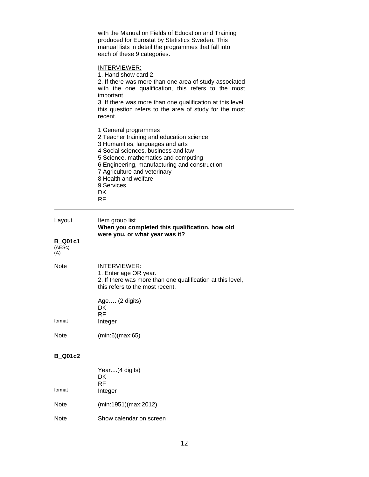|                                           | with the Manual on Fields of Education and Training<br>produced for Eurostat by Statistics Sweden. This<br>manual lists in detail the programmes that fall into<br>each of these 9 categories.                                                                                                                                 |
|-------------------------------------------|--------------------------------------------------------------------------------------------------------------------------------------------------------------------------------------------------------------------------------------------------------------------------------------------------------------------------------|
|                                           | INTERVIEWER:<br>1. Hand show card 2.<br>2. If there was more than one area of study associated<br>with the one qualification, this refers to the most<br>important.<br>3. If there was more than one qualification at this level,<br>this question refers to the area of study for the most<br>recent.                         |
|                                           | 1 General programmes<br>2 Teacher training and education science<br>3 Humanities, languages and arts<br>4 Social sciences, business and law<br>5 Science, mathematics and computing<br>6 Engineering, manufacturing and construction<br>7 Agriculture and veterinary<br>8 Health and welfare<br>9 Services<br>DK.<br><b>RF</b> |
| Layout<br><b>B</b> Q01c1<br>(AESc)<br>(A) | Item group list<br>When you completed this qualification, how old<br>were you, or what year was it?                                                                                                                                                                                                                            |
| <b>Note</b>                               | <u>INTERVIEWER:</u><br>1. Enter age OR year.<br>2. If there was more than one qualification at this level,<br>this refers to the most recent.                                                                                                                                                                                  |
|                                           | Age (2 digits)<br>DK.<br><b>RF</b>                                                                                                                                                                                                                                                                                             |
| format                                    | Integer                                                                                                                                                                                                                                                                                                                        |
| Note                                      | (min:6)(max:65)                                                                                                                                                                                                                                                                                                                |
| <b>B_Q01c2</b>                            |                                                                                                                                                                                                                                                                                                                                |
| format                                    | Year (4 digits)<br>DK<br><b>RF</b><br>Integer                                                                                                                                                                                                                                                                                  |
| Note                                      | (min:1951)(max:2012)                                                                                                                                                                                                                                                                                                           |
| Note                                      | Show calendar on screen                                                                                                                                                                                                                                                                                                        |

 $\overline{a}$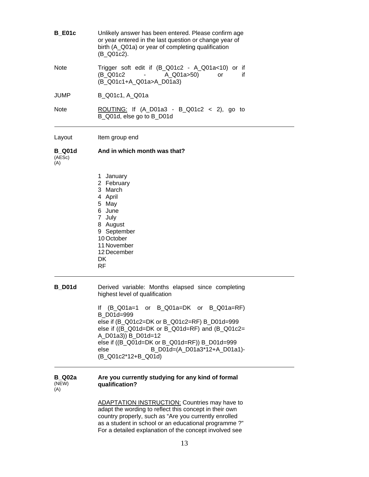| <b>B</b> E01c                  | Unlikely answer has been entered. Please confirm age<br>or year entered in the last question or change year of<br>birth (A_Q01a) or year of completing qualification<br>(B_Q01c2).                                                                                                                                                                                                           |
|--------------------------------|----------------------------------------------------------------------------------------------------------------------------------------------------------------------------------------------------------------------------------------------------------------------------------------------------------------------------------------------------------------------------------------------|
| <b>Note</b>                    | Trigger soft edit if (B_Q01c2 - A_Q01a<10) or if<br>(B Q01c2<br>A_Q01a>50)<br>if<br>or<br>(B_Q01c1+A_Q01a>A_D01a3)                                                                                                                                                                                                                                                                           |
| JUMP                           | B_Q01c1, A_Q01a                                                                                                                                                                                                                                                                                                                                                                              |
| <b>Note</b>                    | <u>ROUTING:</u> If $(A_1D01a3 - B_2Q01c2 < 2)$ , go to<br>B_Q01d, else go to B_D01d                                                                                                                                                                                                                                                                                                          |
| Layout                         | Item group end                                                                                                                                                                                                                                                                                                                                                                               |
| <b>B</b> Q01d<br>(AESc)<br>(A) | And in which month was that?                                                                                                                                                                                                                                                                                                                                                                 |
|                                | 1 January<br>2 February<br>3 March<br>4 April<br>5 May<br>6 June<br>7 July<br>8 August<br>9 September<br>10 October<br>11 November<br>12 December<br>DK.<br>RF                                                                                                                                                                                                                               |
| <b>B</b> D01d                  | Derived variable: Months elapsed since completing<br>highest level of qualification<br>If $(B_001a=1$ or $B_001a=DK$ or $B_001a=RF$<br>B D01d=999<br>else if (B_Q01c2=DK or B_Q01c2=RF) B_D01d=999<br>else if ((B_Q01d=DK or B_Q01d=RF) and (B_Q01c2=<br>A_D01a3)) B_D01d=12<br>else if ((B_Q01d=DK or B_Q01d=RF)) B_D01d=999<br>B_D01d=(A_D01a3*12+A_D01a1)-<br>else<br>(B Q01c2*12+B Q01d) |
| <b>B</b> Q02a<br>(NEW)<br>(A)  | Are you currently studying for any kind of formal<br>qualification?                                                                                                                                                                                                                                                                                                                          |
|                                | <b>ADAPTATION INSTRUCTION:</b> Countries may have to<br>adapt the wording to reflect this concept in their own<br>country properly, such as "Are you currently enrolled<br>as a student in school or an educational programme ?"<br>For a detailed explanation of the concept involved see                                                                                                   |

 $\overline{\phantom{a}}$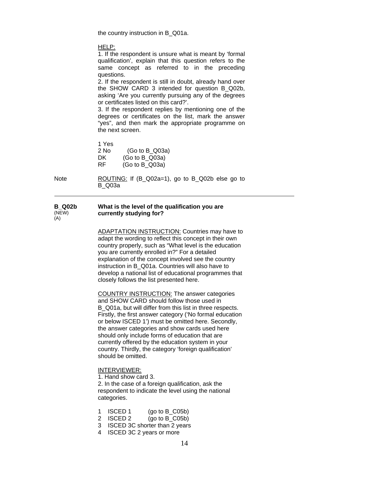the country instruction in B\_Q01a.

HELP:

1. If the respondent is unsure what is meant by 'formal qualification', explain that this question refers to the same concept as referred to in the preceding questions.

2. If the respondent is still in doubt, already hand over the SHOW CARD 3 intended for question B\_Q02b, asking 'Are you currently pursuing any of the degrees or certificates listed on this card?'.

3. If the respondent replies by mentioning one of the degrees or certificates on the list, mark the answer "yes", and then mark the appropriate programme on the next screen.

 1 Yes 2 No (Go to B\_Q03a) DK (Go to B Q03a) RF (Go to B\_Q03a)

Note **ROUTING:** If (B\_Q02a=1), go to B\_Q02b else go to B\_Q03a

#### **B\_Q02b**  (NEW)  $(A)$ **What is the level of the qualification you are currently studying for?**

ADAPTATION INSTRUCTION: Countries may have to adapt the wording to reflect this concept in their own country properly, such as "What level is the education you are currently enrolled in?" For a detailed explanation of the concept involved see the country instruction in B\_Q01a. Countries will also have to develop a national list of educational programmes that closely follows the list presented here.

 COUNTRY INSTRUCTION: The answer categories and SHOW CARD should follow those used in B Q01a, but will differ from this list in three respects. Firstly, the first answer category ('No formal education or below ISCED 1') must be omitted here. Secondly, the answer categories and show cards used here should only include forms of education that are currently offered by the education system in your country. Thirdly, the category 'foreign qualification' should be omitted.

#### INTERVIEWER:

1. Hand show card 3.

2. In the case of a foreign qualification, ask the respondent to indicate the level using the national categories.

- 1 ISCED 1 (go to B\_C05b)
- 2 ISCED 2 (go to B\_C05b)
- 3 ISCED 3C shorter than 2 years
- 4 ISCED 3C 2 years or more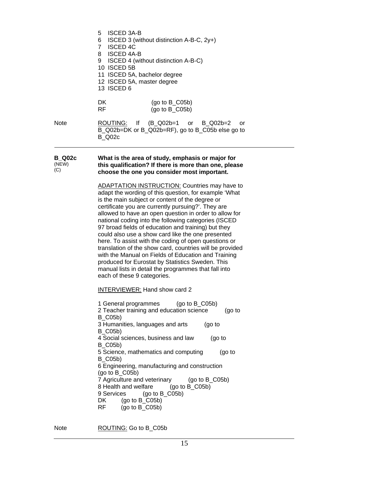|                               | <b>ISCED 3A-B</b><br>5<br>6<br>ISCED 3 (without distinction A-B-C, 2y+)<br>7 ISCED 4C<br>8 ISCED 4A-B<br>9 ISCED 4 (without distinction A-B-C)<br>10 ISCED 5B<br>11 ISCED 5A, bachelor degree<br>12 ISCED 5A, master degree<br>13 ISCED 6                                                                                                                                                                                                                                                                                                                                                                                                                                                                                                                                  |
|-------------------------------|----------------------------------------------------------------------------------------------------------------------------------------------------------------------------------------------------------------------------------------------------------------------------------------------------------------------------------------------------------------------------------------------------------------------------------------------------------------------------------------------------------------------------------------------------------------------------------------------------------------------------------------------------------------------------------------------------------------------------------------------------------------------------|
|                               | DK<br>(go to $B_C(05b)$ )<br>RF.<br>(go to $B_C(05b)$                                                                                                                                                                                                                                                                                                                                                                                                                                                                                                                                                                                                                                                                                                                      |
| <b>Note</b>                   | ROUTING:<br>(B_Q02b=1<br>$\mathbf{H}$<br>$B_$ Q02b=2<br>$\mathsf{or}$<br>or<br>B_Q02b=DK or B_Q02b=RF), go to B_C05b else go to<br><b>B_Q02c</b>                                                                                                                                                                                                                                                                                                                                                                                                                                                                                                                                                                                                                           |
| <b>B_Q02c</b><br>(NEW)<br>(C) | What is the area of study, emphasis or major for<br>this qualification? If there is more than one, please<br>choose the one you consider most important.                                                                                                                                                                                                                                                                                                                                                                                                                                                                                                                                                                                                                   |
|                               | <b>ADAPTATION INSTRUCTION: Countries may have to</b><br>adapt the wording of this question, for example 'What<br>is the main subject or content of the degree or<br>certificate you are currently pursuing?'. They are<br>allowed to have an open question in order to allow for<br>national coding into the following categories (ISCED<br>97 broad fields of education and training) but they<br>could also use a show card like the one presented<br>here. To assist with the coding of open questions or<br>translation of the show card, countries will be provided<br>with the Manual on Fields of Education and Training<br>produced for Eurostat by Statistics Sweden. This<br>manual lists in detail the programmes that fall into<br>each of these 9 categories. |
|                               | <b>INTERVIEWER:</b> Hand show card 2<br>1 General programmes<br>$(go to B_C05b)$<br>2 Teacher training and education science<br>(g <sub>o</sub> to<br><b>B_C05b)</b><br>3 Humanities, languages and arts<br>(90 to<br><b>B_C05b)</b><br>4 Social sciences, business and law<br>(90 t)<br><b>B_C05b)</b><br>5 Science, mathematics and computing<br>$(qo$ to<br>$B_C(05b)$<br>6 Engineering, manufacturing and construction<br>(go to $B_C$ C05b)<br>7 Agriculture and veterinary<br>$(go to B_C05b)$<br>8 Health and welfare<br>(go to $B_C(05b)$ )<br>9 Services<br>(go to $B_C(05b)$<br>DK<br>(go to $B_C(05b)$<br>RF.<br>$(go to B_C05b)$                                                                                                                               |

Note ROUTING: Go to B\_C05b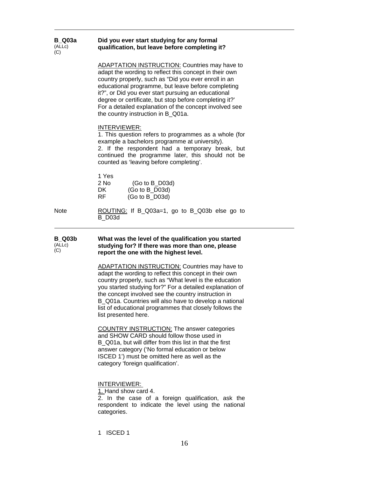| <b>B</b> Q03a<br>(ALLC)<br>(C) | Did you ever start studying for any formal<br>qualification, but leave before completing it?                                                                                                                                                                                                                                                                                                                                                  |
|--------------------------------|-----------------------------------------------------------------------------------------------------------------------------------------------------------------------------------------------------------------------------------------------------------------------------------------------------------------------------------------------------------------------------------------------------------------------------------------------|
|                                | <b>ADAPTATION INSTRUCTION: Countries may have to</b><br>adapt the wording to reflect this concept in their own<br>country properly, such as "Did you ever enroll in an<br>educational programme, but leave before completing<br>it?", or Did you ever start pursuing an educational<br>degree or certificate, but stop before completing it?'<br>For a detailed explanation of the concept involved see<br>the country instruction in B Q01a. |
|                                | INTERVIEWER:<br>1. This question refers to programmes as a whole (for<br>example a bachelors programme at university).<br>2. If the respondent had a temporary break, but<br>continued the programme later, this should not be<br>counted as 'leaving before completing'.                                                                                                                                                                     |
|                                | 1 Yes<br>2 No<br>$(Go to B_D03d)$<br>DK<br>$(Go to B_D03d)$<br>RF<br>$(Go to B_D03d)$                                                                                                                                                                                                                                                                                                                                                         |
| Note                           | ROUTING: If B_Q03a=1, go to B_Q03b else go to<br>B D03d                                                                                                                                                                                                                                                                                                                                                                                       |
| <b>B</b> Q03b<br>(ALLc)<br>(C) | What was the level of the qualification you started<br>studying for? If there was more than one, please<br>report the one with the highest level.                                                                                                                                                                                                                                                                                             |
|                                | <b>ADAPTATION INSTRUCTION:</b> Countries may have to<br>adapt the wording to reflect this concept in their own<br>country properly, such as "What level is the education<br>you started studying for?" For a detailed explanation of<br>the concept involved see the country instruction in<br>B_Q01a. Countries will also have to develop a national<br>list of educational programmes that closely follows the                              |
|                                | list presented here.                                                                                                                                                                                                                                                                                                                                                                                                                          |
|                                | <b>COUNTRY INSTRUCTION:</b> The answer categories<br>and SHOW CARD should follow those used in<br>B_Q01a, but will differ from this list in that the first<br>answer category ('No formal education or below<br>ISCED 1') must be omitted here as well as the<br>category 'foreign qualification'.                                                                                                                                            |

1 ISCED 1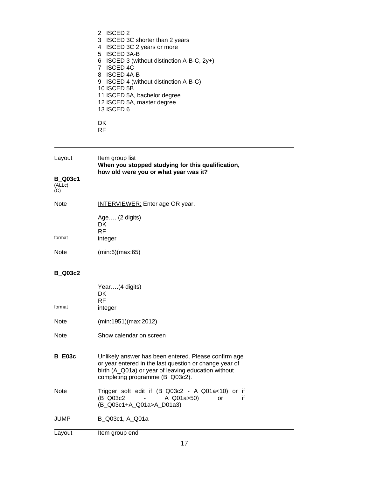|   | 2 ISCED 2                                     |
|---|-----------------------------------------------|
|   | 3 ISCED 3C shorter than 2 years               |
| 4 | ISCED 3C 2 years or more                      |
|   | 5 ISCED 3A-B                                  |
|   | 6 ISCED 3 (without distinction A-B-C, $2y+$ ) |
|   | 7 ISCED 4C                                    |
|   | 8 ISCED 4A-B                                  |
|   | 9 ISCED 4 (without distinction A-B-C)         |
|   | 10 ISCED 5B                                   |
|   | 11 ISCED 5A, bachelor degree                  |
|   | 12 ISCED 5A, master degree                    |
|   | 13 ISCED 6                                    |
|   |                                               |
|   |                                               |

**RF** RF

| Layout         | Item group list                                   |
|----------------|---------------------------------------------------|
|                | When you stopped studying for this qualification, |
|                | how old were you or what year was it?             |
| <b>B</b> Q03c1 |                                                   |
| (ALLC)         |                                                   |

(C)

| Note   | <b>INTERVIEWER:</b> Enter age OR year. |
|--------|----------------------------------------|
| format | Age (2 digits)<br>DK<br>RF             |
|        | integer                                |
| Note   | (min:6)(max:65)                        |

### **B\_Q03c2**

| format        | Year(4 digits)<br>DK.<br>RF.<br>integer                                                                                                                                                                  |
|---------------|----------------------------------------------------------------------------------------------------------------------------------------------------------------------------------------------------------|
| Note          | (min:1951)(max:2012)                                                                                                                                                                                     |
| Note          | Show calendar on screen                                                                                                                                                                                  |
| <b>B E03c</b> | Unlikely answer has been entered. Please confirm age<br>or year entered in the last question or change year of<br>birth (A_Q01a) or year of leaving education without<br>completing programme (B_Q03c2). |
| Note          | Trigger soft edit if (B_Q03c2 - A_Q01a<10) or if<br>A_Q01a>50)<br>(B Q03c2 -<br>if<br><b>or</b><br>(B_Q03c1+A_Q01a>A_D01a3)                                                                              |
| JUMP          | B Q03c1, A Q01a                                                                                                                                                                                          |
| Layout        | Item group end                                                                                                                                                                                           |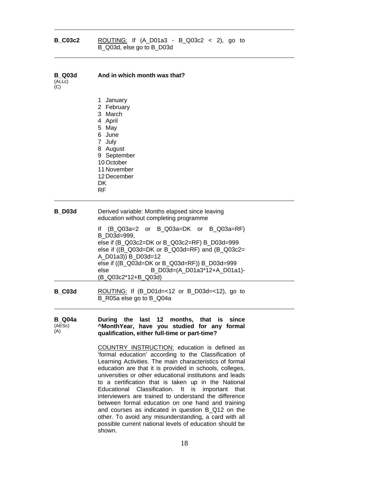| <b>B C03c2</b> | ROUTING: If $(A_D01a3 - B_Q03c2 < 2)$ , go to<br>B_Q03d, else go to B_D03d |  |  |
|----------------|----------------------------------------------------------------------------|--|--|
|                |                                                                            |  |  |

| <b>B</b> Q03d<br>(ALLc)<br>(C) | And in which month was that?                                                                                                                                                                                                                                                                                                                                                                                                                                                                                                                                                                                                   |
|--------------------------------|--------------------------------------------------------------------------------------------------------------------------------------------------------------------------------------------------------------------------------------------------------------------------------------------------------------------------------------------------------------------------------------------------------------------------------------------------------------------------------------------------------------------------------------------------------------------------------------------------------------------------------|
|                                | 1 January<br>2 February<br>3 March<br>4 April<br>5 May<br>6 June<br>7 July<br>8 August<br>9 September<br>10 October<br>11 November<br>12 December<br>DK.<br><b>RF</b>                                                                                                                                                                                                                                                                                                                                                                                                                                                          |
| <b>B</b> D03d                  | Derived variable: Months elapsed since leaving<br>education without completing programme                                                                                                                                                                                                                                                                                                                                                                                                                                                                                                                                       |
|                                | (B_Q03a=2 or B_Q03a=DK or B_Q03a=RF)<br>I۴<br>B D03d=999,<br>else if (B_Q03c2=DK or B_Q03c2=RF) B_D03d=999<br>else if ((B_Q03d=DK or B_Q03d=RF) and (B_Q03c2=<br>A_D01a3)) B_D03d=12<br>else if ((B_Q03d=DK or B_Q03d=RF)) B_D03d=999<br>else<br>B_D03d=(A_D01a3*12+A_D01a1)-<br>(B_Q03c2*12+B_Q03d)                                                                                                                                                                                                                                                                                                                           |
| <b>B_C03d</b>                  | ROUTING: If $(B_1D01d=<12$ or B_D03d=<12), go to<br>B_R05a else go to B_Q04a                                                                                                                                                                                                                                                                                                                                                                                                                                                                                                                                                   |
| <b>B_Q04a</b><br>(AESc)<br>(A) | During the last 12 months, that is since<br>^MonthYear, have you studied for any formal<br>qualification, either full-time or part-time?                                                                                                                                                                                                                                                                                                                                                                                                                                                                                       |
|                                | COUNTRY INSTRUCTION: education is defined as<br>'formal education' according to the Classification of<br>Learning Activities. The main characteristics of formal<br>education are that it is provided in schools, colleges,<br>universities or other educational institutions and leads<br>to a certification that is taken up in the National<br>Educational Classification. It is important that<br>interviewers are trained to understand the difference<br>between formal education on one hand and training<br>and courses as indicated in question B_Q12 on the<br>other. To avoid any misunderstanding, a card with all |

possible current national levels of education should be

shown.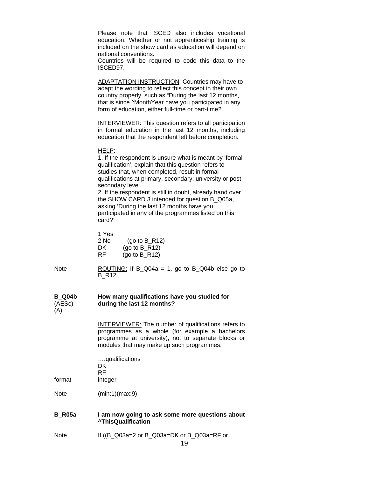| <b>B_R05a</b>                  | I am now going to ask some more questions about<br><b>^ThisQualification</b>                                                                                                                                                                                                                                                                                                                                                                                                              |
|--------------------------------|-------------------------------------------------------------------------------------------------------------------------------------------------------------------------------------------------------------------------------------------------------------------------------------------------------------------------------------------------------------------------------------------------------------------------------------------------------------------------------------------|
| <b>Note</b>                    | (min:1)(max:9)                                                                                                                                                                                                                                                                                                                                                                                                                                                                            |
| format                         | qualifications<br>DK<br><b>RF</b><br>integer                                                                                                                                                                                                                                                                                                                                                                                                                                              |
|                                | INTERVIEWER: The number of qualifications refers to<br>programmes as a whole (for example a bachelors<br>programme at university), not to separate blocks or<br>modules that may make up such programmes.                                                                                                                                                                                                                                                                                 |
| <b>B_Q04b</b><br>(AESc)<br>(A) | How many qualifications have you studied for<br>during the last 12 months?                                                                                                                                                                                                                                                                                                                                                                                                                |
| <b>Note</b>                    | ROUTING: If B_Q04a = 1, go to B_Q04b else go to<br>B R12                                                                                                                                                                                                                                                                                                                                                                                                                                  |
|                                | 1 Yes<br>$2$ No<br>$(90 to B_R12)$<br>DK<br>(go to $B_R$ 12)<br>RF  <br>(go to $B$ R12)                                                                                                                                                                                                                                                                                                                                                                                                   |
|                                | HELP:<br>1. If the respondent is unsure what is meant by 'formal<br>qualification', explain that this question refers to<br>studies that, when completed, result in formal<br>qualifications at primary, secondary, university or post-<br>secondary level.<br>2. If the respondent is still in doubt, already hand over<br>the SHOW CARD 3 intended for question B_Q05a,<br>asking 'During the last 12 months have you<br>participated in any of the programmes listed on this<br>card?' |
|                                | <b>INTERVIEWER:</b> This question refers to all participation<br>in formal education in the last 12 months, including<br>education that the respondent left before completion.                                                                                                                                                                                                                                                                                                            |
|                                | <b>ADAPTATION INSTRUCTION: Countries may have to</b><br>adapt the wording to reflect this concept in their own<br>country properly, such as "During the last 12 months,<br>that is since ^MonthYear have you participated in any<br>form of education, either full-time or part-time?                                                                                                                                                                                                     |
|                                | Please note that ISCED also includes vocational<br>education. Whether or not apprenticeship training is<br>included on the show card as education will depend on<br>national conventions.<br>Countries will be required to code this data to the<br>ISCED97.                                                                                                                                                                                                                              |
|                                |                                                                                                                                                                                                                                                                                                                                                                                                                                                                                           |

Note If ((B\_Q03a=2 or B\_Q03a=DK or B\_Q03a=RF or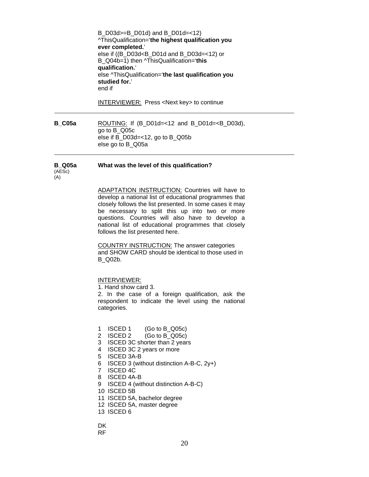B\_D03d>=B\_D01d) and B\_D01d=<12) ^ThisQualification='**the highest qualification you ever completed.**' else if ((B\_D03d<B\_D01d and B\_D03d=<12) or B\_Q04b=1) then ^ThisQualification='**this qualification.**' else ^ThisQualification='**the last qualification you studied for.**' end if

INTERVIEWER: Press <Next key> to continue

**B\_C05a** ROUTING: If (B\_D01d=<12 and B\_D01d=<B\_D03d), go to B\_Q05c else if B\_D03d=<12, go to B\_Q05b else go to B\_Q05a

#### **B\_Q05a What was the level of this qualification?**

(AESc) (A)

> ADAPTATION INSTRUCTION: Countries will have to develop a national list of educational programmes that closely follows the list presented. In some cases it may be necessary to split this up into two or more questions. Countries will also have to develop a national list of educational programmes that closely follows the list presented here.

COUNTRY INSTRUCTION: The answer categories and SHOW CARD should be identical to those used in B\_Q02b.

INTERVIEWER:

1. Hand show card 3.

2. In the case of a foreign qualification, ask the respondent to indicate the level using the national categories.

- 1 ISCED 1 (Go to B\_Q05c)
- 2 ISCED 2 (Go to B Q05c)
- 3 ISCED 3C shorter than 2 years
- 4 ISCED 3C 2 years or more
- 5 ISCED 3A-B
- 6 ISCED 3 (without distinction A-B-C, 2y+)
- 7 ISCED 4C
- 8 ISCED 4A-B
- 9 ISCED 4 (without distinction A-B-C)
- 10 ISCED 5B
- 11 ISCED 5A, bachelor degree
- 12 ISCED 5A, master degree
- 13 ISCED 6

**DK** RF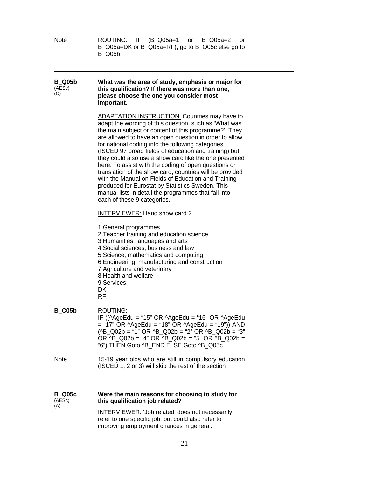| <b>Note</b>                    | ROUTING:<br>(B Q05a=1<br>$\mathsf{If}$<br>B_Q05a=2<br>or<br>or<br>B_Q05a=DK or B_Q05a=RF), go to B_Q05c else go to<br><b>B_Q05b</b>                                                                                                                                                                                                                                                                                                                                                                                                                                                                                                                                                                                                                                                                                                                                                                                                                                                                                                                                                                     |
|--------------------------------|---------------------------------------------------------------------------------------------------------------------------------------------------------------------------------------------------------------------------------------------------------------------------------------------------------------------------------------------------------------------------------------------------------------------------------------------------------------------------------------------------------------------------------------------------------------------------------------------------------------------------------------------------------------------------------------------------------------------------------------------------------------------------------------------------------------------------------------------------------------------------------------------------------------------------------------------------------------------------------------------------------------------------------------------------------------------------------------------------------|
| <b>B</b> Q05b<br>(AESc)<br>(C) | What was the area of study, emphasis or major for<br>this qualification? If there was more than one,<br>please choose the one you consider most<br>important.                                                                                                                                                                                                                                                                                                                                                                                                                                                                                                                                                                                                                                                                                                                                                                                                                                                                                                                                           |
|                                | <b>ADAPTATION INSTRUCTION:</b> Countries may have to<br>adapt the wording of this question, such as 'What was<br>the main subject or content of this programme?'. They<br>are allowed to have an open question in order to allow<br>for national coding into the following categories<br>(ISCED 97 broad fields of education and training) but<br>they could also use a show card like the one presented<br>here. To assist with the coding of open questions or<br>translation of the show card, countries will be provided<br>with the Manual on Fields of Education and Training<br>produced for Eurostat by Statistics Sweden. This<br>manual lists in detail the programmes that fall into<br>each of these 9 categories.<br><b>INTERVIEWER:</b> Hand show card 2<br>1 General programmes<br>2 Teacher training and education science<br>3 Humanities, languages and arts<br>4 Social sciences, business and law<br>5 Science, mathematics and computing<br>6 Engineering, manufacturing and construction<br>7 Agriculture and veterinary<br>8 Health and welfare<br>9 Services<br>DK<br><b>RF</b> |
| <b>B_C05b</b>                  | ROUTING:<br>IF ((^AgeEdu = "15" OR ^AgeEdu = "16" OR ^AgeEdu<br>$=$ "17" OR ^AgeEdu = "18" OR ^AgeEdu = "19")) AND<br>$(^{AB}$ Q02b = "1" OR ^B_Q02b = "2" OR ^B_Q02b = "3"<br>OR ^B Q02b = "4" OR ^B Q02b = "5" OR ^B Q02b =<br>"6") THEN Goto ^B_END ELSE Goto ^B_Q05c                                                                                                                                                                                                                                                                                                                                                                                                                                                                                                                                                                                                                                                                                                                                                                                                                                |
| <b>Note</b>                    | 15-19 year olds who are still in compulsory education<br>(ISCED 1, 2 or 3) will skip the rest of the section                                                                                                                                                                                                                                                                                                                                                                                                                                                                                                                                                                                                                                                                                                                                                                                                                                                                                                                                                                                            |
| <b>B_Q05c</b><br>(AESc)<br>(A) | Were the main reasons for choosing to study for<br>this qualification job related?                                                                                                                                                                                                                                                                                                                                                                                                                                                                                                                                                                                                                                                                                                                                                                                                                                                                                                                                                                                                                      |
|                                | <b>INTERVIEWER: 'Job related' does not necessarily</b><br>refer to one specific job, but could also refer to<br>improving employment chances in general.                                                                                                                                                                                                                                                                                                                                                                                                                                                                                                                                                                                                                                                                                                                                                                                                                                                                                                                                                |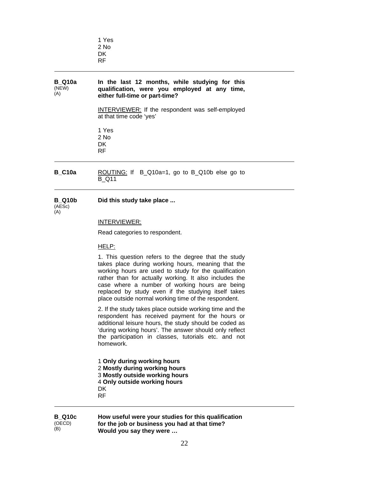|                               | 1 Yes<br>2 No<br>DK.<br><b>RF</b>                                                                                                                                                                                                                                                                                                  |  |
|-------------------------------|------------------------------------------------------------------------------------------------------------------------------------------------------------------------------------------------------------------------------------------------------------------------------------------------------------------------------------|--|
| <b>B</b> Q10a<br>(NEW)<br>(A) | In the last 12 months, while studying for this<br>qualification, were you employed at any time,<br>either full-time or part-time?                                                                                                                                                                                                  |  |
|                               | INTERVIEWER: If the respondent was self-employed<br>at that time code 'yes'                                                                                                                                                                                                                                                        |  |
|                               | 1 Yes<br>2 No<br>DK.<br><b>RF</b>                                                                                                                                                                                                                                                                                                  |  |
|                               | $\mathsf{R}$ $\mathsf{R}$ $\mathsf{R}$ $\mathsf{R}$ $\mathsf{R}$ $\mathsf{R}$ $\mathsf{R}$ $\mathsf{R}$ $\mathsf{R}$ $\mathsf{R}$ $\mathsf{R}$ $\mathsf{R}$ $\mathsf{R}$ $\mathsf{R}$ $\mathsf{R}$ $\mathsf{R}$ $\mathsf{R}$ $\mathsf{R}$ $\mathsf{R}$ $\mathsf{R}$ $\mathsf{R}$ $\mathsf{R}$ $\mathsf{R}$ $\mathsf{R}$ $\mathsf{$ |  |

**B\_C10a** ROUTING: If B\_Q10a=1, go to B\_Q10b else go to B\_Q11

#### **B\_Q10b Did this study take place ...**

(AESc)  $(A)$ 

#### INTERVIEWER:

Read categories to respondent.

HELP:

1. This question refers to the degree that the study takes place during working hours, meaning that the working hours are used to study for the qualification rather than for actually working. It also includes the case where a number of working hours are being replaced by study even if the studying itself takes place outside normal working time of the respondent.

2. If the study takes place outside working time and the respondent has received payment for the hours or additional leisure hours, the study should be coded as 'during working hours'. The answer should only reflect the participation in classes, tutorials etc. and not homework.

**Only during working hours Mostly during working hours Mostly outside working hours Only outside working hours**  DK RF

#### **B\_Q10c**  (OECD) (B)

**How useful were your studies for this qualification for the job or business you had at that time? Would you say they were …**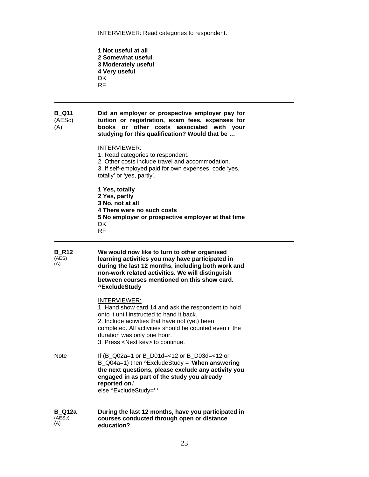**INTERVIEWER:** Read categories to respondent.

**1 Not useful at all 2 Somewhat useful 3 Moderately useful 4 Very useful**  DK RF

#### **B\_Q11**  (AESc) (A) **Did an employer or prospective employer pay for**  **tuition or registration, exam fees, expenses for books or other costs associated with your studying for this qualification? Would that be …**

INTERVIEWER: 1. Read categories to respondent. 2. Other costs include travel and accommodation. 3. If self-employed paid for own expenses, code 'yes, totally' or 'yes, partly'. **1 Yes, totally 2 Yes, partly 3 No, not at all 4 There were no such costs** 

- **5 No employer or prospective employer at that time**
- DK RF

| <b>B_R12</b><br>(AES)<br>(A) | We would now like to turn to other organised<br>learning activities you may have participated in<br>during the last 12 months, including both work and<br>non-work related activities. We will distinguish<br>between courses mentioned on this show card.<br><b>^ExcludeStudy</b>                         |
|------------------------------|------------------------------------------------------------------------------------------------------------------------------------------------------------------------------------------------------------------------------------------------------------------------------------------------------------|
|                              | INTERVIEWER:<br>1. Hand show card 14 and ask the respondent to hold<br>onto it until instructed to hand it back.<br>2. Include activities that have not (yet) been<br>completed. All activities should be counted even if the<br>duration was only one hour.<br>3. Press <next key=""> to continue.</next> |
| <b>Note</b>                  | If (B_Q02a=1 or B_D01d=<12 or B_D03d=<12 or<br>$B_{Q04a=1}$ ) then ^ExcludeStudy = 'When answering<br>the next questions, please exclude any activity you<br>engaged in as part of the study you already<br>reported on.'<br>else ^ExcludeStudy=' '.                                                       |
|                              | والمستوفي والمستور والمتحدث والمتواطن والمتحدث<br>Boundary of the Local AB are continued to come and                                                                                                                                                                                                       |

#### **B\_Q12a**  (AESc)  $(A)$ **During the last 12 months, have you participated in**   **courses conducted through open or distance education?**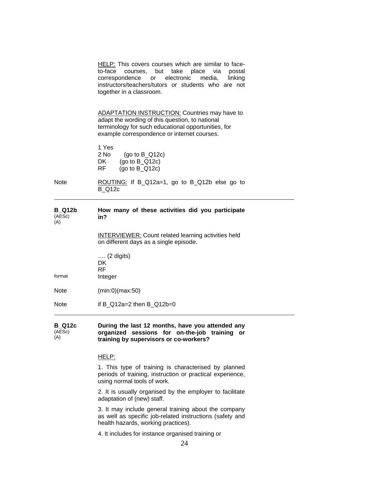HELP: This covers courses which are similar to face to-face courses, but take place via postal correspondence or electronic media, linking instructors/teachers/tutors or students who are not together in a classroom. ADAPTATION INSTRUCTION: Countries may have to adapt the wording of this question, to national terminology for such educational opportunities, for example correspondence or internet courses. 1 Yes 2 No (go to B\_Q12c) DK (go to B\_Q12c) RF (go to B\_Q12c) Note **ROUTING:** If B\_Q12a=1, go to B\_Q12b else go to B\_Q12c **B\_Q12b**  (AESc) (A) **How many of these activities did you participate in?**  INTERVIEWER: Count related learning activities held on different days as a single episode. …. (2 digits) DK RF format Integer Note (min:0)(max:50) Note if B\_Q12a=2 then B\_Q12b=0

**B\_Q12c**  (AESc)  $(A)$ **During the last 12 months, have you attended any organized sessions for on-the-job training or training by supervisors or co-workers?** 

#### HELP:

1. This type of training is characterised by planned periods of training, instruction or practical experience, using normal tools of work.

2. It is usually organised by the employer to facilitate adaptation of (new) staff.

3. It may include general training about the company as well as specific job-related instructions (safety and health hazards, working practices).

4. It includes for instance organised training or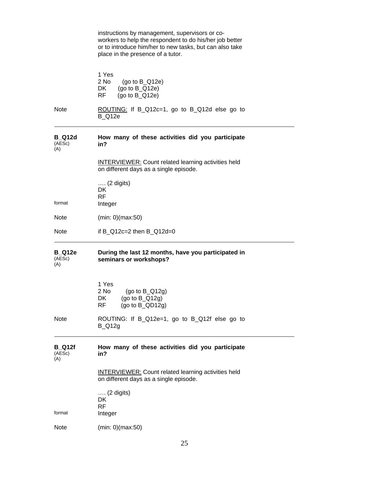|                                | instructions by management, supervisors or co-<br>workers to help the respondent to do his/her job better<br>or to introduce him/her to new tasks, but can also take<br>place in the presence of a tutor. |
|--------------------------------|-----------------------------------------------------------------------------------------------------------------------------------------------------------------------------------------------------------|
|                                | 1 Yes<br>2 No<br>(go to $B_Q(12e)$<br>DK<br>(go to $B_Q(12e)$<br>RF<br>(go to $B_Q(12e)$                                                                                                                  |
| <b>Note</b>                    | ROUTING: If B_Q12c=1, go to B_Q12d else go to<br><b>B_Q12e</b>                                                                                                                                            |
| <b>B_Q12d</b><br>(AESc)<br>(A) | How many of these activities did you participate<br>in?                                                                                                                                                   |
|                                | <b>INTERVIEWER:</b> Count related learning activities held<br>on different days as a single episode.                                                                                                      |
| format                         | $\ldots$ (2 digits)<br>DK<br><b>RF</b><br>Integer                                                                                                                                                         |
| <b>Note</b>                    | (min: 0)(max:50)                                                                                                                                                                                          |
| <b>Note</b>                    | if B_Q12c=2 then B_Q12d=0                                                                                                                                                                                 |
| <b>B_Q12e</b><br>(AESc)<br>(A) | During the last 12 months, have you participated in<br>seminars or workshops?                                                                                                                             |
|                                | 1 Yes<br>2 No<br>(go to $B_Q(12g)$<br>DK $(go \text{ to } B_Q(12g))$<br>RF<br>(go to $B_QDD12g$ )                                                                                                         |
| Note                           | ROUTING: If B_Q12e=1, go to B_Q12f else go to<br><b>B_Q12g</b>                                                                                                                                            |
| <b>B_Q12f</b><br>(AESc)<br>(A) | How many of these activities did you participate<br>in?                                                                                                                                                   |
|                                | <b>INTERVIEWER: Count related learning activities held</b><br>on different days as a single episode.                                                                                                      |
|                                | $\ldots$ (2 digits)<br>DK<br><b>RF</b>                                                                                                                                                                    |
| format                         | Integer                                                                                                                                                                                                   |
| Note                           | (min: 0)(max:50)                                                                                                                                                                                          |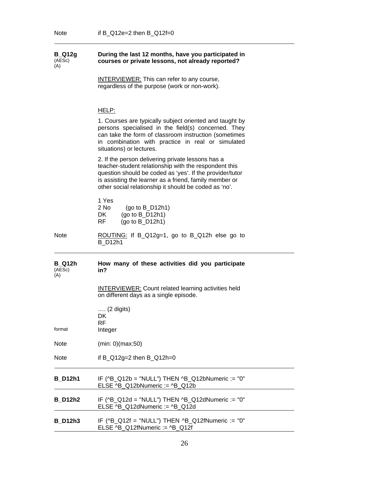| <b>B_Q12g</b><br>(AESc)<br>(A) | During the last 12 months, have you participated in<br>courses or private lessons, not already reported?                                                                                                                                                                                  |
|--------------------------------|-------------------------------------------------------------------------------------------------------------------------------------------------------------------------------------------------------------------------------------------------------------------------------------------|
|                                | <b>INTERVIEWER:</b> This can refer to any course,<br>regardless of the purpose (work or non-work).                                                                                                                                                                                        |
|                                | <u>HELP:</u>                                                                                                                                                                                                                                                                              |
|                                | 1. Courses are typically subject oriented and taught by<br>persons specialised in the field(s) concerned. They<br>can take the form of classroom instruction (sometimes<br>in combination with practice in real or simulated<br>situations) or lectures.                                  |
|                                | 2. If the person delivering private lessons has a<br>teacher-student relationship with the respondent this<br>question should be coded as 'yes'. If the provider/tutor<br>is assisting the learner as a friend, family member or<br>other social relationship it should be coded as 'no'. |
|                                | 1 Yes<br>$2$ No<br>(go to $B_D12h1$ )<br>DK<br>(go to $B_D12h1$ )<br>RF.<br>$(go to B_D12h1)$                                                                                                                                                                                             |
| Note                           | ROUTING: If B_Q12g=1, go to B_Q12h else go to<br><b>B_D12h1</b>                                                                                                                                                                                                                           |
| B Q12h<br>(AESc)<br>(A)        | How many of these activities did you participate<br>in?                                                                                                                                                                                                                                   |
|                                | <b>INTERVIEWER: Count related learning activities held</b><br>on different days as a single episode.                                                                                                                                                                                      |
| format                         | …. (2 digits)<br>DK<br><b>RF</b><br>Integer                                                                                                                                                                                                                                               |
| <b>Note</b>                    | (min: 0)(max:50)                                                                                                                                                                                                                                                                          |
| <b>Note</b>                    | if $B_Q12g=2$ then $B_Q12h=0$                                                                                                                                                                                                                                                             |
| <b>B_D12h1</b>                 | IF ( $^{18}$ – Q12b = "NULL") THEN $^{18}$ – Q12bNumeric := "0"<br>ELSE ^B_Q12bNumeric := ^B_Q12b                                                                                                                                                                                         |
| <b>B_D12h2</b>                 | IF (^B_Q12d = "NULL") THEN ^B_Q12dNumeric := "0"<br>ELSE ^B_Q12dNumeric := ^B_Q12d                                                                                                                                                                                                        |
| <b>B_D12h3</b>                 | IF (^B_Q12f = "NULL") THEN ^B_Q12fNumeric := "0"<br>ELSE ^B_Q12fNumeric := ^B_Q12f                                                                                                                                                                                                        |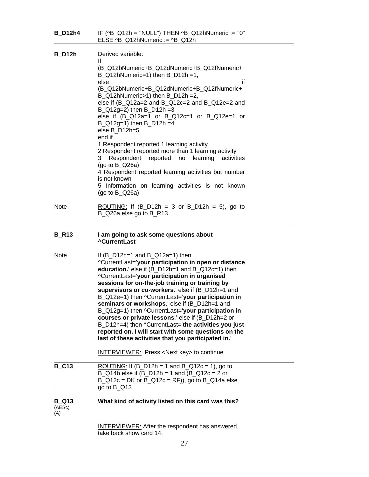| <b>B_D12h4</b>                | IF ( $^{18}$ – Q12h = "NULL") THEN $^{18}$ – Q12hNumeric := "0"<br>ELSE $^{18}$ -Q12hNumeric := $^{18}$ -Q12h                                                                                                                                                                                                                                                                                                                                                                                                                                                                                                                                                                                                                                                    |
|-------------------------------|------------------------------------------------------------------------------------------------------------------------------------------------------------------------------------------------------------------------------------------------------------------------------------------------------------------------------------------------------------------------------------------------------------------------------------------------------------------------------------------------------------------------------------------------------------------------------------------------------------------------------------------------------------------------------------------------------------------------------------------------------------------|
| <b>B</b> D12h                 | Derived variable:<br>١f<br>(B_Q12bNumeric+B_Q12dNumeric+B_Q12fNumeric+<br>$B_Q12hNumberic=1$ ) then $B_D12h=1$ ,<br>if<br>else<br>(B_Q12bNumeric+B_Q12dNumeric+B_Q12fNumeric+<br>B_Q12hNumeric>1) then B_D12h =2,<br>else if (B_Q12a=2 and B_Q12c=2 and B_Q12e=2 and<br>$B_Q(12g=2)$ then $B_D(12h=3)$<br>else if (B_Q12a=1 or B_Q12c=1 or B_Q12e=1 or<br>$B_Q(12g=1)$ then B $D12h = 4$<br>else B_D12h=5<br>end if<br>1 Respondent reported 1 learning activity<br>2 Respondent reported more than 1 learning activity<br>Respondent<br>reported<br>no<br>learning<br>activities<br>3.<br>(go to $B_Q^2$ 6a)<br>4 Respondent reported learning activities but number<br>is not known<br>5 Information on learning activities is not known<br>(go to $B_Q^2$ 6a) |
| <b>Note</b>                   | <u>ROUTING:</u> If $(B_1D12h = 3 \text{ or } B_1D12h = 5)$ , go to<br>B_Q26a else go to B_R13                                                                                                                                                                                                                                                                                                                                                                                                                                                                                                                                                                                                                                                                    |
| <b>B_R13</b>                  | I am going to ask some questions about<br><b>^CurrentLast</b>                                                                                                                                                                                                                                                                                                                                                                                                                                                                                                                                                                                                                                                                                                    |
| <b>Note</b>                   | If $(B_1 12h=1$ and $B_2 12a=1$ then<br>^CurrentLast='your participation in open or distance<br>education.' else if (B_D12h=1 and B_Q12c=1) then<br>^CurrentLast='your participation in organised<br>sessions for on-the-job training or training by<br>supervisors or co-workers.' else if (B_D12h=1 and<br>B_Q12e=1) then ^CurrentLast='your participation in<br>seminars or workshops.' else if (B_D12h=1 and<br>B_Q12g=1) then ^CurrentLast='your participation in<br>courses or private lessons.' else if (B_D12h=2 or<br>B_D12h=4) then ^CurrentLast='the activities you just<br>reported on. I will start with some questions on the<br>last of these activities that you participated in.'                                                               |
|                               | <b>INTERVIEWER:</b> Press <next key=""> to continue</next>                                                                                                                                                                                                                                                                                                                                                                                                                                                                                                                                                                                                                                                                                                       |
| <b>B_C13</b>                  | ROUTING: If $(B_1D12h = 1$ and B <sub>_</sub> Q12c = 1), go to<br>$\overline{B_{-}Q14}$ b else if (B_D12h = 1 and (B_Q12c = 2 or<br>$B_Q$ 12c = DK or $B_Q$ 12c = RF)), go to $B_Q$ 14a else<br>go to $B_Q$ 13                                                                                                                                                                                                                                                                                                                                                                                                                                                                                                                                                   |
| <b>B</b> Q13<br>(AESc)<br>(A) | What kind of activity listed on this card was this?                                                                                                                                                                                                                                                                                                                                                                                                                                                                                                                                                                                                                                                                                                              |
|                               | <b>INTERVIEWER:</b> After the respondent has answered,<br>take back show card 14.                                                                                                                                                                                                                                                                                                                                                                                                                                                                                                                                                                                                                                                                                |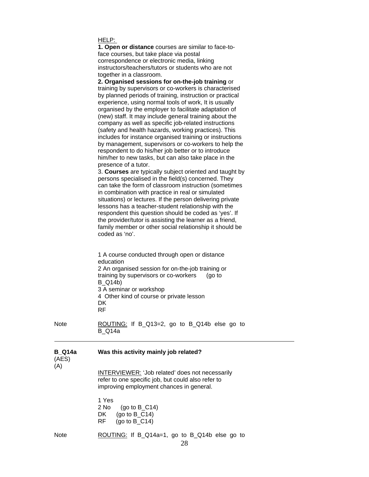|--|

| 1. Open or distance courses are similar to face-to- |
|-----------------------------------------------------|
| face courses, but take place via postal             |
| correspondence or electronic media, linking         |
| instructors/teachers/tutors or students who are not |
| together in a classroom.                            |

**2. Organised sessions for on-the-job training** or training by supervisors or co-workers is characterised by planned periods of training, instruction or practical experience, using normal tools of work, It is usually organised by the employer to facilitate adaptation of (new) staff. It may include general training about the company as well as specific job-related instructions (safety and health hazards, working practices). This includes for instance organised training or instructions by management, supervisors or co-workers to help the respondent to do his/her job better or to introduce him/her to new tasks, but can also take place in the presence of a tutor.

3. **Courses** are typically subject oriented and taught by persons specialised in the field(s) concerned. They can take the form of classroom instruction (sometimes in combination with practice in real or simulated situations) or lectures. If the person delivering private lessons has a teacher-student relationship with the respondent this question should be coded as 'yes'. If the provider/tutor is assisting the learner as a friend, family member or other social relationship it should be coded as 'no'.

1 A course conducted through open or distance education 2 An organised session for on-the-job training or training by supervisors or co-workers (go to B\_Q14b) 3 A seminar or workshop 4 Other kind of course or private lesson DK RF

Note **ROUTING:** If B\_Q13=2, go to B\_Q14b else go to B\_Q14a

| <b>B_Q14a</b><br>(AES)<br>(A) | Was this activity mainly job related?                                                                                                             |
|-------------------------------|---------------------------------------------------------------------------------------------------------------------------------------------------|
|                               | INTERVIEWER: 'Job related' does not necessarily<br>refer to one specific job, but could also refer to<br>improving employment chances in general. |
|                               | 1 Yes<br>(go to $B_C$ C14)<br>$2$ No<br>(go to $B$ C14)<br>DK.                                                                                    |

RF (go to B\_C14)

Note ROUTING: If B\_Q14a=1, go to B\_Q14b else go to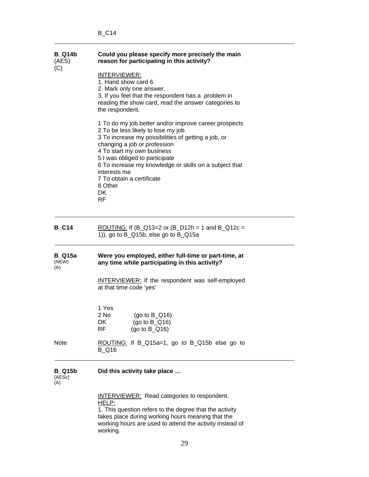| <b>B_Q14b</b><br>(AES)         | Could you please specify more precisely the main<br>reason for participating in this activity?<br><b>INTERVIEWER:</b><br>1. Hand show card 6.<br>2. Mark only one answer.<br>3. If you feel that the respondent has a problem in<br>reading the show card, read the answer categories to<br>the respondent.                                                                             |  |  |
|--------------------------------|-----------------------------------------------------------------------------------------------------------------------------------------------------------------------------------------------------------------------------------------------------------------------------------------------------------------------------------------------------------------------------------------|--|--|
| (C)                            |                                                                                                                                                                                                                                                                                                                                                                                         |  |  |
|                                | 1 To do my job better and/or improve career prospects<br>2 To be less likely to lose my job<br>3 To increase my possibilities of getting a job, or<br>changing a job or profession<br>4 To start my own business<br>5 I was obliged to participate<br>6 To increase my knowledge or skills on a subject that<br>interests me<br>7 To obtain a certificate<br>8 Other<br>DK<br><b>RF</b> |  |  |
| <b>B_C14</b>                   | <u>ROUTING:</u> If (B_Q13=2 or (B_D12h = 1 and B_Q12c =<br>1)), go to B_Q15b, else go to B_Q15a                                                                                                                                                                                                                                                                                         |  |  |
| <b>B_Q15a</b><br>(NEW)<br>(A)  | Were you employed, either full-time or part-time, at<br>any time while participating in this activity?                                                                                                                                                                                                                                                                                  |  |  |
|                                | <b>INTERVIEWER:</b> If the respondent was self-employed<br>at that time code 'yes'                                                                                                                                                                                                                                                                                                      |  |  |
|                                | 1 Yes<br>2 No<br>(go to $B_Q(16)$<br>DK<br>(go to $B_Q(16)$<br>RF<br>(go to $B_Q(16)$                                                                                                                                                                                                                                                                                                   |  |  |
| Note                           | ROUTING: If B_Q15a=1, go to B_Q15b else go to<br><b>B</b> Q16                                                                                                                                                                                                                                                                                                                           |  |  |
| <b>B_Q15b</b><br>(AESc)<br>(A) | Did this activity take place                                                                                                                                                                                                                                                                                                                                                            |  |  |
|                                | <b>INTERVIEWER:</b> Read categories to respondent.<br>HELP:<br>1. This question refers to the degree that the activity<br>takes place during working hours meaning that the<br>working hours are used to attend the activity instead of<br>working.                                                                                                                                     |  |  |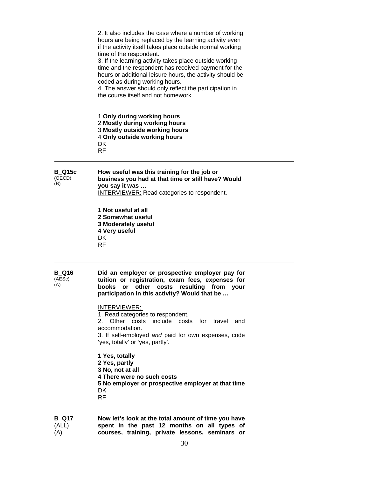| <b>B Q17</b>                   | Now let's look at the total amount of time you have                                                                                                                                                                                                                                                                                                                                                                                                                                                                         |
|--------------------------------|-----------------------------------------------------------------------------------------------------------------------------------------------------------------------------------------------------------------------------------------------------------------------------------------------------------------------------------------------------------------------------------------------------------------------------------------------------------------------------------------------------------------------------|
|                                | 1 Yes, totally<br>2 Yes, partly<br>3 No, not at all<br>4 There were no such costs<br>5 No employer or prospective employer at that time<br>DK<br><b>RF</b>                                                                                                                                                                                                                                                                                                                                                                  |
|                                | <b>INTERVIEWER:</b><br>1. Read categories to respondent.<br>Other costs include costs for travel and<br>2.<br>accommodation.<br>3. If self-employed and paid for own expenses, code<br>'yes, totally' or 'yes, partly'.                                                                                                                                                                                                                                                                                                     |
| <b>B_Q16</b><br>(AESc)<br>(A)  | Did an employer or prospective employer pay for<br>tuition or registration, exam fees, expenses for<br>other<br><b>books</b><br>costs<br>resulting<br>from<br>or<br>your<br>participation in this activity? Would that be                                                                                                                                                                                                                                                                                                   |
|                                | 1 Not useful at all<br>2 Somewhat useful<br>3 Moderately useful<br>4 Very useful<br>DK<br><b>RF</b>                                                                                                                                                                                                                                                                                                                                                                                                                         |
| <b>B</b> Q15c<br>(OECD)<br>(B) | How useful was this training for the job or<br>business you had at that time or still have? Would<br>you say it was<br><b>INTERVIEWER:</b> Read categories to respondent.                                                                                                                                                                                                                                                                                                                                                   |
|                                | 1 Only during working hours<br>2 Mostly during working hours<br>3 Mostly outside working hours<br>4 Only outside working hours<br>DK<br><b>RF</b>                                                                                                                                                                                                                                                                                                                                                                           |
|                                | 2. It also includes the case where a number of working<br>hours are being replaced by the learning activity even<br>if the activity itself takes place outside normal working<br>time of the respondent.<br>3. If the learning activity takes place outside working<br>time and the respondent has received payment for the<br>hours or additional leisure hours, the activity should be<br>coded as during working hours.<br>4. The answer should only reflect the participation in<br>the course itself and not homework. |

(ALL) (A) **spent in the past 12 months on all types of courses, training, private lessons, seminars or**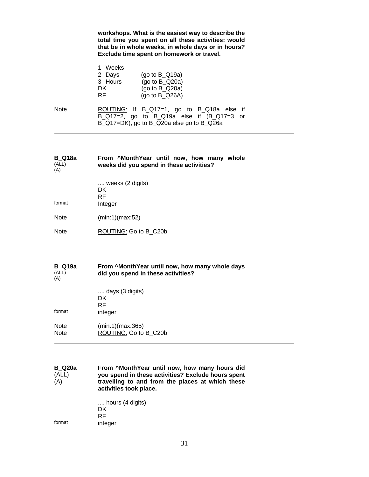**workshops. What is the easiest way to describe the total time you spent on all these activities: would that be in whole weeks, in whole days or in hours? Exclude time spent on homework or travel.** 

|      | 1 Weeks |                                             |  |
|------|---------|---------------------------------------------|--|
|      | 2 Days  | (go to $B_Q(19a)$                           |  |
|      | 3 Hours | (go to $B_Q$ 20a)                           |  |
|      | DK.     | (go to $B_Q$ Q20a)                          |  |
|      | RF.     | (qo to B Q26A)                              |  |
| Note |         | ROUTING: If B_Q17=1, go to B_Q18a else if   |  |
|      |         | B_Q17=2, go to B_Q19a else if $(B_Q17=3$ or |  |
|      |         | B_Q17=DK), go to B_Q20a else go to B_Q26a   |  |

| B Q18a<br>(ALL)<br>(A) | From ^MonthYear until now, how many whole<br>weeks did you spend in these activities? |
|------------------------|---------------------------------------------------------------------------------------|
| format                 | weeks (2 digits)<br>DK.<br>RF<br>Integer                                              |
| Note                   | (min:1)(max:52)                                                                       |
| Note                   | ROUTING: Go to B C20b                                                                 |
|                        |                                                                                       |

| <b>B</b> Q19a<br>(ALL)<br>(A) | From ^MonthYear until now, how many whole days<br>did you spend in these activities? |  |
|-------------------------------|--------------------------------------------------------------------------------------|--|
|                               | days (3 digits)                                                                      |  |
|                               | DK                                                                                   |  |
|                               | RF                                                                                   |  |
| format                        | integer                                                                              |  |

| Note | (min:1)(max:365)      |
|------|-----------------------|
| Note | ROUTING: Go to B C20b |

**B\_Q20a**   $(\overline{ALL})$ (A) **From ^MonthYear until now, how many hours did you spend in these activities? Exclude hours spent travelling to and from the places at which these activities took place.** 

.... hours (4 digits) DK RF<br>format inte integer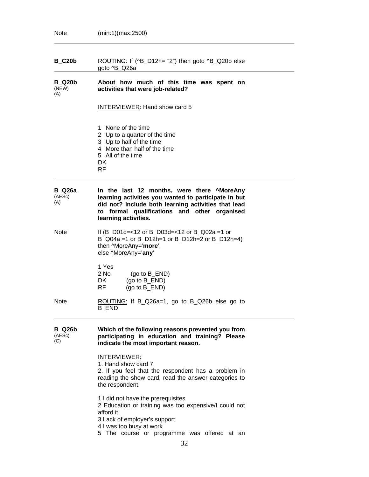| <b>B_C20b</b>                  | ROUTING: If (^B_D12h= "2") then goto ^B_Q20b else<br>goto ^B_Q26a                                                                                                                                                                    |
|--------------------------------|--------------------------------------------------------------------------------------------------------------------------------------------------------------------------------------------------------------------------------------|
| <b>B</b> Q20b<br>(NEW)<br>(A)  | About how much of this time was spent on<br>activities that were job-related?                                                                                                                                                        |
|                                | <b>INTERVIEWER: Hand show card 5</b>                                                                                                                                                                                                 |
|                                | 1 None of the time<br>2 Up to a quarter of the time<br>3 Up to half of the time<br>4 More than half of the time<br>5 All of the time<br>DK.<br>RF.                                                                                   |
| <b>B</b> Q26a<br>(AESc)<br>(A) | In the last 12 months, were there ^MoreAny<br>learning activities you wanted to participate in but<br>did not? Include both learning activities that lead<br>formal qualifications and other organised<br>to<br>learning activities. |
| Note                           | If $(B_001d=<12$ or B_D03d=<12 or B_Q02a =1 or<br>B_Q04a =1 or B_D12h=1 or B_D12h=2 or B_D12h=4)<br>then ^MoreAny='more',<br>else ^MoreAny='any'                                                                                     |
|                                | 1 Yes<br>$2$ No<br>(go to $B$ _END)<br>DK.<br>(go to $B$ _END)<br>RF<br>(qo to B END)                                                                                                                                                |
| <b>Note</b>                    | ROUTING: If B_Q26a=1, go to B_Q26b else go to<br><b>B_END</b>                                                                                                                                                                        |
| <b>B_Q26b</b><br>(AESc)<br>(C) | Which of the following reasons prevented you from<br>participating in education and training? Please<br>indicate the most important reason.                                                                                          |
|                                | INTERVIEWER:<br>1. Hand show card 7.<br>2. If you feel that the respondent has a problem in<br>reading the show card, read the answer categories to<br>the respondent.                                                               |
|                                | 1 I did not have the prerequisites<br>2 Education or training was too expensive/I could not<br>afford it<br>3 Lack of employer's support<br>4 I was too busy at work<br>5 The course or programme was offered at an                  |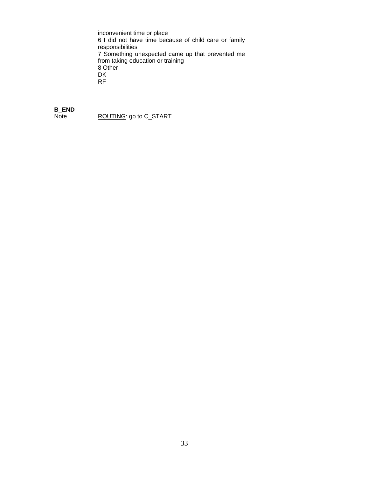inconvenient time or place 6 I did not have time because of child care or family  responsibilities 7 Something unexpected came up that prevented me from taking education or training 8 Other DK RF

# **B\_END**

ROUTING: go to C\_START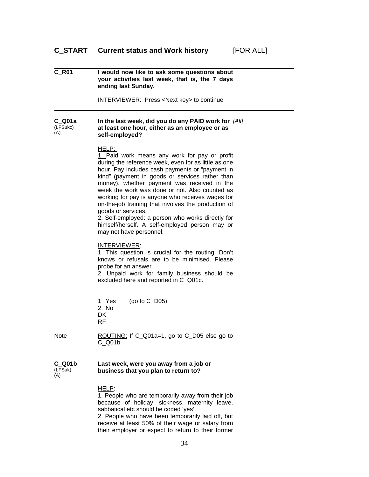### **C\_START Current status and Work history** [FOR ALL]

| <b>C R01</b>                | I would now like to ask some questions about<br>your activities last week, that is, the 7 days<br>ending last Sunday.                                                                                                                                                                                                                                                                                                                                                                                                                                                                           |
|-----------------------------|-------------------------------------------------------------------------------------------------------------------------------------------------------------------------------------------------------------------------------------------------------------------------------------------------------------------------------------------------------------------------------------------------------------------------------------------------------------------------------------------------------------------------------------------------------------------------------------------------|
|                             | INTERVIEWER: Press <next key=""> to continue</next>                                                                                                                                                                                                                                                                                                                                                                                                                                                                                                                                             |
| $C$ Q01a<br>(LFSukc)<br>(A) | In the last week, did you do any PAID work for [All]<br>at least one hour, either as an employee or as<br>self-employed?                                                                                                                                                                                                                                                                                                                                                                                                                                                                        |
|                             | <u>HELP:</u><br>1. Paid work means any work for pay or profit<br>during the reference week, even for as little as one<br>hour. Pay includes cash payments or "payment in<br>kind" (payment in goods or services rather than<br>money), whether payment was received in the<br>week the work was done or not. Also counted as<br>working for pay is anyone who receives wages for<br>on-the-job training that involves the production of<br>goods or services.<br>2. Self-employed: a person who works directly for<br>himself/herself. A self-employed person may or<br>may not have personnel. |
|                             | INTERVIEWER:<br>1. This question is crucial for the routing. Don't<br>knows or refusals are to be minimised. Please<br>probe for an answer.<br>2. Unpaid work for family business should be<br>excluded here and reported in C_Q01c.                                                                                                                                                                                                                                                                                                                                                            |
|                             | 1 Yes<br>(go to $C_{D05}$ )<br>2 No<br>DK.<br>RF                                                                                                                                                                                                                                                                                                                                                                                                                                                                                                                                                |
| <b>Note</b>                 | ROUTING: If C_Q01a=1, go to C_D05 else go to<br>$C_$ Q01b                                                                                                                                                                                                                                                                                                                                                                                                                                                                                                                                       |
| $C_$ Q01b<br>(LFSuk)<br>(A) | Last week, were you away from a job or<br>business that you plan to return to?                                                                                                                                                                                                                                                                                                                                                                                                                                                                                                                  |
|                             | HELP:<br>1. People who are temporarily away from their job<br>augo of holidou oighnoso                                                                                                                                                                                                                                                                                                                                                                                                                                                                                                          |

because of holiday, sickness, maternity leave, sabbatical etc should be coded 'yes'.

2. People who have been temporarily laid off, but receive at least 50% of their wage or salary from their employer or expect to return to their former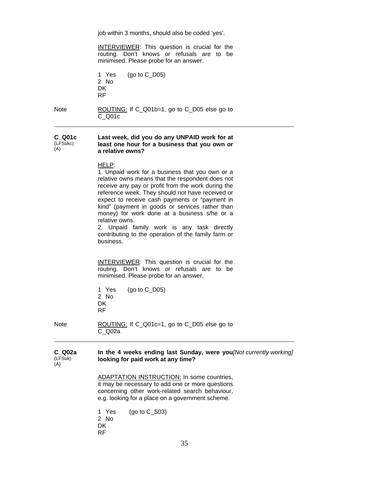job within 3 months, should also be coded 'yes'.

INTERVIEWER: This question is crucial for the routing. Don't knows or refusals are to be minimised. Please probe for an answer.

1 Yes (go to C\_D05) 2 No DK RF

Note ROUTING: If C\_Q01b=1, go to C\_D05 else go to C\_Q01c

#### **C\_Q01c**  (LFSukc) (A) **Last week, did you do any UNPAID work for at least one hour for a business that you own or a relative owns?**

#### HELP:

1. Unpaid work for a business that you own or a relative owns means that the respondent does not receive any pay or profit from the work during the reference week. They should not have received or expect to receive cash payments or "payment in kind" (payment in goods or services rather than money) for work done at a business s/he or a relative owns.

2. Unpaid family work is any task directly contributing to the operation of the family farm or business.

INTERVIEWER: This question is crucial for the routing. Don't knows or refusals are to be minimised. Please probe for an answer.

1 Yes (go to C\_D05) 2 No DK RF

Note ROUTING: If C\_Q01c=1, go to C\_D05 else go to C\_Q02a

#### **C\_Q02a**  (LFSuk)  $(A)$ **In the 4 weeks ending last Sunday, were you** *[Not currently working]*  **looking for paid work at any time?**

ADAPTATION INSTRUCTION: In some countries, it may be necessary to add one or more questions concerning other work-related search behaviour, e.g. looking for a place on a government scheme.

1 Yes (go to C\_S03) 2 No DK RF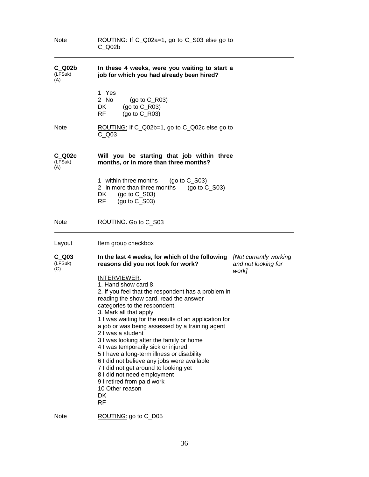| <b>Note</b>                 | ROUTING: If C_Q02a=1, go to C_S03 else go to<br>C Q02b                                                                                                                                                                                                                                                                                                                                                                                                                                                                                                                                                                                                               |                                                        |
|-----------------------------|----------------------------------------------------------------------------------------------------------------------------------------------------------------------------------------------------------------------------------------------------------------------------------------------------------------------------------------------------------------------------------------------------------------------------------------------------------------------------------------------------------------------------------------------------------------------------------------------------------------------------------------------------------------------|--------------------------------------------------------|
| $C_$ Q02b<br>(LFSuk)<br>(A) | In these 4 weeks, were you waiting to start a<br>job for which you had already been hired?                                                                                                                                                                                                                                                                                                                                                                                                                                                                                                                                                                           |                                                        |
|                             | 1 Yes<br>2 No<br>(go to $C_R$ R03)<br>(go to $C_R$ 03)<br>DK<br>(go to $C_R$ 03)<br>RF                                                                                                                                                                                                                                                                                                                                                                                                                                                                                                                                                                               |                                                        |
| <b>Note</b>                 | ROUTING: If C_Q02b=1, go to C_Q02c else go to<br>$C_$ Q03                                                                                                                                                                                                                                                                                                                                                                                                                                                                                                                                                                                                            |                                                        |
| C Q02c<br>(LFSuk)<br>(A)    | Will you be starting that job within three<br>months, or in more than three months?                                                                                                                                                                                                                                                                                                                                                                                                                                                                                                                                                                                  |                                                        |
|                             | 1 within three months<br>(go to $C_$ S03)<br>2 in more than three months<br>(go to $C_$ S03)<br>DK.<br>(go to $C_$ S03)<br>RF<br>(go to $C_$ S03)                                                                                                                                                                                                                                                                                                                                                                                                                                                                                                                    |                                                        |
| <b>Note</b>                 | ROUTING: Go to C_S03                                                                                                                                                                                                                                                                                                                                                                                                                                                                                                                                                                                                                                                 |                                                        |
| Layout                      | Item group checkbox                                                                                                                                                                                                                                                                                                                                                                                                                                                                                                                                                                                                                                                  |                                                        |
| C Q03<br>(LFSuk)<br>(C)     | In the last 4 weeks, for which of the following<br>reasons did you not look for work?                                                                                                                                                                                                                                                                                                                                                                                                                                                                                                                                                                                | [Not currently working<br>and not looking for<br>work] |
|                             | <b>INTERVIEWER:</b><br>1. Hand show card 8.<br>2. If you feel that the respondent has a problem in<br>reading the show card, read the answer<br>categories to the respondent.<br>3. Mark all that apply<br>1 I was waiting for the results of an application for<br>a job or was being assessed by a training agent<br>2 I was a student<br>3 I was looking after the family or home<br>4 I was temporarily sick or injured<br>5 I have a long-term illness or disability<br>6 I did not believe any jobs were available<br>7 I did not get around to looking yet<br>8 I did not need employment<br>9 I retired from paid work<br>10 Other reason<br>DK<br><b>RF</b> |                                                        |
| <b>Note</b>                 | ROUTING: go to C_D05                                                                                                                                                                                                                                                                                                                                                                                                                                                                                                                                                                                                                                                 |                                                        |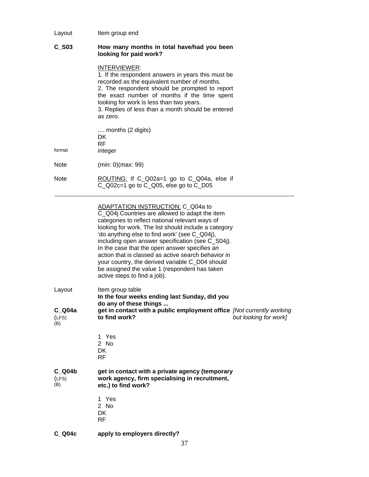# Layout Item group end

# **C\_S03 How many months in total have/had you been looking for paid work?**

# INTERVIEWER:

1. If the respondent answers in years this must be recorded as the equivalent number of months. 2. The respondent should be prompted to report the exact number of months if the time spent looking for work is less than two years. 3. Replies of less than a month should be entered as zero. .... months (2 digits) DK RF<br>format inte integer Note (min: 0)(max: 99) Note ROUTING: If C\_Q02a=1 go to C\_Q04a, else if C\_Q02c=1 go to C\_Q05, else go to C\_D05

ADAPTATION INSTRUCTION: C\_Q04a to

|                                  | C_Q04j Countries are allowed to adapt the item<br>categories to reflect national relevant ways of<br>looking for work. The list should include a category<br>'do anything else to find work' (see C_Q04j),<br>including open answer specification (see C_S04j).<br>In the case that the open answer specifies an<br>action that is classed as active search behavior in<br>your country, the derived variable C D04 should<br>be assigned the value 1 (respondent has taken<br>active steps to find a job). |  |
|----------------------------------|-------------------------------------------------------------------------------------------------------------------------------------------------------------------------------------------------------------------------------------------------------------------------------------------------------------------------------------------------------------------------------------------------------------------------------------------------------------------------------------------------------------|--|
| Layout<br>C Q04a<br>(LFS)<br>(B) | Item group table<br>In the four weeks ending last Sunday, did you<br>do any of these things<br>get in contact with a public employment office [Not currently working]<br>to find work?<br>but looking for work]                                                                                                                                                                                                                                                                                             |  |
|                                  | 1 Yes<br>2 No<br>DK.<br><b>RF</b>                                                                                                                                                                                                                                                                                                                                                                                                                                                                           |  |
| C Q04b<br>(LFS)<br>(B)           | get in contact with a private agency (temporary<br>work agency, firm specialising in recruitment,<br>etc.) to find work?                                                                                                                                                                                                                                                                                                                                                                                    |  |
|                                  | 1 Yes<br>2 No<br>DK<br>RF                                                                                                                                                                                                                                                                                                                                                                                                                                                                                   |  |
| C Q04c                           | apply to employers directly?                                                                                                                                                                                                                                                                                                                                                                                                                                                                                |  |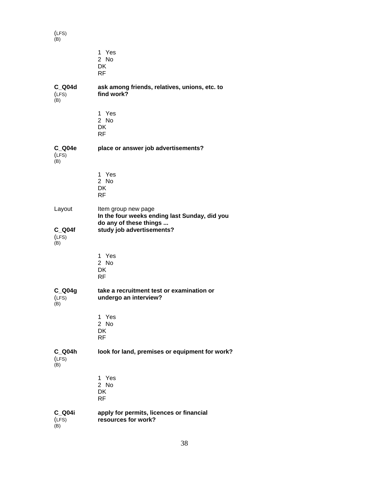(LFS) (B)

|                                     | 1 Yes<br>2 No<br>DK<br><b>RF</b>                                                                                            |
|-------------------------------------|-----------------------------------------------------------------------------------------------------------------------------|
| $C_$ Q04d<br>(LFS)<br>(B)           | ask among friends, relatives, unions, etc. to<br>find work?                                                                 |
|                                     | 1 Yes<br>2 No<br><b>DK</b><br><b>RF</b>                                                                                     |
| $C_$ Q04e<br>(LFS)<br>(B)           | place or answer job advertisements?                                                                                         |
|                                     | 1 Yes<br>2 No<br>DK<br>RF                                                                                                   |
| Layout<br>$C_$ Q04f<br>(LFS)<br>(B) | Item group new page<br>In the four weeks ending last Sunday, did you<br>do any of these things<br>study job advertisements? |
|                                     | 1 Yes<br>2 No<br>DK.<br><b>RF</b>                                                                                           |
| $C_$ Q04g<br>(LFS)<br>(B)           | take a recruitment test or examination or<br>undergo an interview?                                                          |
|                                     | 1 Yes<br>2 No<br>DK<br><b>RF</b>                                                                                            |
| $C_$ Q04h<br>(LFS)<br>(B)           | look for land, premises or equipment for work?                                                                              |
|                                     | 1 Yes<br>2 No<br><b>DK</b><br><b>RF</b>                                                                                     |
| C_Q04i<br>(LFS)<br>(B)              | apply for permits, licences or financial<br>resources for work?                                                             |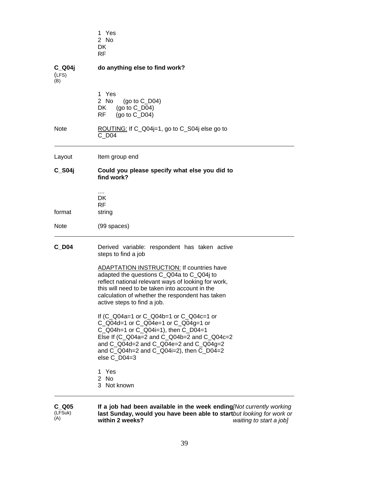|                           | 1 Yes<br>2 No<br>DK<br><b>RF</b>                                                                                                                                                                                                                                                  |
|---------------------------|-----------------------------------------------------------------------------------------------------------------------------------------------------------------------------------------------------------------------------------------------------------------------------------|
| $C_$ Q04j<br>(LFS)<br>(B) | do anything else to find work?                                                                                                                                                                                                                                                    |
|                           | 1 Yes<br>2 No<br>(go to $C_D04$ )<br>DK<br>(go to $C_D04$ )<br>RF<br>(go to $C_D$ 04)                                                                                                                                                                                             |
| <b>Note</b>               | ROUTING: If C_Q04j=1, go to C_S04j else go to<br>C D04                                                                                                                                                                                                                            |
| Layout                    | Item group end                                                                                                                                                                                                                                                                    |
| $C_$ S04j                 | Could you please specify what else you did to<br>find work?                                                                                                                                                                                                                       |
| format                    | DK<br><b>RF</b><br>string                                                                                                                                                                                                                                                         |
| <b>Note</b>               | (99 spaces)                                                                                                                                                                                                                                                                       |
| $C$ <sub>D04</sub>        | Derived variable: respondent has taken active<br>steps to find a job                                                                                                                                                                                                              |
|                           | ADAPTATION INSTRUCTION: If countries have<br>adapted the questions C_Q04a to C_Q04j to<br>reflect national relevant ways of looking for work,<br>this will need to be taken into account in the<br>calculation of whether the respondent has taken<br>active steps to find a job. |
|                           | If (C_Q04a=1 or C_Q04b=1 or C_Q04c=1 or<br>C_Q04d=1 or C_Q04e=1 or C_Q04g=1 or<br>C_Q04h=1 or C_Q04i=1), then C_D04=1<br>Else If (C_Q04a=2 and C_Q04b=2 and C_Q04c=2<br>and C_Q04d=2 and C_Q04e=2 and C_Q04g=2<br>and $C_Q04h=2$ and $C_Q04i=2$ ), then $C_D04=2$<br>else C_D04=3 |
|                           | 1 Yes<br>2 No<br>3 Not known                                                                                                                                                                                                                                                      |

**C\_Q05**  (LFSuk) **If a job had been available in the week ending last Sunday, would you have been able to start within 2 weeks?** 

(A)

*[Not currently working but looking for work or waiting to start a job]*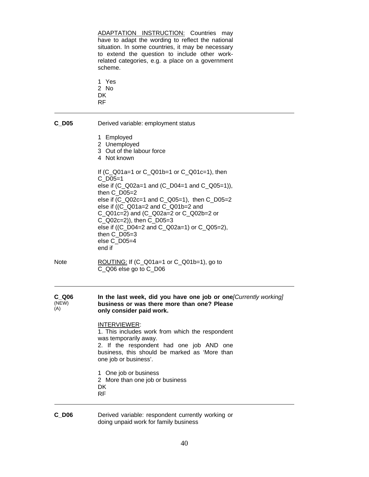ADAPTATION INSTRUCTION: Countries may have to adapt the wording to reflect the national situation. In some countries, it may be necessary to extend the question to include other workrelated categories, e.g. a place on a government scheme.

- 1 Yes 2 No
- DK
- RF

| C D05 | Derived variable: employment status |
|-------|-------------------------------------|
|       | 1 Employed                          |

- 2 Unemployed
- 3 Out of the labour force
- 4 Not known

If (C\_Q01a=1 or C\_Q01b=1 or C\_Q01c=1), then C\_D05=1 else if (C\_Q02a=1 and (C\_D04=1 and C\_Q05=1)), then C\_D05=2 else if (C\_Q02c=1 and C\_Q05=1), then C\_D05=2 else if ((C\_Q01a=2 and C\_Q01b=2 and C\_Q01c=2) and (C\_Q02a=2 or C\_Q02b=2 or C\_Q02c=2)), then C\_D05=3 else if ((C\_D04=2 and C\_Q02a=1) or C\_Q05=2), then C\_D05=3 else C\_D05=4 end if

Note ROUTING: If (C\_Q01a=1 or C\_Q01b=1), go to C\_Q06 else go to C\_D06

| C Q06 | In the last week, did you have one job or one Currently working |
|-------|-----------------------------------------------------------------|
| (NEW) | business or was there more than one? Please                     |
| (A)   | only consider paid work.                                        |

# INTERVIEWER:

1. This includes work from which the respondent was temporarily away. 2. If the respondent had one job AND one business, this should be marked as 'More than one job or business'.

- 1 One job or business 2 More than one job or business **DK** RF
- **C\_D06** Derived variable: respondent currently working or doing unpaid work for family business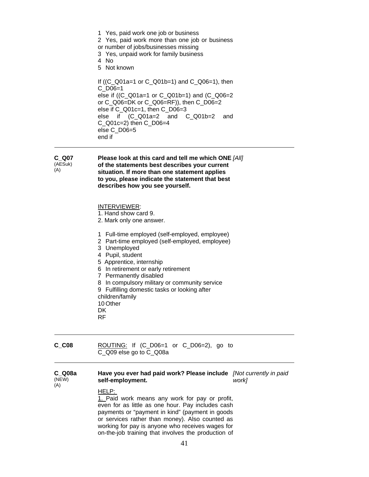1 Yes, paid work one job or business 2 Yes, paid work more than one job or business or number of jobs/businesses missing 3 Yes, unpaid work for family business 4 No 5 Not known If ((C\_Q01a=1 or C\_Q01b=1) and C\_Q06=1), then C\_D06=1 else if ((C\_Q01a=1 or C\_Q01b=1) and (C\_Q06=2 or C\_Q06=DK or C\_Q06=RF)), then C\_D06=2 else if C\_Q01c=1, then C\_D06=3 else if (C\_Q01a=2 and C\_Q01b=2 and C\_Q01c=2) then C\_D06=4 else C\_D06=5 end if

#### **C\_Q07**  (AESuk)

(A)

**Please look at this card and tell me which ONE**  *[All]*  **of the statements best describes your current situation. If more than one statement applies to you, please indicate the statement that best describes how you see yourself.** 

# INTERVIEWER:

- 1. Hand show card 9.
- 2. Mark only one answer.
- 1 Full-time employed (self-employed, employee)
- 2 Part-time employed (self-employed, employee)
- 3 Unemployed
- 4 Pupil, student
- 5 Apprentice, internship
- 6 In retirement or early retirement
- 7 Permanently disabled
- 8 In compulsory military or community service

9 Fulfilling domestic tasks or looking after

children/family

- 10 Other
- **DK**
- RF

# **C\_C08** ROUTING: If (C\_D06=1 or C\_D06=2), go to C\_Q09 else go to C\_Q08a

#### **C\_Q08a**  (NEW)  $(A)$ **Have you ever had paid work? Please include**  *[Not currently in paid*  **self-employment.**  *work]*

# HELP:

1. Paid work means any work for pay or profit, even for as little as one hour. Pay includes cash payments or "payment in kind" (payment in goods or services rather than money). Also counted as working for pay is anyone who receives wages for on-the-job training that involves the production of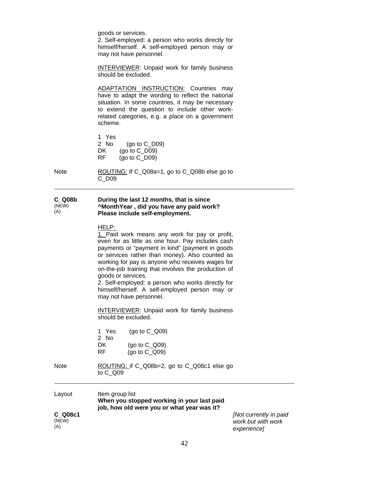goods or services.

2. Self-employed: a person who works directly for himself/herself. A self-employed person may or may not have personnel.

INTERVIEWER: Unpaid work for family business should be excluded.

ADAPTATION INSTRUCTION: Countries may have to adapt the wording to reflect the national situation. In some countries, it may be necessary to extend the question to include other workrelated categories, e.g. a place on a government scheme.

1 Yes 2 No (go to C\_D09) DK (go to C<sub>\_</sub>D09) RF (go to C\_D09)

Note ROUTING: If C\_Q08a=1, go to C\_Q08b else go to C\_D09

#### **C\_Q08b**  (NEW) (A) **During the last 12 months, that is since ^MonthYear , did you have any paid work? Please include self-employment.**

#### HELP:

1. Paid work means any work for pay or profit, even for as little as one hour. Pay includes cash payments or "payment in kind" (payment in goods or services rather than money). Also counted as working for pay is anyone who receives wages for on-the-job training that involves the production of goods or services.

2. Self-employed: a person who works directly for himself/herself. A self-employed person may or may not have personnel.

**INTERVIEWER:** Unpaid work for family business should be excluded.

1 Yes (go to C\_Q09) 2 No DK (go to C\_Q09) RF (go to C\_Q09)

# Note ROUTING: if C\_Q08b=2, go to C\_Q08c1 else go to C\_Q09

Layout Item group list  **When you stopped working in your last paid job, how old were you or what year was it? C\_Q08c1**  (NEW)  $(A)$ 

*[Not currently in paid work but with work experience]*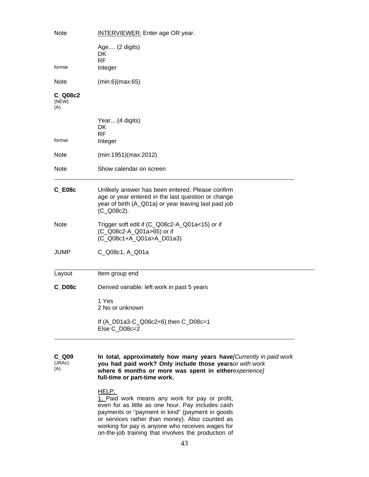| <b>INTERVIEWER:</b> Enter age OR year.                                                                                                                                       |
|------------------------------------------------------------------------------------------------------------------------------------------------------------------------------|
| Age (2 digits)<br>DK<br><b>RF</b><br>Integer                                                                                                                                 |
| (min:6)(max:65)                                                                                                                                                              |
|                                                                                                                                                                              |
| Year(4 digits)<br>DK<br><b>RF</b><br>Integer                                                                                                                                 |
| (min:1951)(max:2012)                                                                                                                                                         |
| Show calendar on screen                                                                                                                                                      |
| Unlikely answer has been entered. Please confirm<br>age or year entered in the last question or change<br>year of birth (A_Q01a) or year leaving last paid job<br>(C_Q08c2). |
| Trigger soft edit if (C_Q08c2-A_Q01a<15) or if<br>(C_Q08c2-A_Q01a>65) or if<br>(C_Q08c1+A_Q01a>A_D01a3)                                                                      |
| C_Q08c1, A_Q01a                                                                                                                                                              |
| Item group end                                                                                                                                                               |
| Derived variable: left work in past 5 years                                                                                                                                  |
| 1 Yes<br>2 No or unknown                                                                                                                                                     |
| If (A_D01a3-C_Q08c2<6) then C_D08c=1<br>Else C_D08c=2                                                                                                                        |
|                                                                                                                                                                              |

**C\_Q09**  (JRAc)  $(A)$ **In total, approximately how many years have** *[Currently in paid work*  **you had paid work? Only include those years** *or with work*  where 6 months or more was spent in eitherexperience] **full-time or part-time work.** 

# HELP:

1. Paid work means any work for pay or profit, even for as little as one hour. Pay includes cash payments or "payment in kind" (payment in goods or services rather than money). Also counted as working for pay is anyone who receives wages for on-the-job training that involves the production of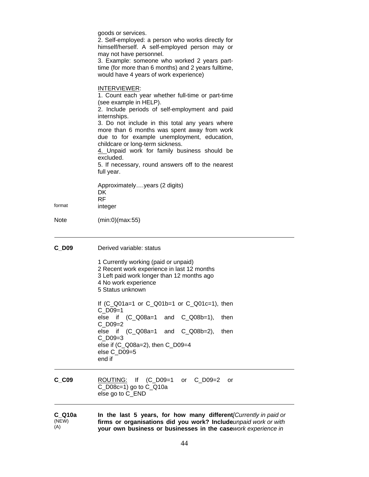(NEW) (A) **firms or organisations did you work? Include your own business or businesses in the case** *unpaid work or with work experience in*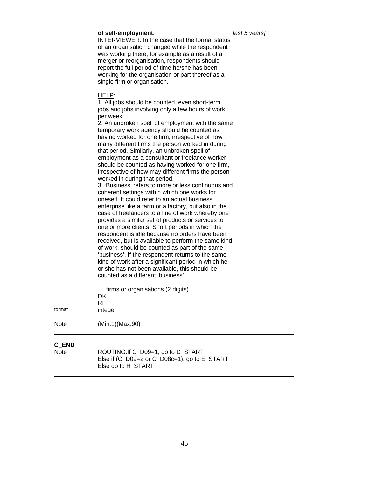#### **of self-employment.** *last 5 years]*

**INTERVIEWER:** In the case that the formal status of an organisation changed while the respondent was working there, for example as a result of a merger or reorganisation, respondents should report the full period of time he/she has been working for the organisation or part thereof as a single firm or organisation.

#### HELP:

1. All jobs should be counted, even short-term jobs and jobs involving only a few hours of work per week.

2. An unbroken spell of employment with the same temporary work agency should be counted as having worked for one firm, irrespective of how many different firms the person worked in during that period. Similarly, an unbroken spell of employment as a consultant or freelance worker should be counted as having worked for one firm, irrespective of how may different firms the person worked in during that period.

3. 'Business' refers to more or less continuous and coherent settings within which one works for oneself. It could refer to an actual business enterprise like a farm or a factory, but also in the case of freelancers to a line of work whereby one provides a similar set of products or services to one or more clients. Short periods in which the respondent is idle because no orders have been received, but is available to perform the same kind of work, should be counted as part of the same 'business'. If the respondent returns to the same kind of work after a significant period in which he or she has not been available, this should be counted as a different 'business'.

| format               | firms or organisations (2 digits)<br>DK.<br><b>RF</b><br>integer |  |
|----------------------|------------------------------------------------------------------|--|
| Note                 | (Min:1)(Max:90)                                                  |  |
| C_END<br><b>Note</b> | ROUTING: If C_D09=1, go to D_START                               |  |

Else if (C\_D09=2 or C\_D08c=1), go to E\_START Else go to H\_START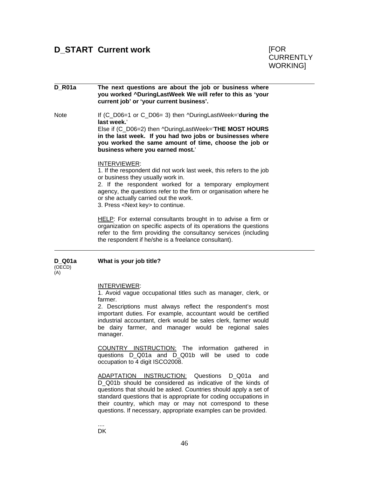# **D\_R01a** The next questions are about the job or business where **you worked ^DuringLastWeek We will refer to this as 'your current job' or 'your current business'.**

Note If (C\_D06=1 or C\_D06= 3) then ^DuringLastWeek='**during the last week.**' Else if (C\_D06=2) then ^DuringLastWeek='**THE MOST HOURS** 

**in the last week. If you had two jobs or businesses where you worked the same amount of time, choose the job or business where you earned most.**'

#### INTERVIEWER:

1. If the respondent did not work last week, this refers to the job or business they usually work in.

2. If the respondent worked for a temporary employment agency, the questions refer to the firm or organisation where he or she actually carried out the work.

3. Press <Next key> to continue.

HELP: For external consultants brought in to advise a firm or organization on specific aspects of its operations the questions refer to the firm providing the consultancy services (including the respondent if he/she is a freelance consultant).

**D\_Q01a**  (OECD) (A) **What is your job title?** 

INTERVIEWER:

1. Avoid vague occupational titles such as manager, clerk, or farmer.

2. Descriptions must always reflect the respondent's most important duties. For example, accountant would be certified industrial accountant, clerk would be sales clerk, farmer would be dairy farmer, and manager would be regional sales manager.

COUNTRY INSTRUCTION: The information gathered in questions D\_Q01a and D\_Q01b will be used to code occupation to 4 digit ISCO2008.

ADAPTATION INSTRUCTION: Questions D\_Q01a and D Q01b should be considered as indicative of the kinds of questions that should be asked. Countries should apply a set of standard questions that is appropriate for coding occupations in their country, which may or may not correspond to these questions. If necessary, appropriate examples can be provided.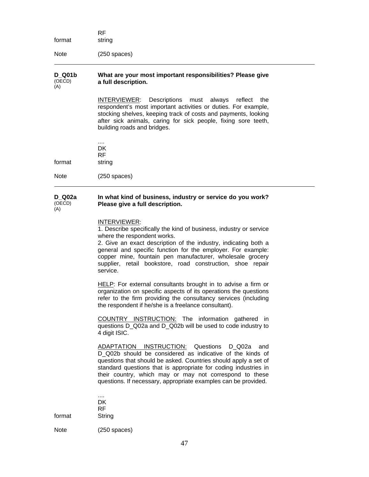RF format string Note (250 spaces)

#### **D\_Q01b**  (OECD) (A) **What are your most important responsibilities? Please give a full description.**

INTERVIEWER: Descriptions must always reflect the respondent's most important activities or duties. For example, stocking shelves, keeping track of costs and payments, looking after sick animals, caring for sick people, fixing sore teeth, building roads and bridges.

.... **DK**  RF format string

Note (250 spaces)

#### **D\_Q02a**  (OECD) (A) **In what kind of business, industry or service do you work? Please give a full description.**

### INTERVIEWER:

1. Describe specifically the kind of business, industry or service where the respondent works.

2. Give an exact description of the industry, indicating both a general and specific function for the employer. For example: copper mine, fountain pen manufacturer, wholesale grocery supplier, retail bookstore, road construction, shoe repair service.

HELP: For external consultants brought in to advise a firm or organization on specific aspects of its operations the questions refer to the firm providing the consultancy services (including the respondent if he/she is a freelance consultant).

COUNTRY INSTRUCTION: The information gathered in questions D\_Q02a and D\_Q02b will be used to code industry to 4 digit ISIC.

ADAPTATION INSTRUCTION: Questions D\_Q02a and D\_Q02b should be considered as indicative of the kinds of questions that should be asked. Countries should apply a set of standard questions that is appropriate for coding industries in their country, which may or may not correspond to these questions. If necessary, appropriate examples can be provided.

format String

Note (250 spaces)

.... DK RF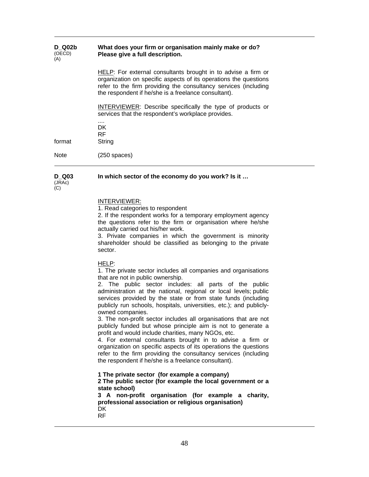| <b>D</b> Q02b<br>(OECD)<br>(A) | What does your firm or organisation mainly make or do?<br>Please give a full description.                                                                                                                                                                    |
|--------------------------------|--------------------------------------------------------------------------------------------------------------------------------------------------------------------------------------------------------------------------------------------------------------|
|                                | HELP: For external consultants brought in to advise a firm or<br>organization on specific aspects of its operations the questions<br>refer to the firm providing the consultancy services (including<br>the respondent if he/she is a freelance consultant). |
|                                | INTERVIEWER: Describe specifically the type of products or<br>services that the respondent's workplace provides.                                                                                                                                             |
| format                         | <br>DK.<br><b>RF</b><br>String                                                                                                                                                                                                                               |
| Note                           | (250 spaces)                                                                                                                                                                                                                                                 |

#### **D\_Q03 In which sector of the economy do you work? Is it …**

(JRAc)  $\overline{C}$ 

#### INTERVIEWER:

1. Read categories to respondent

2. If the respondent works for a temporary employment agency the questions refer to the firm or organisation where he/she actually carried out his/her work.

3. Private companies in which the government is minority shareholder should be classified as belonging to the private sector.

#### HELP:

1. The private sector includes all companies and organisations that are not in public ownership.

2. The public sector includes: all parts of the public administration at the national, regional or local levels; public services provided by the state or from state funds (including publicly run schools, hospitals, universities, etc.); and publiclyowned companies.

3. The non-profit sector includes all organisations that are not publicly funded but whose principle aim is not to generate a profit and would include charities, many NGOs, etc.

4. For external consultants brought in to advise a firm or organization on specific aspects of its operations the questions refer to the firm providing the consultancy services (including the respondent if he/she is a freelance consultant).

**1 The private sector (for example a company) 2 The public sector (for example the local government or a state school)** 

**3 A non-profit organisation (for example a charity, professional association or religious organisation) DK** RF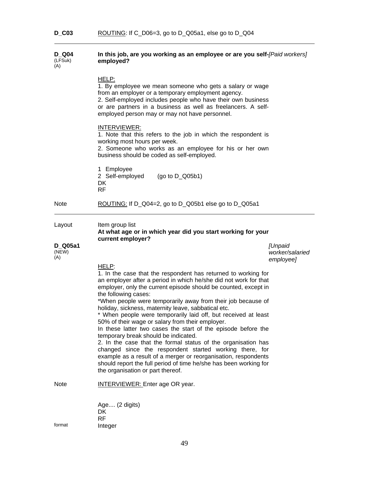#### **D\_Q04**  (LFSuk) (A) **In this job, are you working as an employee or are you selfemployed?**  *[Paid workers]*

|                                   | HELP:<br>1. By employee we mean someone who gets a salary or wage<br>from an employer or a temporary employment agency.<br>2. Self-employed includes people who have their own business<br>or are partners in a business as well as freelancers. A self-<br>employed person may or may not have personnel.<br><b>INTERVIEWER:</b><br>1. Note that this refers to the job in which the respondent is<br>working most hours per week.<br>2. Someone who works as an employee for his or her own<br>business should be coded as self-employed.                                                                                                                                                                                                                                                                                                                                                          |                                   |
|-----------------------------------|------------------------------------------------------------------------------------------------------------------------------------------------------------------------------------------------------------------------------------------------------------------------------------------------------------------------------------------------------------------------------------------------------------------------------------------------------------------------------------------------------------------------------------------------------------------------------------------------------------------------------------------------------------------------------------------------------------------------------------------------------------------------------------------------------------------------------------------------------------------------------------------------------|-----------------------------------|
|                                   | 1 Employee<br>2 Self-employed<br>(go to $D_Q(05b1)$<br>DK<br><b>RF</b>                                                                                                                                                                                                                                                                                                                                                                                                                                                                                                                                                                                                                                                                                                                                                                                                                               |                                   |
| <b>Note</b>                       | ROUTING: If D_Q04=2, go to D_Q05b1 else go to D_Q05a1                                                                                                                                                                                                                                                                                                                                                                                                                                                                                                                                                                                                                                                                                                                                                                                                                                                |                                   |
| Layout<br>D Q05a1<br>(NEW)<br>(A) | Item group list<br>At what age or in which year did you start working for your<br>current employer?                                                                                                                                                                                                                                                                                                                                                                                                                                                                                                                                                                                                                                                                                                                                                                                                  | <b>[Unpaid</b><br>worker/salaried |
|                                   | HELP:<br>1. In the case that the respondent has returned to working for<br>an employer after a period in which he/she did not work for that<br>employer, only the current episode should be counted, except in<br>the following cases:<br>*When people were temporarily away from their job because of<br>holiday, sickness, maternity leave, sabbatical etc.<br>* When people were temporarily laid off, but received at least<br>50% of their wage or salary from their employer.<br>In these latter two cases the start of the episode before the<br>temporary break should be indicated.<br>2. In the case that the formal status of the organisation has<br>changed since the respondent started working there, for<br>example as a result of a merger or reorganisation, respondents<br>should report the full period of time he/she has been working for<br>the organisation or part thereof. | employee]                         |
| <b>Note</b>                       | <b>INTERVIEWER:</b> Enter age OR year.                                                                                                                                                                                                                                                                                                                                                                                                                                                                                                                                                                                                                                                                                                                                                                                                                                                               |                                   |
| format                            | Age (2 digits)<br>DK<br><b>RF</b><br>Integer                                                                                                                                                                                                                                                                                                                                                                                                                                                                                                                                                                                                                                                                                                                                                                                                                                                         |                                   |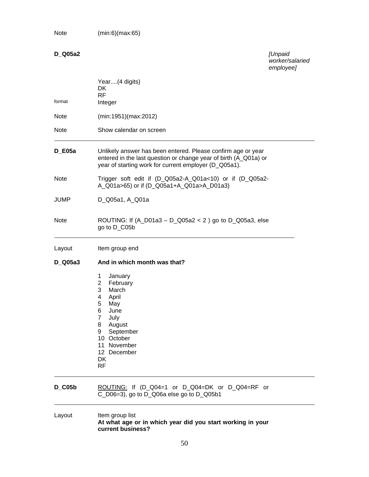Note (min:6)(max:65)

# **D\_Q05a2** *[Unpaid*

*worker/salaried employee]* 

| format      | Year(4 digits)<br><b>DK</b><br><b>RF</b><br>Integer                                                                                                                                                                       |
|-------------|---------------------------------------------------------------------------------------------------------------------------------------------------------------------------------------------------------------------------|
| <b>Note</b> | (min:1951)(max:2012)                                                                                                                                                                                                      |
| <b>Note</b> | Show calendar on screen                                                                                                                                                                                                   |
| $D_E05a$    | Unlikely answer has been entered. Please confirm age or year<br>entered in the last question or change year of birth (A_Q01a) or<br>year of starting work for current employer (D_Q05a1).                                 |
| <b>Note</b> | Trigger soft edit if (D_Q05a2-A_Q01a<10) or if (D_Q05a2-<br>A_Q01a>65) or if (D_Q05a1+A_Q01a>A_D01a3)                                                                                                                     |
| <b>JUMP</b> | D_Q05a1, A_Q01a                                                                                                                                                                                                           |
| <b>Note</b> | ROUTING: If $(A_0D1a3 - D_005a2 < 2)$ go to D_Q05a3, else<br>go to D_C05b                                                                                                                                                 |
| Layout      | Item group end                                                                                                                                                                                                            |
| D_Q05a3     | And in which month was that?                                                                                                                                                                                              |
|             | January<br>1<br>$\overline{2}$<br>February<br>3<br>March<br>April<br>4<br>5<br>May<br>6<br>June<br>$\overline{7}$<br>July<br>8<br>August<br>September<br>9<br>10 October<br>11 November<br>12 December<br>DK<br><b>RF</b> |
| $D_{C}05b$  | ROUTING: If (D_Q04=1 or D_Q04=DK or D_Q04=RF or<br>C_D06=3), go to D_Q06a else go to D_Q05b1                                                                                                                              |

# Layout ltem group list  **At what age or in which year did you start working in your current business?**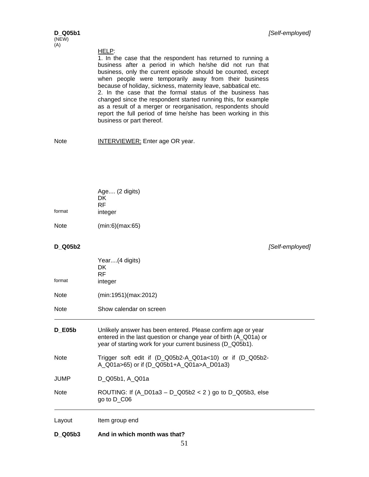# HELP:

1. In the case that the respondent has returned to running a business after a period in which he/she did not run that business, only the current episode should be counted, except when people were temporarily away from their business because of holiday, sickness, maternity leave, sabbatical etc. 2. In the case that the formal status of the business has changed since the respondent started running this, for example as a result of a merger or reorganisation, respondents should report the full period of time he/she has been working in this business or part thereof.

Note **INTERVIEWER:** Enter age OR year.

| Age (2 digits) |
|----------------|
| DK             |
| RF             |
| integer        |
|                |

Note (min:6)(max:65)

**D\_Q05b2** *[Self-employed]* 

| format        | Year(4 digits)<br>DK.<br><b>RF</b><br>integer                                                                                                                                                  |  |  |  |
|---------------|------------------------------------------------------------------------------------------------------------------------------------------------------------------------------------------------|--|--|--|
| Note          | (min:1951)(max:2012)                                                                                                                                                                           |  |  |  |
| Note          | Show calendar on screen                                                                                                                                                                        |  |  |  |
| <b>D_E05b</b> | Unlikely answer has been entered. Please confirm age or year<br>entered in the last question or change year of birth (A_Q01a) or<br>year of starting work for your current business (D_Q05b1). |  |  |  |
| <b>Note</b>   | Trigger soft edit if $(D_Q05b2-A_Q01a<10)$ or if $(D_Q05b2-A_Q01a<10)$<br>A_Q01a>65) or if (D_Q05b1+A_Q01a>A_D01a3)                                                                            |  |  |  |
| JUMP          | D_Q05b1, A_Q01a                                                                                                                                                                                |  |  |  |
| Note          | ROUTING: If $(A_0D1a3 - D_005b2 < 2)$ go to D_Q05b3, else<br>go to $D_{C}06$                                                                                                                   |  |  |  |
| Layout        | Item group end                                                                                                                                                                                 |  |  |  |
|               |                                                                                                                                                                                                |  |  |  |

**D\_Q05b3 And in which month was that?**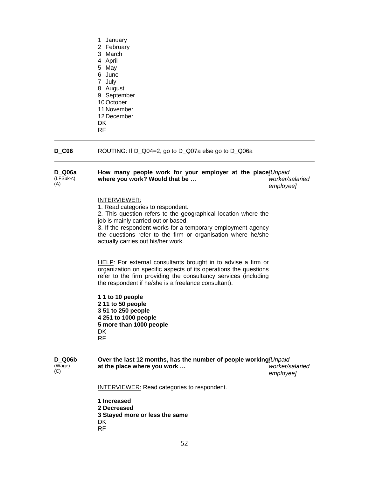- 1 January 2 February 3 March 4 April 5 May 6 June 7 July 8 August 9 September 10 October 11 November 12 December
- **DK**
- RF

# **D\_C06** ROUTING: If D\_Q04=2, go to D\_Q07a else go to D\_Q06a

| D Q06a    | How many people work for your employer at the place [Unpaid] |                 |
|-----------|--------------------------------------------------------------|-----------------|
| (LFSuk-c) | where you work? Would that be                                | worker/salaried |
| (A)       |                                                              | emplovee]       |

### INTERVIEWER:

1. Read categories to respondent.

2. This question refers to the geographical location where the job is mainly carried out or based.

3. If the respondent works for a temporary employment agency the questions refer to the firm or organisation where he/she actually carries out his/her work.

HELP: For external consultants brought in to advise a firm or organization on specific aspects of its operations the questions refer to the firm providing the consultancy services (including the respondent if he/she is a freelance consultant).

**1 1 to 10 people 2 11 to 50 people 3 51 to 250 people 4 251 to 1000 people 5 more than 1000 people**  DK RF

**D\_Q06b**  (Wage)  $(C)$ **Over the last 12 months, has the number of people working** *[Unpaid*  **at the place where you work …**  *worker/salaried employee]* 

**INTERVIEWER:** Read categories to respondent.

**1 Increased 2 Decreased 3 Stayed more or less the same DK** RF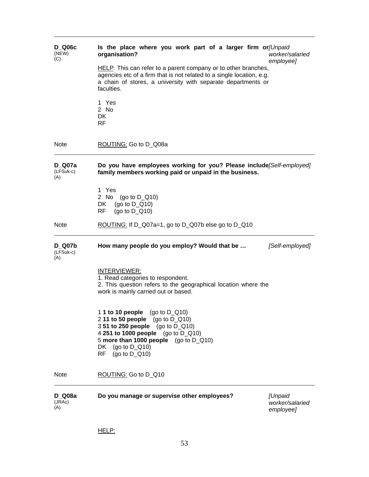| <b>D</b> Q06c<br>(NEW)<br>(C)     | Is the place where you work part of a larger firm or/Unpaid<br>organisation?<br>worker/salaried<br>employee]                                                                                                                                        |  |  |
|-----------------------------------|-----------------------------------------------------------------------------------------------------------------------------------------------------------------------------------------------------------------------------------------------------|--|--|
|                                   | HELP: This can refer to a parent company or to other branches,<br>agencies etc of a firm that is not related to a single location, e.g.<br>a chain of stores, a university with separate departments or<br>faculties.                               |  |  |
|                                   | 1 Yes<br>2 No<br>DK<br>RF                                                                                                                                                                                                                           |  |  |
| <b>Note</b>                       | ROUTING: Go to D_Q08a                                                                                                                                                                                                                               |  |  |
| D Q07a<br>(LFSuk-c)<br>(A)        | Do you have employees working for you? Please include/Self-employed]<br>family members working paid or unpaid in the business.                                                                                                                      |  |  |
|                                   | 1 Yes<br>2 No (go to $D_Q(10)$<br>(go to $D_Q$ 10)<br>DK.<br>(go to $D_Q(10)$<br>RF                                                                                                                                                                 |  |  |
| <b>Note</b>                       | ROUTING: If $D_Q07a=1$ , go to $D_Q07b$ else go to $D_Q10$                                                                                                                                                                                          |  |  |
|                                   |                                                                                                                                                                                                                                                     |  |  |
| <b>D</b> Q07b<br>(LFSuk-c)<br>(A) | How many people do you employ? Would that be<br>[Self-employed]                                                                                                                                                                                     |  |  |
|                                   | INTERVIEWER:<br>1. Read categories to respondent.<br>2. This question refers to the geographical location where the<br>work is mainly carried out or based.                                                                                         |  |  |
|                                   | 1 <b>1 to 10 people</b> (go to D_Q10)<br>2 11 to 50 people (go to $D_Q(10)$ )<br>3 51 to 250 people (go to D_Q10)<br>4 251 to 1000 people (go to D_Q10)<br>5 more than 1000 people $(go to D_Q10)$<br>DK (go to $D_Q$ 10)<br>RF.<br>$(qo to D_Q10)$ |  |  |
| <b>Note</b>                       | ROUTING: Go to D_Q10                                                                                                                                                                                                                                |  |  |
| <b>D_Q08a</b><br>(JRAc)<br>(A)    | Do you manage or supervise other employees?<br><b>[Unpaid</b><br>worker/salaried<br>employee]                                                                                                                                                       |  |  |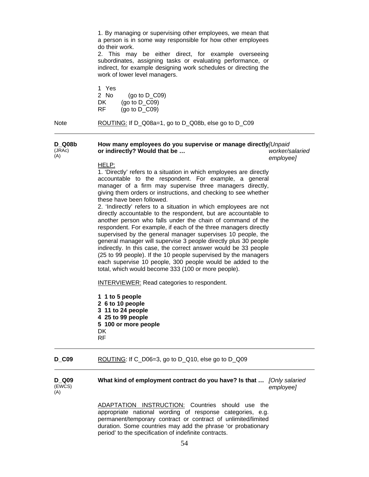1. By managing or supervising other employees, we mean that a person is in some way responsible for how other employees do their work.

2. This may be either direct, for example overseeing subordinates, assigning tasks or evaluating performance, or indirect, for example designing work schedules or directing the work of lower level managers.

1 Yes  $(qo to D CO9)$ DK (go to D\_C09) RF (go to D\_C09)

Note ROUTING: If D\_Q08a=1, go to D\_Q08b, else go to D\_C09

**D\_Q08b**  (JRAc) (A) **How many employees do you supervise or manage directly** *[Unpaid*  **or indirectly? Would that be …**  *worker/salaried* 

*employee]* 

#### HELP:

1. 'Directly' refers to a situation in which employees are directly accountable to the respondent. For example, a general manager of a firm may supervise three managers directly, giving them orders or instructions, and checking to see whether these have been followed.

2. 'Indirectly' refers to a situation in which employees are not directly accountable to the respondent, but are accountable to another person who falls under the chain of command of the respondent. For example, if each of the three managers directly supervised by the general manager supervises 10 people, the general manager will supervise 3 people directly plus 30 people indirectly. In this case, the correct answer would be 33 people (25 to 99 people). If the 10 people supervised by the managers each supervise 10 people, 300 people would be added to the total, which would become 333 (100 or more people).

INTERVIEWER: Read categories to respondent.

**1 1 to 5 people 2 6 to 10 people 3 11 to 24 people 4 25 to 99 people 5 100 or more people**  DK RF

#### **D\_C09** ROUTING: If C\_D06=3, go to D\_Q10, else go to D\_Q09

| D Q09  |  |
|--------|--|
| (EWCS) |  |
| (A)    |  |

**What kind of employment contract do you have? Is that …** *[Only salaried employee]* 

ADAPTATION INSTRUCTION: Countries should use the appropriate national wording of response categories, e.g. permanent/temporary contract or contract of unlimited/limited duration. Some countries may add the phrase 'or probationary period' to the specification of indefinite contracts.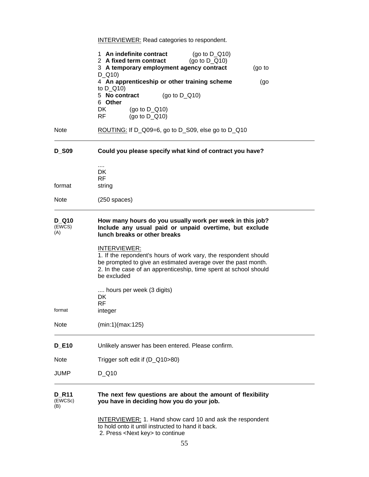**INTERVIEWER:** Read categories to respondent.

|                                           | 1 An indefinite contract<br>(go to $D_Q(10)$<br>2 A fixed term contract<br>(go to $D_Q(10)$<br>3 A temporary employment agency contract<br>$D_Q(10)$                                                                                       | (90 t) |  |  |
|-------------------------------------------|--------------------------------------------------------------------------------------------------------------------------------------------------------------------------------------------------------------------------------------------|--------|--|--|
|                                           | 4 An apprenticeship or other training scheme                                                                                                                                                                                               | (go    |  |  |
|                                           | to $D_Q(10)$<br>5 No contract<br>(go to $D_Q(10)$                                                                                                                                                                                          |        |  |  |
|                                           | 6 Other<br>DK<br>(go to $D_Q(10)$<br>RF<br>(go to $D$ Q10)                                                                                                                                                                                 |        |  |  |
| <b>Note</b>                               | ROUTING: If D_Q09=6, go to D_S09, else go to D_Q10                                                                                                                                                                                         |        |  |  |
| <b>D_S09</b>                              | Could you please specify what kind of contract you have?                                                                                                                                                                                   |        |  |  |
| format                                    | $\cdots$<br>DK<br><b>RF</b><br>string                                                                                                                                                                                                      |        |  |  |
| <b>Note</b>                               | $(250$ spaces)                                                                                                                                                                                                                             |        |  |  |
| <b>D</b> Q <sub>10</sub><br>(EWCS)<br>(A) | How many hours do you usually work per week in this job?<br>Include any usual paid or unpaid overtime, but exclude<br>lunch breaks or other breaks                                                                                         |        |  |  |
|                                           | <b>INTERVIEWER:</b><br>1. If the repondent's hours of work vary, the respondent should<br>be prompted to give an estimated average over the past month.<br>2. In the case of an apprenticeship, time spent at school should<br>be excluded |        |  |  |
| format                                    | hours per week (3 digits)<br>DK<br>RF.<br>integer                                                                                                                                                                                          |        |  |  |
| <b>Note</b>                               | (min:1)(max:125)                                                                                                                                                                                                                           |        |  |  |
| <b>D_E10</b>                              | Unlikely answer has been entered. Please confirm.                                                                                                                                                                                          |        |  |  |
| <b>Note</b>                               | Trigger soft edit if (D_Q10>80)                                                                                                                                                                                                            |        |  |  |
| JUMP                                      | $D_$ Q10                                                                                                                                                                                                                                   |        |  |  |
| <b>D</b> R11<br>(EWCSc)<br>(B)            | The next few questions are about the amount of flexibility<br>you have in deciding how you do your job.                                                                                                                                    |        |  |  |
|                                           | <b>INTERVIEWER: 1. Hand show card 10 and ask the respondent</b><br>to hold onto it until instructed to hand it back.<br>2. Press <next key=""> to continue</next>                                                                          |        |  |  |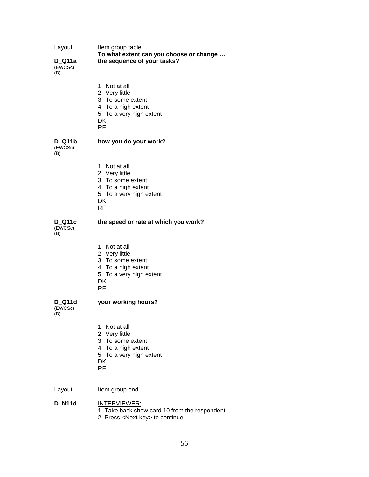| Item group table<br>Layout<br>To what extent can you choose or change<br>the sequence of your tasks?<br>$D_Q$ 11a<br>(EWCSc)<br>(B) |                                                                                                                                 |  |  |
|-------------------------------------------------------------------------------------------------------------------------------------|---------------------------------------------------------------------------------------------------------------------------------|--|--|
|                                                                                                                                     | 1 Not at all<br>2 Very little<br>3 To some extent<br>4 To a high extent<br>5 To a very high extent<br>DK<br><b>RF</b>           |  |  |
| <b>D_Q11b</b><br>(EWCSc)<br>(B)                                                                                                     | how you do your work?                                                                                                           |  |  |
|                                                                                                                                     | Not at all<br>1<br>2 Very little<br>3 To some extent<br>4 To a high extent<br>5 To a very high extent<br>DK<br><b>RF</b>        |  |  |
| <b>D_Q11c</b><br>(EWCSc)<br>(B)                                                                                                     | the speed or rate at which you work?                                                                                            |  |  |
|                                                                                                                                     | 1 Not at all<br>2 Very little<br>3 To some extent<br>4 To a high extent<br>5 To a very high extent<br>DK<br>RF                  |  |  |
| D_Q11d<br>(EWCSc)<br>(B)                                                                                                            | your working hours?                                                                                                             |  |  |
|                                                                                                                                     | Not at all<br>1<br>2 Very little<br>3 To some extent<br>4 To a high extent<br>5 To a very high extent<br><b>DK</b><br><b>RF</b> |  |  |
| Layout                                                                                                                              | Item group end                                                                                                                  |  |  |
| <b>D_N11d</b>                                                                                                                       | <b>INTERVIEWER:</b><br>1. Take back show card 10 from the respondent.                                                           |  |  |

2. Press <Next key> to continue.

 $\overline{\phantom{0}}$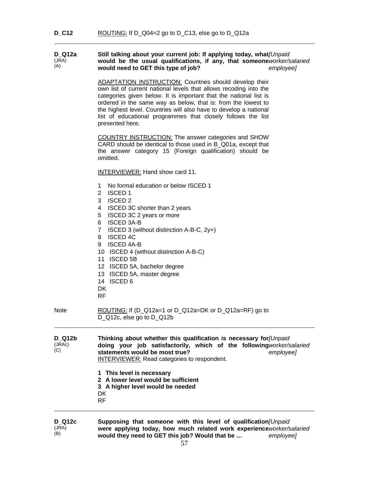#### **D\_Q12a**  (JRA) (A) Still talking about your current job: If applying today, what[Unpaid would be the usual qualifications, if any, that someone worker/salaried **would need to GET this type of job?**  *employee]*

ADAPTATION INSTRUCTION: Countries should develop their own list of current national levels that allows recoding into the categories given below. It is important that the national list is ordered in the same way as below, that is: from the lowest to the highest level. Countries will also have to develop a national list of educational programmes that closely follows the list presented here.

COUNTRY INSTRUCTION: The answer categories and SHOW CARD should be identical to those used in B\_Q01a, except that the answer category 15 (Foreign qualification) should be omitted.

INTERVIEWER: Hand show card 11.

- 1 No formal education or below ISCED 1
- 2 ISCED 1
- 3 ISCED 2
- 4 ISCED 3C shorter than 2 years
- 5 ISCED 3C 2 years or more
- 6 ISCED 3A-B
- 7 ISCED 3 (without distinction A-B-C, 2y+)
- 8 ISCED 4C
- 9 ISCED 4A-B
- 10 ISCED 4 (without distinction A-B-C)
- 11 ISCED 5B
- 12 ISCED 5A, bachelor degree
- 13 ISCED 5A, master degree
- 14 ISCED 6
- **DK**
- RF

Note ROUTING: If (D\_Q12a=1 or D\_Q12a=DK or D\_Q12a=RF) go to D\_Q12c, else go to D\_Q12b

| D Q12b        | Thinking about whether this qualification is necessary for [Unpaid]                                                                                    |           |  |  |
|---------------|--------------------------------------------------------------------------------------------------------------------------------------------------------|-----------|--|--|
| (JRAc)<br>(C) | doing your job satisfactorily, which of the following worker/salaried<br>statements would be most true?<br>INTERVIEWER: Read categories to respondent. | emplovee] |  |  |

- **1 This level is necessary**
- **2 A lower level would be sufficient**
- **3 A higher level would be needed**
- DK
- RF

**D\_Q12c**  (JRA) (B) **Supposing that someone with this level of qualification** *[Unpaid*  were applying today, how much related work experience worker/salaried **would they need to GET this job? Would that be …**  *employee]*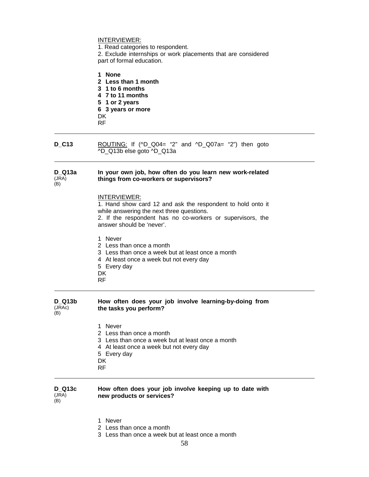### INTERVIEWER:

1. Read categories to respondent.

2. Exclude internships or work placements that are considered part of formal education.

**1 None** 

- **2 Less than 1 month**
- **3 1 to 6 months**
- **4 7 to 11 months**
- **5 1 or 2 years**
- **6 3 years or more**
- DK
- RF

**D\_C13** ROUTING: If (^D\_Q04= "2" and ^D\_Q07a= "2") then goto ^D\_Q13b else goto ^D\_Q13a

#### **D\_Q13a**  (JRA) **In your own job, how often do you learn new work-related things from co-workers or supervisors?**

(B)

#### INTERVIEWER:

1. Hand show card 12 and ask the respondent to hold onto it while answering the next three questions.

2. If the respondent has no co-workers or supervisors, the answer should be 'never'.

1 Never

- 2 Less than once a month
- 3 Less than once a week but at least once a month
- 4 At least once a week but not every day
- 5 Every day
- DK
- RF

#### **D\_Q13b**   $($ J $\overline{R}$ Ac $)$ (B) **How often does your job involve learning-by-doing from the tasks you perform?**

- 1 Never
- 2 Less than once a month
- 3 Less than once a week but at least once a month
- 4 At least once a week but not every day
- 5 Every day
- DK
- RF

#### **D\_Q13c**   $(JRA)$ **How often does your job involve keeping up to date with new products or services?**

- $(B)$
- - 1 Never 2 Less than once a month
	- 3 Less than once a week but at least once a month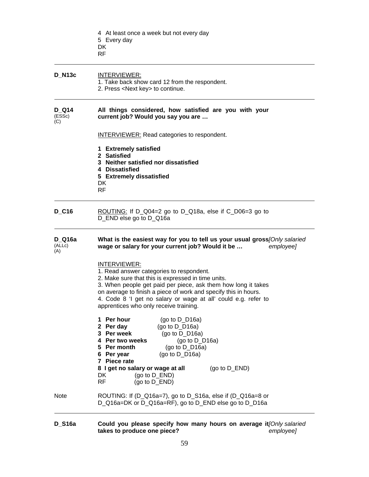|                               | 4 At least once a week but not every day<br>5 Every day<br>DK<br>RF                                                                                                                                                                                                                                                                                            |
|-------------------------------|----------------------------------------------------------------------------------------------------------------------------------------------------------------------------------------------------------------------------------------------------------------------------------------------------------------------------------------------------------------|
| <b>D_N13c</b>                 | INTERVIEWER:<br>1. Take back show card 12 from the respondent.<br>2. Press <next key=""> to continue.</next>                                                                                                                                                                                                                                                   |
| <b>D</b> Q14<br>(ESSc)<br>(C) | All things considered, how satisfied are you with your<br>current job? Would you say you are                                                                                                                                                                                                                                                                   |
|                               | <b>INTERVIEWER:</b> Read categories to respondent.                                                                                                                                                                                                                                                                                                             |
|                               | 1 Extremely satisfied<br>2 Satisfied<br>3 Neither satisfied nor dissatisfied<br>4 Dissatisfied<br>5 Extremely dissatisfied<br>DK<br>RF                                                                                                                                                                                                                         |
| <b>D_C16</b>                  | ROUTING: If $D_Q04=2$ go to $D_Q18a$ , else if $C_D06=3$ go to<br>D_END else go to D_Q16a                                                                                                                                                                                                                                                                      |
| D_Q16a<br>(ALLc)<br>(A)       | What is the easiest way for you to tell us your usual gross[Only salaried<br>wage or salary for your current job? Would it be<br>employee]                                                                                                                                                                                                                     |
|                               | INTERVIEWER:<br>1. Read answer categories to respondent.<br>2. Make sure that this is expressed in time units.<br>3. When people get paid per piece, ask them how long it takes<br>on average to finish a piece of work and specify this in hours.<br>4. Code 8 'I get no salary or wage at all' could e.g. refer to<br>apprentices who only receive training. |
|                               | 1 Per hour<br>(go to $D_D16a$ )<br>2 Per day<br>(go to $D_D16a$ )<br>3 Per week<br>(go to $D_D16a$ )<br>(go to $D_D16a$ )<br>4 Per two weeks<br>5 Per month<br>(go to $D_D16a$ )<br>6 Per year<br>(go to $D_D16a$ )<br>7 Piece rate                                                                                                                            |
|                               | 8 I get no salary or wage at all<br>(go to $D$ _END)<br>DK<br>(go to D_END)<br><b>RF</b><br>(go to D_END)                                                                                                                                                                                                                                                      |
| <b>Note</b>                   | ROUTING: If (D_Q16a=7), go to D_S16a, else if (D_Q16a=8 or<br>D_Q16a=DK or D_Q16a=RF), go to D_END else go to D_D16a                                                                                                                                                                                                                                           |

**D\_S16a Could you please specify how many hours on average it takes to produce one piece?**  *[Only salaried employee]*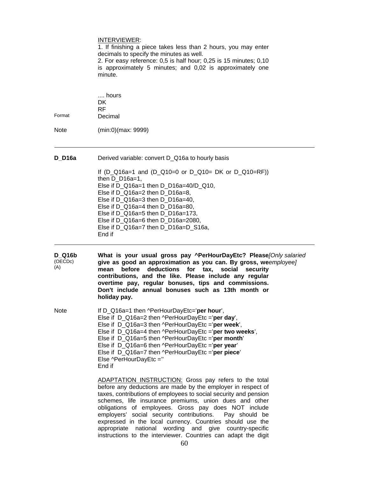|                          | INTERVIEWER:<br>1. If finishing a piece takes less than 2 hours, you may enter<br>decimals to specify the minutes as well.<br>2. For easy reference: 0,5 is half hour; 0,25 is 15 minutes; 0,10<br>is approximately 5 minutes; and 0,02 is approximately one<br>minute.                                                                                                                                                                                                                                                                                                            |
|--------------------------|------------------------------------------------------------------------------------------------------------------------------------------------------------------------------------------------------------------------------------------------------------------------------------------------------------------------------------------------------------------------------------------------------------------------------------------------------------------------------------------------------------------------------------------------------------------------------------|
| Format                   | hours<br>DK.<br>RF.<br>Decimal                                                                                                                                                                                                                                                                                                                                                                                                                                                                                                                                                     |
| Note                     | (min:0)(max: 9999)                                                                                                                                                                                                                                                                                                                                                                                                                                                                                                                                                                 |
| $D_$ D16a                | Derived variable: convert D_Q16a to hourly basis<br>If $(D_Q16a=1$ and $(D_Q10=0$ or $D_Q10=DK$ or $D_Q10=RF)$ )<br>then $D_D16a=1$ ,<br>Else if D_Q16a=1 then D_D16a=40/D_Q10,<br>Else if D_Q16a=2 then D_D16a=8,<br>Else if D Q16a=3 then D D16a=40,<br>Else if D_Q16a=4 then D_D16a=80,<br>Else if D_Q16a=5 then D_D16a=173,<br>Else if D_Q16a=6 then D_D16a=2080,<br>Else if D_Q16a=7 then D_D16a=D_S16a,<br>End if                                                                                                                                                            |
| D Q16b<br>(OECDc)<br>(A) | What is your usual gross pay ^PerHourDayEtc? Please[Only salaried<br>give as good an approximation as you can. By gross, weemployee]<br>before deductions for tax,<br>social<br>mean<br>security<br>contributions, and the like. Please include any regular<br>overtime pay, regular bonuses, tips and commissions.<br>Don't include annual bonuses such as 13th month or<br>holiday pay.                                                                                                                                                                                          |
| <b>Note</b>              | If D Q16a=1 then ^PerHourDayEtc='per hour',<br>Else if D_Q16a=2 then ^PerHourDayEtc ='per day',<br>Else if D_Q16a=3 then ^PerHourDayEtc ='per week',<br>Else if D Q16a=4 then ^PerHourDayEtc ='per two weeks',<br>Else if D_Q16a=5 then ^PerHourDayEtc ='per month'<br>Else if D_Q16a=6 then ^PerHourDayEtc ='per year'<br>Else if D_Q16a=7 then ^PerHourDayEtc ='per piece'<br>Else ^PerHourDayEtc ="<br>End if                                                                                                                                                                   |
|                          | <b>ADAPTATION INSTRUCTION:</b> Gross pay refers to the total<br>before any deductions are made by the employer in respect of<br>taxes, contributions of employees to social security and pension<br>schemes, life insurance premiums, union dues and other<br>obligations of employees. Gross pay does NOT include<br>employers' social security contributions.<br>Pay should be<br>expressed in the local currency. Countries should use the<br>national wording and<br>give<br>appropriate<br>country-specific<br>instructions to the interviewer. Countries can adapt the digit |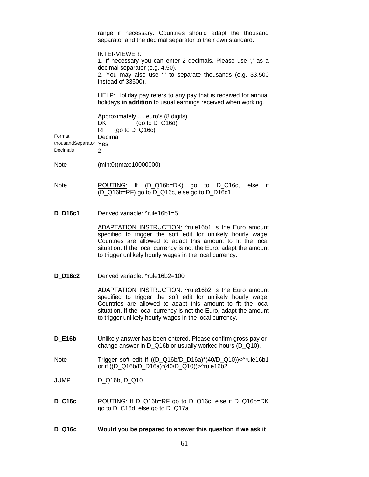|                                             | range if necessary. Countries should adapt the thousand<br>separator and the decimal separator to their own standard.                                                                                                                                                                                                |  |
|---------------------------------------------|----------------------------------------------------------------------------------------------------------------------------------------------------------------------------------------------------------------------------------------------------------------------------------------------------------------------|--|
|                                             | INTERVIEWER:<br>1. If necessary you can enter 2 decimals. Please use ',' as a<br>decimal separator (e.g. 4,50).<br>2. You may also use '.' to separate thousands (e.g. 33.500<br>instead of 33500).                                                                                                                  |  |
|                                             | HELP: Holiday pay refers to any pay that is received for annual<br>holidays in addition to usual earnings received when working.                                                                                                                                                                                     |  |
| Format<br>thousandSeparator Yes<br>Decimals | Approximately  euro's (8 digits)<br>(go to $D_C16d$ )<br>DK.<br><b>RF</b><br>(go to $D_Q16c$ )<br>Decimal<br>2                                                                                                                                                                                                       |  |
| Note                                        | (min:0)(max:10000000)                                                                                                                                                                                                                                                                                                |  |
| Note                                        | ROUTING: If (D_Q16b=DK) go to D_C16d, else if<br>(D Q16b=RF) go to D Q16c, else go to D D16c1                                                                                                                                                                                                                        |  |
| <b>D_D16c1</b>                              | Derived variable: ^rule16b1=5                                                                                                                                                                                                                                                                                        |  |
|                                             | ADAPTATION INSTRUCTION: ^rule16b1 is the Euro amount<br>specified to trigger the soft edit for unlikely hourly wage.<br>Countries are allowed to adapt this amount to fit the local<br>situation. If the local currency is not the Euro, adapt the amount<br>to trigger unlikely hourly wages in the local currency. |  |
| <b>D</b> D16c2                              | Derived variable: ^rule16b2=100                                                                                                                                                                                                                                                                                      |  |
|                                             | ADAPTATION INSTRUCTION: ^rule16b2 is the Euro amount<br>specified to trigger the soft edit for unlikely hourly wage.<br>Countries are allowed to adapt this amount to fit the local<br>situation. If the local currency is not the Euro, adapt the amount<br>to trigger unlikely hourly wages in the local currency. |  |
| <b>D_E16b</b>                               | Unlikely answer has been entered. Please confirm gross pay or<br>change answer in D_Q16b or usually worked hours (D_Q10).                                                                                                                                                                                            |  |
| Note                                        | Trigger soft edit if ((D_Q16b/D_D16a)*(40/D_Q10))<^rule16b1<br>or if ((D_Q16b/D_D16a)*(40/D_Q10))>^rule16b2                                                                                                                                                                                                          |  |
| JUMP                                        | D_Q16b, D_Q10                                                                                                                                                                                                                                                                                                        |  |
| <b>D_C16c</b>                               | ROUTING: If D_Q16b=RF go to D_Q16c, else if D_Q16b=DK<br>go to D_C16d, else go to D_Q17a                                                                                                                                                                                                                             |  |
|                                             |                                                                                                                                                                                                                                                                                                                      |  |

| <b>D_Q16c</b> |  |  | Would you be prepared to answer this question if we ask it |
|---------------|--|--|------------------------------------------------------------|
|---------------|--|--|------------------------------------------------------------|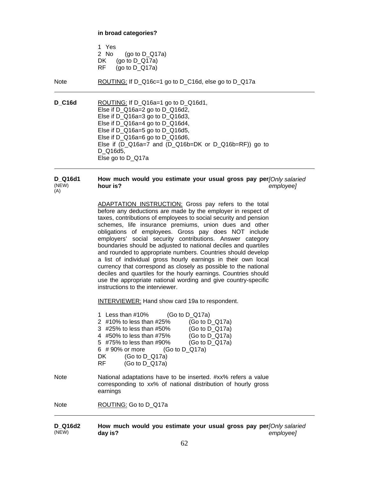**in broad categories?** 

|     | 1 Yes |                   |
|-----|-------|-------------------|
|     | 2 No  | (go to $D_Q$ 17a) |
| DK. |       | (go to $D_Q$ 17a) |
| RF. |       | (go to $D_Q$ 17a) |

Note ROUTING: If D\_Q16c=1 go to D\_C16d, else go to D\_Q17a

**D\_C16d** ROUTING: If D\_Q16a=1 go to D\_Q16d1, Else if D\_Q16a=2 go to D\_Q16d2, Else if D\_Q16a=3 go to D\_Q16d3, Else if D\_Q16a=4 go to D\_Q16d4, Else if D Q16a=5 go to D Q16d5, Else if D\_Q16a=6 go to D\_Q16d6, Else if (D\_Q16a=7 and (D\_Q16b=DK or D\_Q16b=RF)) go to D\_Q16d5, Else go to D\_Q17a

**D\_Q16d1**  (NEW) (A) **How much would you estimate your usual gross pay per** *[Only salaried*  **hour is?**  *employee]* 

> ADAPTATION INSTRUCTION: Gross pay refers to the total before any deductions are made by the employer in respect of taxes, contributions of employees to social security and pension schemes, life insurance premiums, union dues and other obligations of employees. Gross pay does NOT include employers' social security contributions. Answer category boundaries should be adjusted to national deciles and quartiles and rounded to appropriate numbers. Countries should develop a list of individual gross hourly earnings in their own local currency that correspond as closely as possible to the national deciles and quartiles for the hourly earnings. Countries should use the appropriate national wording and give country-specific instructions to the interviewer.

INTERVIEWER: Hand show card 19a to respondent.

|      | 1 Less than $\#10\%$ (Go to D Q17a)<br>2 #10% to less than #25%<br>(Go to $D_Q$ 17a)<br>(Go to $D_Q$ 17a)<br>3 #25% to less than #50%<br>4 #50% to less than #75% (Go to D_Q17a)<br>(Go to $D_Q$ 17a)<br>5 #75% to less than #90%<br>6 #90% or more $(Go to D Q17a)$<br>(Go to D $Q17a$ )<br>DK<br>(Go to $D$ Q17a)<br>RF - |
|------|-----------------------------------------------------------------------------------------------------------------------------------------------------------------------------------------------------------------------------------------------------------------------------------------------------------------------------|
| Note | National adaptations have to be inserted. #xx% refers a value<br>corresponding to xx% of national distribution of hourly gross<br>earnings                                                                                                                                                                                  |
| Note | ROUTING: Go to D Q17a                                                                                                                                                                                                                                                                                                       |

**D\_Q16d2**  (NEW) **How much would you estimate your usual gross pay per** *[Only salaried*  **day is?** *employee]*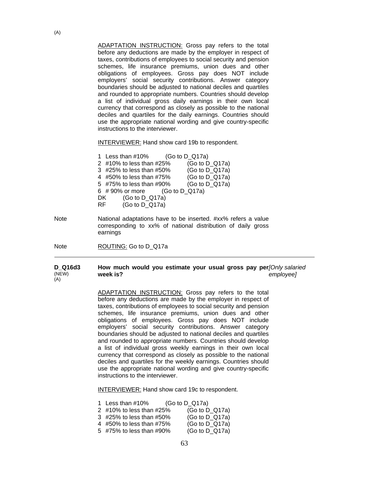ADAPTATION INSTRUCTION: Gross pay refers to the total before any deductions are made by the employer in respect of taxes, contributions of employees to social security and pension schemes, life insurance premiums, union dues and other obligations of employees. Gross pay does NOT include employers' social security contributions. Answer category boundaries should be adjusted to national deciles and quartiles and rounded to appropriate numbers. Countries should develop a list of individual gross daily earnings in their own local currency that correspond as closely as possible to the national deciles and quartiles for the daily earnings. Countries should use the appropriate national wording and give country-specific instructions to the interviewer.

INTERVIEWER: Hand show card 19b to respondent.

| 1 Less than #10%                | (Go to $D_Q$ 17a) |                   |
|---------------------------------|-------------------|-------------------|
| 2 #10% to less than #25%        |                   | (Go to $D_Q$ 17a) |
| 3 #25% to less than #50%        |                   | (Go to D_Q17a)    |
| 4 #50% to less than #75%        |                   | (Go to $D_Q$ 17a) |
| 5 #75% to less than #90%        |                   | (Go to D_Q17a)    |
| 6 #90% or more $(Go to D_Q17a)$ |                   |                   |
| (Go to $D_Q$ 17a)<br>DK         |                   |                   |
| (Go to D Q17a)<br>RF.           |                   |                   |
|                                 |                   |                   |

Note National adaptations have to be inserted. #xx% refers a value corresponding to xx% of national distribution of daily gross earnings

Note ROUTING: Go to D\_Q17a

#### **D\_Q16d3**  (NEW) (A) **How much would you estimate your usual gross pay per** *[Only salaried*  **week is?** *employee]*

ADAPTATION INSTRUCTION: Gross pay refers to the total before any deductions are made by the employer in respect of taxes, contributions of employees to social security and pension schemes, life insurance premiums, union dues and other obligations of employees. Gross pay does NOT include employers' social security contributions. Answer category boundaries should be adjusted to national deciles and quartiles and rounded to appropriate numbers. Countries should develop a list of individual gross weekly earnings in their own local currency that correspond as closely as possible to the national deciles and quartiles for the weekly earnings. Countries should use the appropriate national wording and give country-specific instructions to the interviewer.

INTERVIEWER: Hand show card 19c to respondent.

| 1 Less than #10%         | (Go to $D_Q$ 17a) |
|--------------------------|-------------------|
| 2 #10% to less than #25% | (Go to $D_Q$ 17a) |
| 3 #25% to less than #50% | (Go to $D_Q$ 17a) |
| 4 #50% to less than #75% | (Go to $D_Q$ 17a) |
| 5 #75% to less than #90% | (Go to $D_Q$ 17a) |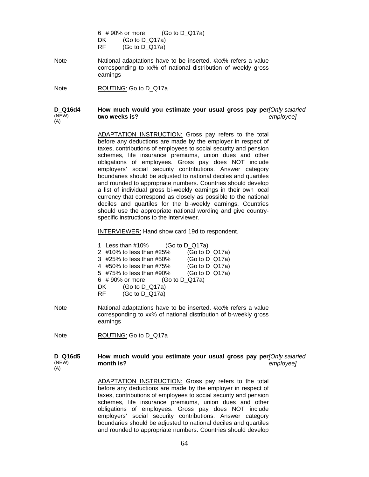6 # 90% or more (Go to D\_Q17a) DK **(Go to D\_Q17a)** RF(Go to D\_Q17a)

Note National adaptations have to be inserted. #xx% refers a value corresponding to xx% of national distribution of weekly gross earnings

Note ROUTING: Go to D\_Q17a

#### **D\_Q16d4**  (NEW)  $(A)$ **How much would you estimate your usual gross pay per** *[Only salaried*  **two weeks is?** *employee]*

ADAPTATION INSTRUCTION: Gross pay refers to the total before any deductions are made by the employer in respect of taxes, contributions of employees to social security and pension schemes, life insurance premiums, union dues and other obligations of employees. Gross pay does NOT include employers' social security contributions. Answer category boundaries should be adjusted to national deciles and quartiles and rounded to appropriate numbers. Countries should develop a list of individual gross bi-weekly earnings in their own local currency that correspond as closely as possible to the national deciles and quartiles for the bi-weekly earnings. Countries should use the appropriate national wording and give countryspecific instructions to the interviewer.

INTERVIEWER: Hand show card 19d to respondent.

| 1 Less than #10%                | (Go to D $Q17a$ ) |
|---------------------------------|-------------------|
| 2 #10% to less than #25%        | (Go to $D_Q$ 17a) |
| 3 #25% to less than #50%        | (Go to D_Q17a)    |
| 4 #50% to less than #75%        | (Go to $D_Q$ 17a) |
| 5 #75% to less than #90%        | (Go to D_Q17a)    |
| 6 #90% or more $(Go to D_Q17a)$ |                   |
| (Go to $D_Q$ 17a)<br>DKI        |                   |
| (Go to $D_Q$ 17a)<br>RF         |                   |
|                                 |                   |

Note National adaptations have to be inserted. #xx% refers a value corresponding to xx% of national distribution of b-weekly gross earnings

Note ROUTING: Go to D Q17a

#### **D\_Q16d5**  (NEW) (A) **How much would you estimate your usual gross pay per** *[Only salaried*  **month is?** *employee]*

ADAPTATION INSTRUCTION: Gross pay refers to the total before any deductions are made by the employer in respect of taxes, contributions of employees to social security and pension schemes, life insurance premiums, union dues and other obligations of employees. Gross pay does NOT include employers' social security contributions. Answer category boundaries should be adjusted to national deciles and quartiles and rounded to appropriate numbers. Countries should develop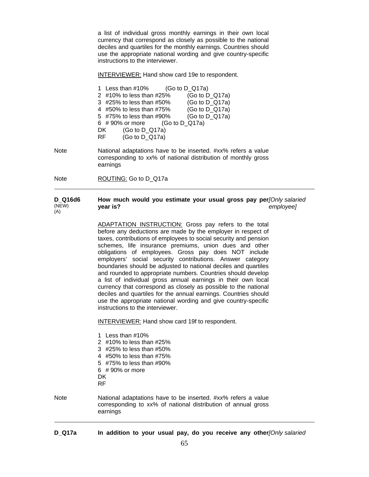a list of individual gross monthly earnings in their own local currency that correspond as closely as possible to the national deciles and quartiles for the monthly earnings. Countries should use the appropriate national wording and give country-specific instructions to the interviewer.

INTERVIEWER: Hand show card 19e to respondent.

|    | 1 Less than $\#10\%$ (Go to D Q17a) |                   |
|----|-------------------------------------|-------------------|
|    | 2 #10% to less than #25%            | (Go to $D_Q$ 17a) |
|    | 3 #25% to less than #50%            | (Go to $D_Q$ 17a) |
|    | 4 #50% to less than #75%            | (Go to $D_Q$ 17a) |
|    | 5 #75% to less than #90%            | (Go to D_Q17a)    |
|    | 6 #90% or more $(Go to D_Q17a)$     |                   |
| DK | (Go to $D_Q$ 17a)                   |                   |
| RF | (Go to $D_Q$ 17a)                   |                   |

Note National adaptations have to be inserted. #xx% refers a value corresponding to xx% of national distribution of monthly gross earnings

Note ROUTING: Go to D\_Q17a

#### **D\_Q16d6**  (NEW) (A) **How much would you estimate your usual gross pay per** *[Only salaried*  **year is?** *employee]*

ADAPTATION INSTRUCTION: Gross pay refers to the total before any deductions are made by the employer in respect of taxes, contributions of employees to social security and pension schemes, life insurance premiums, union dues and other obligations of employees. Gross pay does NOT include employers' social security contributions. Answer category boundaries should be adjusted to national deciles and quartiles and rounded to appropriate numbers. Countries should develop a list of individual gross annual earnings in their own local currency that correspond as closely as possible to the national deciles and quartiles for the annual earnings. Countries should use the appropriate national wording and give country-specific instructions to the interviewer.

INTERVIEWER: Hand show card 19f to respondent.

1 Less than #10% 2 #10% to less than #25% 3 #25% to less than #50% 4 #50% to less than #75% 5 #75% to less than #90% 6 # 90% or more **DK** RF Note National adaptations have to be inserted. #xx% refers a value corresponding to xx% of national distribution of annual gross earnings

**D\_Q17a In addition to your usual pay, do you receive any other***[Only salaried*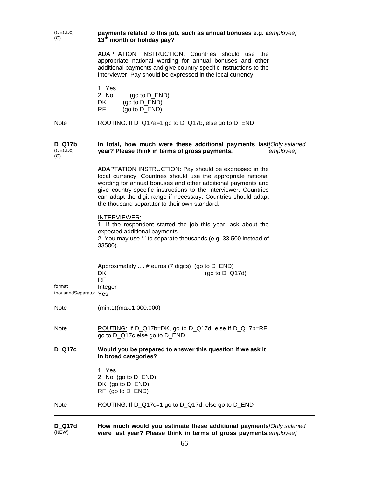(OECDc) (OECDc) **payments related to this job, such as annual bonuses e.g. a***employee***]<br>(C) <br>and the point of boliday nay? 13th month or holiday pay?**  ADAPTATION INSTRUCTION: Countries should use the appropriate national wording for annual bonuses and other additional payments and give country-specific instructions to the interviewer. Pay should be expressed in the local currency. 1 Yes 2 No (go to D\_END) DK (go to D\_END) RF (go to D\_END) Note ROUTING: If D\_Q17a=1 go to D\_Q17b, else go to D\_END **D\_Q17b**  (OECDc) (C) **In total, how much were these additional payments last** *[Only salaried*  **year? Please think in terms of gross payments.**  *employee]*  ADAPTATION INSTRUCTION: Pay should be expressed in the local currency. Countries should use the appropriate national wording for annual bonuses and other additional payments and give country-specific instructions to the interviewer. Countries can adapt the digit range if necessary. Countries should adapt the thousand separator to their own standard. INTERVIEWER: 1. If the respondent started the job this year, ask about the expected additional payments. 2. You may use '.' to separate thousands (e.g. 33.500 instead of 33500). Approximately .... # euros (7 digits) (go to D\_END) DK(go to D\_Q17d) RFformat Integer thousandSeparator Yes Note (min:1)(max:1.000.000) Note ROUTING: If D\_Q17b=DK, go to D\_Q17d, else if D\_Q17b=RF, go to D\_Q17c else go to D\_END **D\_Q17c Would you be prepared to answer this question if we ask it in broad categories?**  1 Yes 2 No (go to D\_END) DK (go to D\_END) RF (go to D\_END) Note ROUTING: If D\_Q17c=1 go to D\_Q17d, else go to D\_END

**D\_Q17d**  (NEW) **How much would you estimate these additional payments** *[Only salaried*  **were last year? Please think in terms of gross payments.** *employee]*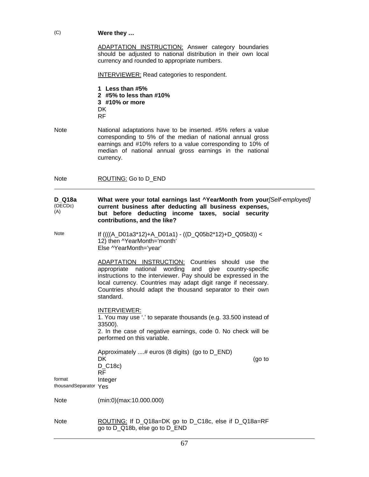# (C) **Were they …**

ADAPTATION INSTRUCTION: Answer category boundaries should be adjusted to national distribution in their own local currency and rounded to appropriate numbers.

INTERVIEWER: Read categories to respondent.

**1 Less than #5% 2 #5% to less than #10% 3 #10% or more**  DK RF

Note National adaptations have to be inserted. #5% refers a value corresponding to 5% of the median of national annual gross earnings and #10% refers to a value corresponding to 10% of median of national annual gross earnings in the national currency.

Note ROUTING: Go to D\_END

#### **D\_Q18a**  (OECDc) (A) **What were your total earnings last ^YearMonth from your** *[Self-employed]*  **current business after deducting all business expenses, but before deducting income taxes, social security contributions, and the like?**

Note If ((((A\_D01a3\*12)+A\_D01a1) - ((D\_Q05b2\*12)+D\_Q05b3)) < 12) then ^YearMonth='month' Else ^YearMonth='year'

> ADAPTATION INSTRUCTION: Countries should use the appropriate national wording and give country-specific instructions to the interviewer. Pay should be expressed in the local currency. Countries may adapt digit range if necessary. Countries should adapt the thousand separator to their own standard.

INTERVIEWER:

1. You may use '.' to separate thousands (e.g. 33.500 instead of 33500). 2. In the case of negative earnings, code 0. No check will be performed on this variable. Approximately ....# euros (8 digits) (go to D\_END) DK(go to D\_C18c) RF format Integer thousandSeparator Yes

Note (min:0)(max:10.000.000)

Note ROUTING: If D\_Q18a=DK go to D\_C18c, else if D\_Q18a=RF go to D\_Q18b, else go to D\_END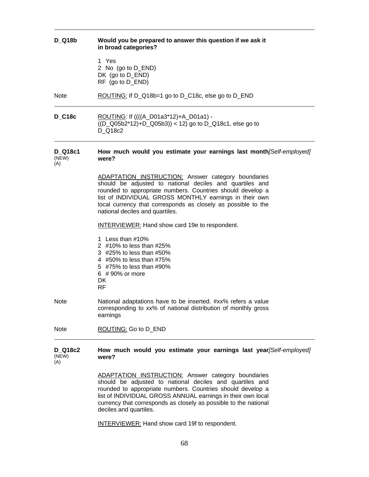| <b>D</b> Q18b                  | Would you be prepared to answer this question if we ask it<br>in broad categories?                                                                                                                                                                                                                                                                |  |
|--------------------------------|---------------------------------------------------------------------------------------------------------------------------------------------------------------------------------------------------------------------------------------------------------------------------------------------------------------------------------------------------|--|
|                                | 1 Yes<br>2 No (go to D_END)<br>DK (go to $D$ _END)<br>RF (go to D_END)                                                                                                                                                                                                                                                                            |  |
| <b>Note</b>                    | ROUTING: If D_Q18b=1 go to D_C18c, else go to D_END                                                                                                                                                                                                                                                                                               |  |
| <b>D_C18c</b>                  | ROUTING: If ((((A_D01a3*12)+A_D01a1) -<br>$((D_Q05b2*12)+D_Q05b3)) < 12$ go to $D_Q18c1$ , else go to<br>D Q18c2                                                                                                                                                                                                                                  |  |
| <b>D_Q18c1</b><br>(NEW)<br>(A) | How much would you estimate your earnings last month[Self-employed]<br>were?                                                                                                                                                                                                                                                                      |  |
|                                | <b>ADAPTATION INSTRUCTION:</b> Answer category boundaries<br>should be adjusted to national deciles and quartiles and<br>rounded to appropriate numbers. Countries should develop a<br>list of INDIVIDUAL GROSS MONTHLY earnings in their own<br>local currency that corresponds as closely as possible to the<br>national deciles and quartiles. |  |
|                                | <b>INTERVIEWER:</b> Hand show card 19e to respondent.                                                                                                                                                                                                                                                                                             |  |
|                                | 1 Less than #10%<br>2 #10% to less than #25%<br>3 #25% to less than #50%<br>4 #50% to less than #75%<br>5 #75% to less than #90%<br>6 #90% or more<br>DK<br><b>RF</b>                                                                                                                                                                             |  |
| <b>Note</b>                    | National adaptations have to be inserted. #xx% refers a value<br>corresponding to xx% of national distribution of monthly gross<br>earnings                                                                                                                                                                                                       |  |
| <b>Note</b>                    | ROUTING: Go to D_END                                                                                                                                                                                                                                                                                                                              |  |
| <b>D_Q18c2</b><br>(NEW)<br>(A) | How much would you estimate your earnings last year/Self-employed]<br>were?                                                                                                                                                                                                                                                                       |  |
|                                | <b>ADAPTATION INSTRUCTION:</b> Answer category boundaries<br>should be adjusted to national deciles and quartiles and<br>rounded to appropriate numbers. Countries should develop a<br>list of INDIVIDUAL GROSS ANNUAL earnings in their own local<br>currency that corresponds as closely as possible to the national                            |  |

INTERVIEWER: Hand show card 19f to respondent.

deciles and quartiles.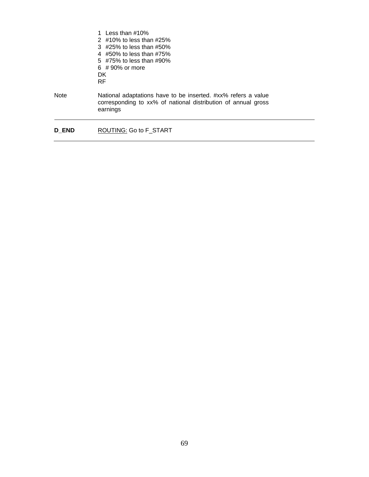|              | 1 Less than $\#10\%$<br>2 $\#10\%$ to less than $\#25\%$<br>$3\;$ #25% to less than #50%<br>4 #50% to less than #75%<br>5 $\#75\%$ to less than $\#90\%$<br>$6#90\%$ or more<br>DK.<br><b>RF</b> |
|--------------|--------------------------------------------------------------------------------------------------------------------------------------------------------------------------------------------------|
| <b>Note</b>  | National adaptations have to be inserted. #xx% refers a value<br>corresponding to xx% of national distribution of annual gross<br>earnings                                                       |
| <b>D END</b> | ROUTING: Go to F START                                                                                                                                                                           |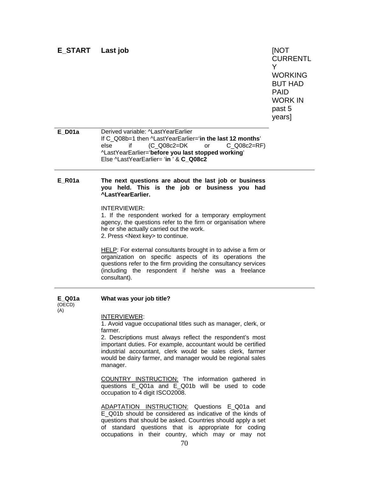# **E\_START Last job** [NOT

**CURRENTL** Y WORKING BUT HAD PAID WORK IN past 5 years]

**E\_D01a** Derived variable: ^LastYearEarlier If C\_Q08b=1 then ^LastYearEarlier='**in the last 12 months**' else if (C\_Q08c2=DK or ^LastYearEarlier='**before you last stopped working**' Else ^LastYearEarlier= '**in** ' & **C\_Q08c2** 

### **E\_R01a The next questions are about the last job or business you held. This is the job or business you had ^LastYearEarlier.**

INTERVIEWER:

1. If the respondent worked for a temporary employment agency, the questions refer to the firm or organisation where he or she actually carried out the work. 2. Press <Next key> to continue.

HELP: For external consultants brought in to advise a firm or organization on specific aspects of its operations the questions refer to the firm providing the consultancy services (including the respondent if he/she was a freelance consultant).

#### **E\_Q01a**  (OECD) (A) **What was your job title?**

#### INTERVIEWER:

1. Avoid vague occupational titles such as manager, clerk, or farmer.

2. Descriptions must always reflect the respondent's most important duties. For example, accountant would be certified industrial accountant, clerk would be sales clerk, farmer would be dairy farmer, and manager would be regional sales manager.

COUNTRY INSTRUCTION: The information gathered in questions E\_Q01a and E\_Q01b will be used to code occupation to 4 digit ISCO2008.

ADAPTATION INSTRUCTION: Questions E\_Q01a and E\_Q01b should be considered as indicative of the kinds of questions that should be asked. Countries should apply a set of standard questions that is appropriate for coding occupations in their country, which may or may not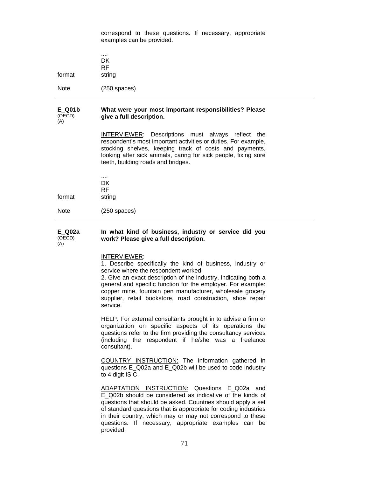correspond to these questions. If necessary, appropriate examples can be provided.

|        | $\cdots$<br>DK      |
|--------|---------------------|
| format | <b>RF</b><br>string |
| Note   | $(250$ spaces)      |

#### **E\_Q01b**  (OECD) (A) **What were your most important responsibilities? Please give a full description.**

INTERVIEWER: Descriptions must always reflect the respondent's most important activities or duties. For example, stocking shelves, keeping track of costs and payments, looking after sick animals, caring for sick people, fixing sore teeth, building roads and bridges.

.... **DK**  RF format string

Note (250 spaces)

#### **E\_Q02a**  (OECD) (A) **In what kind of business, industry or service did you work? Please give a full description.**

#### INTERVIEWER:

1. Describe specifically the kind of business, industry or service where the respondent worked.

2. Give an exact description of the industry, indicating both a general and specific function for the employer. For example: copper mine, fountain pen manufacturer, wholesale grocery supplier, retail bookstore, road construction, shoe repair service.

HELP: For external consultants brought in to advise a firm or organization on specific aspects of its operations the questions refer to the firm providing the consultancy services (including the respondent if he/she was a freelance consultant).

COUNTRY INSTRUCTION: The information gathered in questions E\_Q02a and E\_Q02b will be used to code industry to 4 digit ISIC.

ADAPTATION INSTRUCTION: Questions E\_Q02a and E\_Q02b should be considered as indicative of the kinds of questions that should be asked. Countries should apply a set of standard questions that is appropriate for coding industries in their country, which may or may not correspond to these questions. If necessary, appropriate examples can be provided.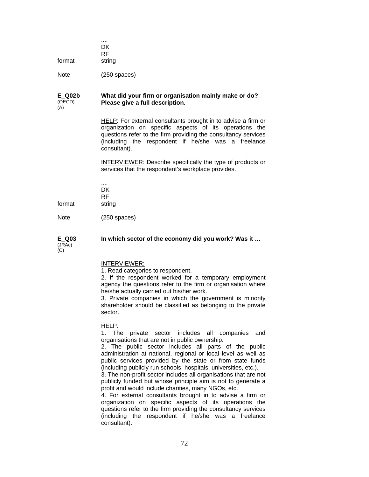| format | $\cdots$<br>DK<br><b>RF</b><br>string |
|--------|---------------------------------------|
| Note   | $(250$ spaces)                        |
|        |                                       |

#### **E\_Q02b**  (OECD) (A) **What did your firm or organisation mainly make or do? Please give a full description.**

HELP: For external consultants brought in to advise a firm or organization on specific aspects of its operations the questions refer to the firm providing the consultancy services (including the respondent if he/she was a freelance consultant).

INTERVIEWER: Describe specifically the type of products or services that the respondent's workplace provides.

|             | DK<br>RF       |
|-------------|----------------|
| format      | string         |
| <b>Note</b> | $(250$ spaces) |

**E\_Q03**  (JRAc)

**In which sector of the economy did you work? Was it …** 

 $(C)$ 

# INTERVIEWER:

1. Read categories to respondent.

2. If the respondent worked for a temporary employment agency the questions refer to the firm or organisation where he/she actually carried out his/her work.

3. Private companies in which the government is minority shareholder should be classified as belonging to the private sector.

HELP:

1. The private sector includes all companies and organisations that are not in public ownership.

2. The public sector includes all parts of the public administration at national, regional or local level as well as public services provided by the state or from state funds (including publicly run schools, hospitals, universities, etc.).

3. The non-profit sector includes all organisations that are not publicly funded but whose principle aim is not to generate a profit and would include charities, many NGOs, etc.

4. For external consultants brought in to advise a firm or organization on specific aspects of its operations the questions refer to the firm providing the consultancy services (including the respondent if he/she was a freelance consultant).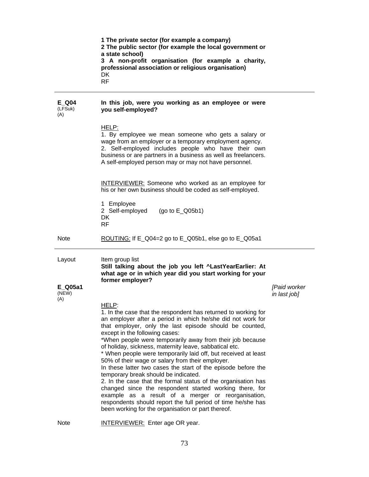|                         | 1 The private sector (for example a company)<br>2 The public sector (for example the local government or<br>a state school)<br>3 A non-profit organisation (for example a charity,<br>professional association or religious organisation)<br>DK<br><b>RF</b>                                                                                                                                                                                                                                                                                                                                                                                                                                                                                                                                                                                                                                      |                              |
|-------------------------|---------------------------------------------------------------------------------------------------------------------------------------------------------------------------------------------------------------------------------------------------------------------------------------------------------------------------------------------------------------------------------------------------------------------------------------------------------------------------------------------------------------------------------------------------------------------------------------------------------------------------------------------------------------------------------------------------------------------------------------------------------------------------------------------------------------------------------------------------------------------------------------------------|------------------------------|
| E Q04<br>(LFSuk)<br>(A) | In this job, were you working as an employee or were<br>you self-employed?                                                                                                                                                                                                                                                                                                                                                                                                                                                                                                                                                                                                                                                                                                                                                                                                                        |                              |
|                         | HELP:<br>1. By employee we mean someone who gets a salary or<br>wage from an employer or a temporary employment agency.<br>2. Self-employed includes people who have their own<br>business or are partners in a business as well as freelancers.<br>A self-employed person may or may not have personnel.                                                                                                                                                                                                                                                                                                                                                                                                                                                                                                                                                                                         |                              |
|                         | <b>INTERVIEWER:</b> Someone who worked as an employee for<br>his or her own business should be coded as self-employed.                                                                                                                                                                                                                                                                                                                                                                                                                                                                                                                                                                                                                                                                                                                                                                            |                              |
|                         | 1 Employee<br>2 Self-employed<br>(go to $E_Q(05b1)$<br>DK<br><b>RF</b>                                                                                                                                                                                                                                                                                                                                                                                                                                                                                                                                                                                                                                                                                                                                                                                                                            |                              |
| <b>Note</b>             | ROUTING: If E_Q04=2 go to E_Q05b1, else go to E_Q05a1                                                                                                                                                                                                                                                                                                                                                                                                                                                                                                                                                                                                                                                                                                                                                                                                                                             |                              |
| Layout                  | Item group list<br>Still talking about the job you left ^LastYearEarlier: At<br>what age or in which year did you start working for your<br>former employer?                                                                                                                                                                                                                                                                                                                                                                                                                                                                                                                                                                                                                                                                                                                                      |                              |
| E Q05a1<br>(NEW)<br>(A) |                                                                                                                                                                                                                                                                                                                                                                                                                                                                                                                                                                                                                                                                                                                                                                                                                                                                                                   | [Paid worker<br>in last job] |
|                         | HELP:<br>1. In the case that the respondent has returned to working for<br>an employer after a period in which he/she did not work for<br>that employer, only the last episode should be counted,<br>except in the following cases:<br>*When people were temporarily away from their job because<br>of holiday, sickness, maternity leave, sabbatical etc.<br>* When people were temporarily laid off, but received at least<br>50% of their wage or salary from their employer.<br>In these latter two cases the start of the episode before the<br>temporary break should be indicated.<br>2. In the case that the formal status of the organisation has<br>changed since the respondent started working there, for<br>example as a result of a merger or reorganisation,<br>respondents should report the full period of time he/she has<br>been working for the organisation or part thereof. |                              |
|                         |                                                                                                                                                                                                                                                                                                                                                                                                                                                                                                                                                                                                                                                                                                                                                                                                                                                                                                   |                              |

Note **INTERVIEWER:** Enter age OR year.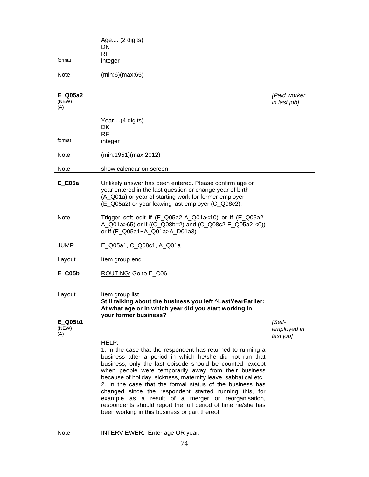| format                  | Age (2 digits)<br>DK.<br><b>RF</b><br>integer                                                                                                                                                                                                                                                                                                                                                                                                                                                                                                                                                                   |                                    |
|-------------------------|-----------------------------------------------------------------------------------------------------------------------------------------------------------------------------------------------------------------------------------------------------------------------------------------------------------------------------------------------------------------------------------------------------------------------------------------------------------------------------------------------------------------------------------------------------------------------------------------------------------------|------------------------------------|
| <b>Note</b>             | (min:6)(max:65)                                                                                                                                                                                                                                                                                                                                                                                                                                                                                                                                                                                                 |                                    |
| E Q05a2<br>(NEW)<br>(A) |                                                                                                                                                                                                                                                                                                                                                                                                                                                                                                                                                                                                                 | [Paid worker<br>in last job]       |
| format                  | Year(4 digits)<br>DK<br><b>RF</b>                                                                                                                                                                                                                                                                                                                                                                                                                                                                                                                                                                               |                                    |
|                         | integer                                                                                                                                                                                                                                                                                                                                                                                                                                                                                                                                                                                                         |                                    |
| <b>Note</b>             | (min:1951)(max:2012)                                                                                                                                                                                                                                                                                                                                                                                                                                                                                                                                                                                            |                                    |
| <b>Note</b>             | show calendar on screen                                                                                                                                                                                                                                                                                                                                                                                                                                                                                                                                                                                         |                                    |
| <b>E</b> E05a           | Unlikely answer has been entered. Please confirm age or<br>year entered in the last question or change year of birth<br>(A_Q01a) or year of starting work for former employer<br>(E_Q05a2) or year leaving last employer (C_Q08c2).                                                                                                                                                                                                                                                                                                                                                                             |                                    |
| <b>Note</b>             | Trigger soft edit if (E_Q05a2-A_Q01a<10) or if (E_Q05a2-<br>A_Q01a>65) or if ((C_Q08b=2) and (C_Q08c2-E_Q05a2 <0))<br>or if (E_Q05a1+A_Q01a>A_D01a3)                                                                                                                                                                                                                                                                                                                                                                                                                                                            |                                    |
| <b>JUMP</b>             | E_Q05a1, C_Q08c1, A_Q01a                                                                                                                                                                                                                                                                                                                                                                                                                                                                                                                                                                                        |                                    |
| Layout                  | Item group end                                                                                                                                                                                                                                                                                                                                                                                                                                                                                                                                                                                                  |                                    |
| $E$ <sub>C05b</sub>     | ROUTING: Go to E_C06                                                                                                                                                                                                                                                                                                                                                                                                                                                                                                                                                                                            |                                    |
| Layout                  | Item group list<br>Still talking about the business you left ^LastYearEarlier:<br>At what age or in which year did you start working in<br>your former business?                                                                                                                                                                                                                                                                                                                                                                                                                                                |                                    |
| E Q05b1<br>(NEW)<br>(A) | HELP:                                                                                                                                                                                                                                                                                                                                                                                                                                                                                                                                                                                                           | [Self-<br>employed in<br>last job] |
|                         | 1. In the case that the respondent has returned to running a<br>business after a period in which he/she did not run that<br>business, only the last episode should be counted, except<br>when people were temporarily away from their business<br>because of holiday, sickness, maternity leave, sabbatical etc.<br>2. In the case that the formal status of the business has<br>changed since the respondent started running this, for<br>example as a result of a merger or reorganisation,<br>respondents should report the full period of time he/she has<br>been working in this business or part thereof. |                                    |

Note **INTERVIEWER:** Enter age OR year.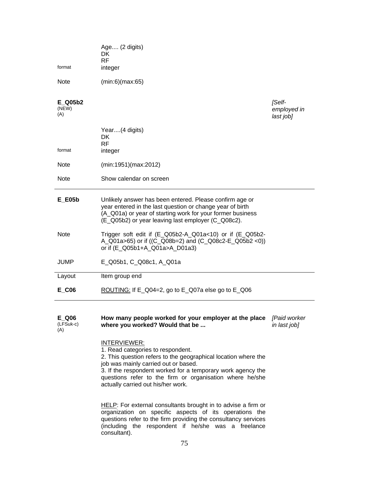| format                  | Age (2 digits)<br>DK<br><b>RF</b><br>integer                                                                                                                                                                                             |                                    |
|-------------------------|------------------------------------------------------------------------------------------------------------------------------------------------------------------------------------------------------------------------------------------|------------------------------------|
| <b>Note</b>             | (min:6)(max:65)                                                                                                                                                                                                                          |                                    |
| E Q05b2<br>(NEW)<br>(A) |                                                                                                                                                                                                                                          | [Self-<br>employed in<br>last job] |
| format                  | Year(4 digits)<br>DK.<br><b>RF</b><br>integer                                                                                                                                                                                            |                                    |
| Note                    | (min:1951)(max:2012)                                                                                                                                                                                                                     |                                    |
| <b>Note</b>             | Show calendar on screen                                                                                                                                                                                                                  |                                    |
| $E_E$ 605b              | Unlikely answer has been entered. Please confirm age or<br>year entered in the last question or change year of birth<br>(A_Q01a) or year of starting work for your former business<br>(E_Q05b2) or year leaving last employer (C_Q08c2). |                                    |
| <b>Note</b>             | Trigger soft edit if $(E_Qu5b2-A_Qu1a<10)$ or if $(E_Qu5b2-A_Qu1a<10)$<br>A_Q01a>65) or if ((C_Q08b=2) and (C_Q08c2-E_Q05b2 <0))<br>or if (E_Q05b1+A_Q01a>A_D01a3)                                                                       |                                    |
| <b>JUMP</b>             | E_Q05b1, C_Q08c1, A_Q01a                                                                                                                                                                                                                 |                                    |
| Layout                  | Item group end                                                                                                                                                                                                                           |                                    |
| $E_{O}$                 | ROUTING: If E_Q04=2, go to E_Q07a else go to E_Q06                                                                                                                                                                                       |                                    |
|                         |                                                                                                                                                                                                                                          |                                    |

**E\_Q06**  (LFSuk-c)  $(A)$ **How many people worked for your employer at the place**  *[Paid worker*  **where you worked? Would that be ...**  *in last job]* 

### INTERVIEWER:

- 1. Read categories to respondent.
- 2. This question refers to the geographical location where the job was mainly carried out or based.

3. If the respondent worked for a temporary work agency the questions refer to the firm or organisation where he/she actually carried out his/her work.

HELP: For external consultants brought in to advise a firm or organization on specific aspects of its operations the questions refer to the firm providing the consultancy services (including the respondent if he/she was a freelance consultant).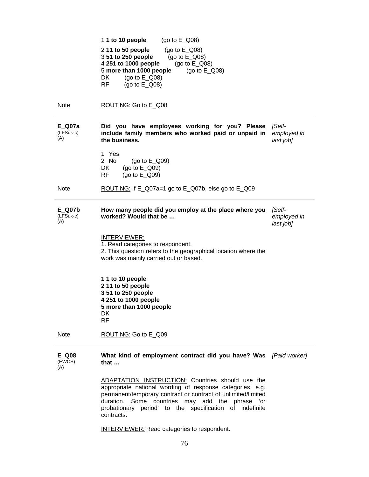1 **1 to 10 people** (go to E\_Q08) 2 **11 to 50 people** (go to E\_Q08) 3 **51 to 250 people** (go to E\_Q08) 4 **251 to 1000 people** (go to E\_Q08) 5 **more than 1000 people** (go to E\_Q08) DK (go to E Q08) RF (go to E\_Q08) Note ROUTING: Go to E\_Q08 **E\_Q07a**  (LFSuk-c)  $(A)$ **Did you have employees working for you? Please**  *[Self***include family members who worked paid or unpaid in the business.**  *employed in last job]*  1 Yes 2 No (go to E\_Q09) DK (go to E\_Q09) RF (go to E\_Q09) Note ROUTING: If E\_Q07a=1 go to E\_Q07b, else go to E\_Q09 **E\_Q07b**  (LFSuk-c)  $(A)$ **How many people did you employ at the place where you worked? Would that be …**  *[Selfemployed in last job]*  INTERVIEWER: 1. Read categories to respondent. 2. This question refers to the geographical location where the work was mainly carried out or based. **1 1 to 10 people 2 11 to 50 people 3 51 to 250 people 4 251 to 1000 people 5 more than 1000 people**  DK RF Note ROUTING: Go to E\_Q09 **E\_Q08**  (EWCS)  $(A)$ **What kind of employment contract did you have? Was**  *[Paid worker]*  **that …**  ADAPTATION INSTRUCTION: Countries should use the appropriate national wording of response categories, e.g. permanent/temporary contract or contract of unlimited/limited duration. Some countries may add the phrase 'or probationary period' to the specification of indefinite

INTERVIEWER: Read categories to respondent.

contracts.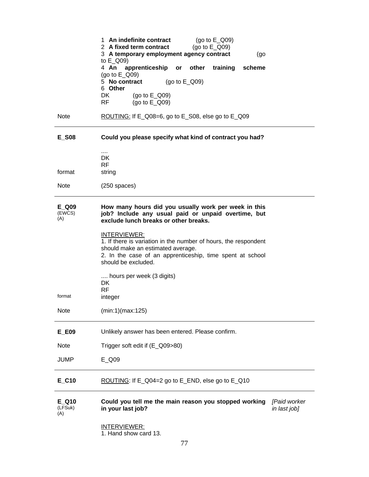|                         | 1 An indefinite contract<br>(go to $E_$ Q09)<br>2 A fixed term contract<br>(go to $E_Q$ Q09)<br>3 A temporary employment agency contract<br>(go<br>to E_Q09)                                             |
|-------------------------|----------------------------------------------------------------------------------------------------------------------------------------------------------------------------------------------------------|
|                         | 4 An<br>apprenticeship or<br>other<br>training<br>scheme<br>(go to $E_Q$ Q09)<br>5 No contract<br>(go to $E_$ Q09)<br>6 Other<br>DK<br>(go to $E_Q$ Q09)<br>RF<br>(go to $E_Q$ Q09)                      |
| <b>Note</b>             | ROUTING: If E_Q08=6, go to E_S08, else go to E_Q09                                                                                                                                                       |
| <b>E_S08</b>            | Could you please specify what kind of contract you had?                                                                                                                                                  |
| format                  | $\cdots$<br>DK<br><b>RF</b><br>string                                                                                                                                                                    |
| <b>Note</b>             | $(250$ spaces)                                                                                                                                                                                           |
| E Q09<br>(EWCS)<br>(A)  | How many hours did you usually work per week in this<br>job? Include any usual paid or unpaid overtime, but<br>exclude lunch breaks or other breaks.                                                     |
|                         | INTERVIEWER:<br>1. If there is variation in the number of hours, the respondent<br>should make an estimated average.<br>2. In the case of an apprenticeship, time spent at school<br>should be excluded. |
| format                  | hours per week (3 digits)<br>DK<br><b>RF</b><br>integer                                                                                                                                                  |
| <b>Note</b>             | (min:1)(max:125)                                                                                                                                                                                         |
| E_E09                   | Unlikely answer has been entered. Please confirm.                                                                                                                                                        |
| <b>Note</b>             | Trigger soft edit if (E_Q09>80)                                                                                                                                                                          |
| <b>JUMP</b>             | E Q09                                                                                                                                                                                                    |
| $E_{.}$ C10             | ROUTING: If E_Q04=2 go to E_END, else go to E_Q10                                                                                                                                                        |
| E Q10<br>(LFSuk)<br>(A) | Could you tell me the main reason you stopped working<br>[Paid worker<br>in your last job?<br>in last job]                                                                                               |
|                         | <b>INTERVIEWER:</b><br>1. Hand show card 13.                                                                                                                                                             |

Ĭ.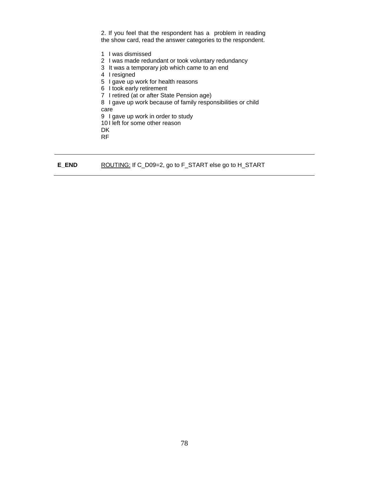2. If you feel that the respondent has a problem in reading the show card, read the answer categories to the respondent.

1 I was dismissed

2 I was made redundant or took voluntary redundancy

- 3 It was a temporary job which came to an end
- 4 I resigned
- 5 I gave up work for health reasons
- 6 I took early retirement
- 7 I retired (at or after State Pension age)
- 8 I gave up work because of family responsibilities or child

care

9 I gave up work in order to study

10 I left for some other reason

 DK RF

**E\_END** ROUTING: If C\_D09=2, go to F\_START else go to H\_START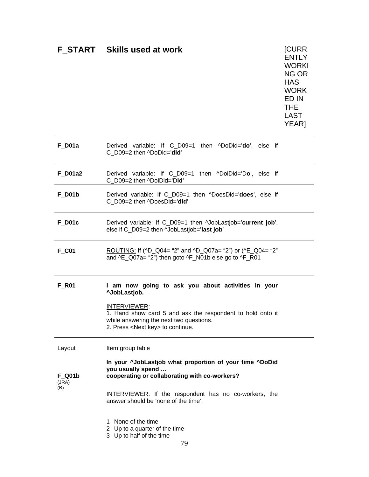# **F\_START Skills used at work** [CURR

**ENTLY** WORKI NG OR **HAS** WORK ED IN THE LAST YEAR]

| $F_$ D01a                     | Derived variable: If C_D09=1 then ^DoDid='do', else if<br>C_D09=2 then ^DoDid='did'                                                                                                                                                       |
|-------------------------------|-------------------------------------------------------------------------------------------------------------------------------------------------------------------------------------------------------------------------------------------|
| F_D01a2                       | Derived variable: If C_D09=1 then ^DoiDid='Do', else if<br>C_D09=2 then ^DoiDid='Did'                                                                                                                                                     |
| $F_$ D01b                     | Derived variable: If C_D09=1 then ^DoesDid='does', else if<br>C D09=2 then ^DoesDid='did'                                                                                                                                                 |
| <b>F_D01c</b>                 | Derived variable: If C_D09=1 then ^JobLastjob='current job',<br>else if C_D09=2 then ^JobLastjob='last job'                                                                                                                               |
| $F_{.}CO1$                    | ROUTING: If (^D_Q04= "2" and ^D_Q07a= "2") or (^E_Q04= "2"<br>and ^E_Q07a= "2") then goto ^F_N01b else go to ^F_R01                                                                                                                       |
| <b>F_R01</b>                  | I am now going to ask you about activities in your<br>^JobLastjob.<br>INTERVIEWER:<br>1. Hand show card 5 and ask the respondent to hold onto it<br>while answering the next two questions.<br>2. Press <next key=""> to continue.</next> |
| Layout                        | Item group table                                                                                                                                                                                                                          |
| <b>F</b> Q01b<br>(JRA)<br>(B) | In your ^JobLastjob what proportion of your time ^DoDid<br>you usually spend<br>cooperating or collaborating with co-workers?                                                                                                             |
|                               | INTERVIEWER: If the respondent has no co-workers, the<br>answer should be 'none of the time'.                                                                                                                                             |
|                               | None of the time<br>1.<br>2 Up to a quarter of the time<br>3 Up to half of the time<br>79                                                                                                                                                 |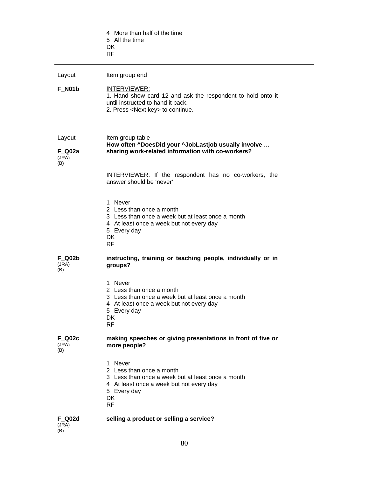|                                  | 4 More than half of the time<br>5 All the time<br>DK.<br><b>RF</b>                                                                                                            |
|----------------------------------|-------------------------------------------------------------------------------------------------------------------------------------------------------------------------------|
| Layout                           | Item group end                                                                                                                                                                |
| <b>F N01b</b>                    | <b>INTERVIEWER:</b><br>1. Hand show card 12 and ask the respondent to hold onto it<br>until instructed to hand it back.<br>2. Press <next key=""> to continue.</next>         |
| Layout<br>F Q02a<br>(JRA)<br>(B) | Item group table<br>How often ^DoesDid your ^JobLastjob usually involve<br>sharing work-related information with co-workers?                                                  |
|                                  | <b>INTERVIEWER:</b> If the respondent has no co-workers, the<br>answer should be 'never'.                                                                                     |
|                                  | 1 Never<br>2 Less than once a month<br>3 Less than once a week but at least once a month<br>4 At least once a week but not every day<br>5 Every day<br>DK<br><b>RF</b>        |
| <b>F Q02b</b><br>(JRA)<br>(B)    | instructing, training or teaching people, individually or in<br>groups?                                                                                                       |
|                                  | 1 Never<br>2 Less than once a month<br>3 Less than once a week but at least once a month<br>4 At least once a week but not every day<br>5 Every day<br>DK<br><b>RF</b>        |
| <b>F Q02c</b><br>(JRA)<br>(B)    | making speeches or giving presentations in front of five or<br>more people?                                                                                                   |
|                                  | 1 Never<br>2 Less than once a month<br>3 Less than once a week but at least once a month<br>4 At least once a week but not every day<br>5 Every day<br><b>DK</b><br><b>RF</b> |
| <b>F Q02d</b><br>(JRA)<br>(B)    | selling a product or selling a service?                                                                                                                                       |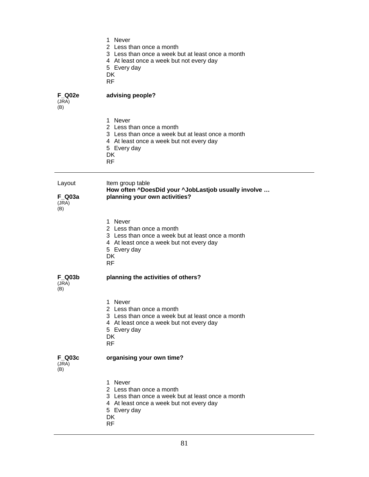- 1 Never
- 2 Less than once a month
- 3 Less than once a week but at least once a month
- 4 At least once a week but not every day

5 Every day

DK

RF

**F\_Q02e** 

Layout

**F\_Q03a**   $(JRA)$  $(B)$ 

**F\_Q03b**  (JRA) (B)

### **advising people?**

(JRA)  $(B)$ 

|                                  | 1 Never<br>2 Less than once a month<br>3 Less than once a week but at least once a month<br>4 At least once a week but not every day<br>5 Every day<br><b>DK</b><br><b>RF</b> |
|----------------------------------|-------------------------------------------------------------------------------------------------------------------------------------------------------------------------------|
| Layout<br>F Q03a<br>(JRA)<br>(B) | Item group table<br>How often ^DoesDid your ^JobLastjob usually involve<br>planning your own activities?                                                                      |
|                                  | 1 Never<br>2 Less than once a month<br>3 Less than once a week but at least once a month<br>4 At least once a week but not every day<br>5 Every day<br><b>DK</b><br><b>RF</b> |
| F Q03b<br>(JRA)<br>(B)           | planning the activities of others?                                                                                                                                            |
|                                  | 1 Never<br>2 Less than once a month<br>3 Less than once a week but at least once a month                                                                                      |

- 4 At least once a week but not every day
- 5 Every day
- DK
- RF

**F\_Q03c** 

## **organising your own time?**

 $(JRA)$  $(B)$ 

- 1 Never
- 2 Less than once a month
- 3 Less than once a week but at least once a month
- 4 At least once a week but not every day
- 5 Every day
- DK
- RF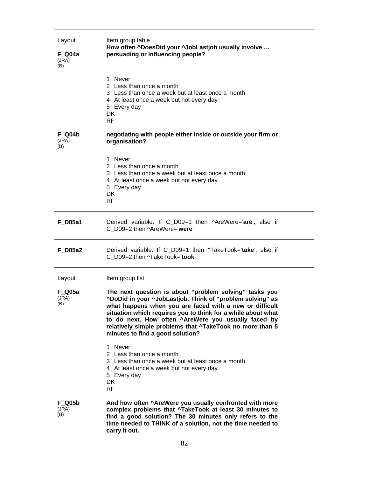| Layout<br>F Q04a<br>(JRA)<br>(B) | Item group table<br>How often ^DoesDid your ^JobLastjob usually involve<br>persuading or influencing people?                                                                                                                                                                                                                                                                                          |
|----------------------------------|-------------------------------------------------------------------------------------------------------------------------------------------------------------------------------------------------------------------------------------------------------------------------------------------------------------------------------------------------------------------------------------------------------|
|                                  | 1 Never<br>2 Less than once a month<br>3 Less than once a week but at least once a month<br>4 At least once a week but not every day<br>5 Every day<br>DK<br><b>RF</b>                                                                                                                                                                                                                                |
| <b>F Q04b</b><br>(JRA)<br>(B)    | negotiating with people either inside or outside your firm or<br>organisation?                                                                                                                                                                                                                                                                                                                        |
|                                  | 1 Never<br>2 Less than once a month<br>3 Less than once a week but at least once a month<br>4 At least once a week but not every day<br>5 Every day<br><b>DK</b><br><b>RF</b>                                                                                                                                                                                                                         |
| <b>F</b> D05a1                   | Derived variable: If C_D09=1 then ^AreWere='are', else if<br>C D09=2 then ^AreWere='were'                                                                                                                                                                                                                                                                                                             |
| <b>F</b> D05a2                   | Derived variable: If C_D09=1 then ^TakeTook='take', else if<br>C D09=2 then ^TakeTook='took'                                                                                                                                                                                                                                                                                                          |
| Layout                           | Item group list                                                                                                                                                                                                                                                                                                                                                                                       |
| F Q05a<br>(JRA)<br>(B)           | The next question is about "problem solving" tasks you<br>"DoDid in your "JobLastjob. Think of "problem solving" as<br>what happens when you are faced with a new or difficult<br>situation which requires you to think for a while about what<br>to do next. How often ^AreWere you usually faced by<br>relatively simple problems that ^TakeTook no more than 5<br>minutes to find a good solution? |
|                                  | 1 Never<br>2 Less than once a month<br>3 Less than once a week but at least once a month<br>4 At least once a week but not every day<br>5 Every day<br>DK<br>RF                                                                                                                                                                                                                                       |
| <b>F Q05b</b><br>(JRA)<br>(B)    | And how often ^AreWere you usually confronted with more<br>complex problems that ^TakeTook at least 30 minutes to<br>find a good solution? The 30 minutes only refers to the<br>time needed to THINK of a solution, not the time needed to<br>carry it out.                                                                                                                                           |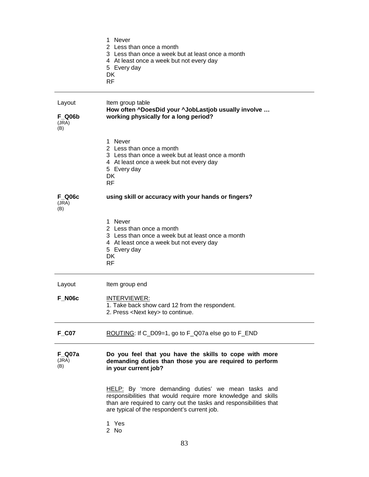|                                         | 1 Never<br>2 Less than once a month<br>3 Less than once a week but at least once a month<br>4 At least once a week but not every day<br>5 Every day<br>DK<br><b>RF</b>                                                                    |
|-----------------------------------------|-------------------------------------------------------------------------------------------------------------------------------------------------------------------------------------------------------------------------------------------|
| Layout<br><b>F Q06b</b><br>(JRA)<br>(B) | Item group table<br>How often ^DoesDid your ^JobLastjob usually involve<br>working physically for a long period?                                                                                                                          |
|                                         | 1 Never<br>2 Less than once a month<br>3 Less than once a week but at least once a month<br>4 At least once a week but not every day<br>5 Every day<br><b>DK</b><br>RF                                                                    |
| <b>F Q06c</b><br>(JRA)<br>(B)           | using skill or accuracy with your hands or fingers?                                                                                                                                                                                       |
|                                         | 1 Never<br>2 Less than once a month<br>3 Less than once a week but at least once a month<br>4 At least once a week but not every day<br>5 Every day<br>DK<br><b>RF</b>                                                                    |
| Layout                                  | Item group end                                                                                                                                                                                                                            |
| <b>F N06c</b>                           | <u>INTERVIEWER:</u><br>1. Take back show card 12 from the respondent.<br>2. Press <next key=""> to continue.</next>                                                                                                                       |
| $F_{O}$ C07                             | ROUTING: If C_D09=1, go to F_Q07a else go to F_END                                                                                                                                                                                        |
| <b>F_Q07a</b><br>(JRA)<br>(B)           | Do you feel that you have the skills to cope with more<br>demanding duties than those you are required to perform<br>in your current job?                                                                                                 |
|                                         | HELP: By 'more demanding duties' we mean tasks and<br>responsibilities that would require more knowledge and skills<br>than are required to carry out the tasks and responsibilities that<br>are typical of the respondent's current job. |
|                                         | 1 Yes<br>2 No                                                                                                                                                                                                                             |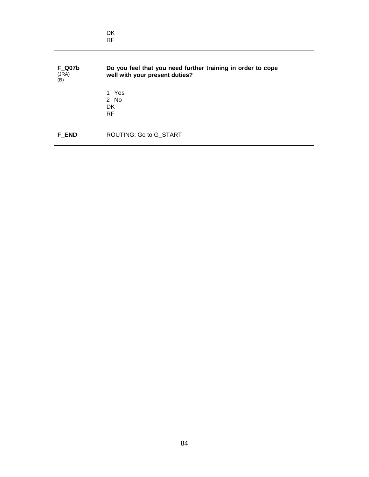|                               | <b>DK</b><br><b>RF</b>                                                                        |
|-------------------------------|-----------------------------------------------------------------------------------------------|
| <b>F_Q07b</b><br>(JRA)<br>(B) | Do you feel that you need further training in order to cope<br>well with your present duties? |
|                               | 1 Yes<br>$2$ No<br>DK.<br><b>RF</b>                                                           |
| <b>F END</b>                  | ROUTING: Go to G_START                                                                        |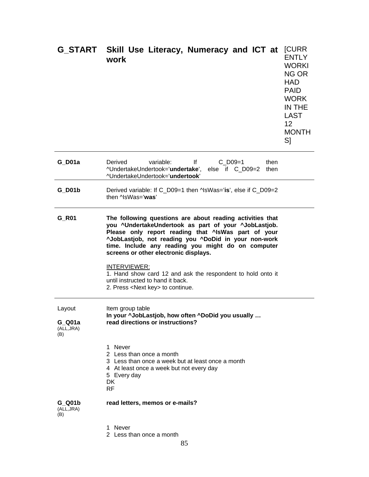|                                       | G_START Skill Use Literacy, Numeracy and ICT at<br>work                                                                                                                                                                                                                                                                                                                                                                                                                                           | <b>[CURR</b><br><b>ENTLY</b><br><b>WORKI</b><br>NG OR<br><b>HAD</b><br><b>PAID</b><br><b>WORK</b><br>IN THE<br><b>LAST</b><br>12<br><b>MONTH</b><br>S] |
|---------------------------------------|---------------------------------------------------------------------------------------------------------------------------------------------------------------------------------------------------------------------------------------------------------------------------------------------------------------------------------------------------------------------------------------------------------------------------------------------------------------------------------------------------|--------------------------------------------------------------------------------------------------------------------------------------------------------|
| $G_D$ 01a                             | variable:<br>lf<br>$C$ D09=1<br>Derived<br>then<br>^UndertakeUndertook='undertake', else if C_D09=2<br>then<br>^UndertakeUndertook='undertook'                                                                                                                                                                                                                                                                                                                                                    |                                                                                                                                                        |
| <b>G</b> D01b                         | Derived variable: If C_D09=1 then ^IsWas='is', else if C_D09=2<br>then ^lsWas='was'                                                                                                                                                                                                                                                                                                                                                                                                               |                                                                                                                                                        |
| G_R01                                 | The following questions are about reading activities that<br>you ^UndertakeUndertook as part of your ^JobLastjob.<br>Please only report reading that ^IsWas part of your<br>^JobLastjob, not reading you ^DoDid in your non-work<br>time. Include any reading you might do on computer<br>screens or other electronic displays.<br>INTERVIEWER:<br>1. Hand show card 12 and ask the respondent to hold onto it<br>until instructed to hand it back.<br>2. Press <next key=""> to continue.</next> |                                                                                                                                                        |
| Layout<br>G Q01a<br>(ALL, JRA)<br>(B) | Item group table<br>In your ^JobLastjob, how often ^DoDid you usually<br>read directions or instructions?                                                                                                                                                                                                                                                                                                                                                                                         |                                                                                                                                                        |
|                                       | 1 Never<br>2 Less than once a month<br>3 Less than once a week but at least once a month<br>4 At least once a week but not every day<br>5 Every day<br>DK<br><b>RF</b>                                                                                                                                                                                                                                                                                                                            |                                                                                                                                                        |
| G Q01b<br>(ALL, JRA)<br>(B)           | read letters, memos or e-mails?                                                                                                                                                                                                                                                                                                                                                                                                                                                                   |                                                                                                                                                        |
|                                       | 1 Never<br>2 Less than once a month                                                                                                                                                                                                                                                                                                                                                                                                                                                               |                                                                                                                                                        |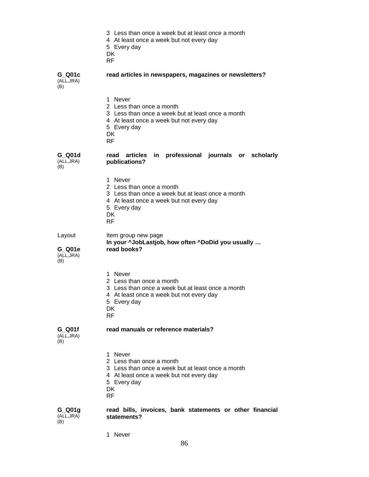- 3 Less than once a week but at least once a month
- 4 At least once a week but not every day
- 5 Every day
- **DK**
- RF

**G\_Q01c**  (ALL,JRA)  $(B)$ 

#### **read articles in newspapers, magazines or newsletters?**

1 Never

- 2 Less than once a month
- 3 Less than once a week but at least once a month
- 4 At least once a week but not every day
- 5 Every day
- DK
- RF

**G\_Q01d**  (ALL,JRA) (B)

### **read articles in professional journals or scholarly publications?**

1 Never

- 2 Less than once a month
- 3 Less than once a week but at least once a month
- 4 At least once a week but not every day
- 5 Every day
- DK
- RF

Layout ltem group new page  **In your ^JobLastjob, how often ^DoDid you usually … read books?** 

**G\_Q01e**  (ALL,JRA)  $(B)$ 

- 
- 1 Never
- 2 Less than once a month
- 3 Less than once a week but at least once a month
- 4 At least once a week but not every day
- 5 Every day
- **DK**
- RF

**G\_Q01f** 

#### **read manuals or reference materials?**

(ALL,JRA) (B)

 $(B)$ 

- 1 Never
- 2 Less than once a month
- 3 Less than once a week but at least once a month
- 4 At least once a week but not every day
- 5 Every day
- DK
- RF

#### **G\_Q01g**  (ALL,JRA) **read bills, invoices, bank statements or other financial statements?**

1 Never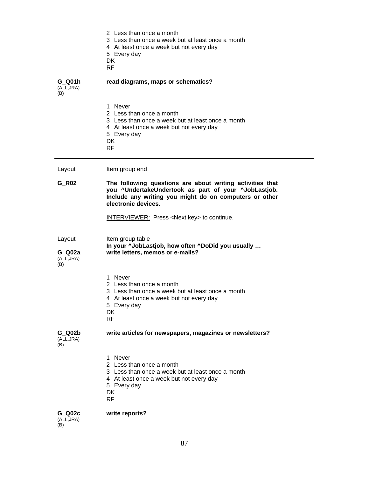|                                       | 2 Less than once a month<br>3 Less than once a week but at least once a month<br>4 At least once a week but not every day<br>5 Every day<br>DK<br><b>RF</b>                                        |
|---------------------------------------|----------------------------------------------------------------------------------------------------------------------------------------------------------------------------------------------------|
| G Q01h<br>(ALL,JRA)<br>(B)            | read diagrams, maps or schematics?                                                                                                                                                                 |
|                                       | 1 Never<br>2 Less than once a month<br>3 Less than once a week but at least once a month<br>4 At least once a week but not every day<br>5 Every day<br><b>DK</b><br><b>RF</b>                      |
| Layout                                | Item group end                                                                                                                                                                                     |
| G_R02                                 | The following questions are about writing activities that<br>you ^UndertakeUndertook as part of your ^JobLastjob.<br>Include any writing you might do on computers or other<br>electronic devices. |
|                                       | <b>INTERVIEWER:</b> Press <next key=""> to continue.</next>                                                                                                                                        |
| Layout<br>G Q02a<br>(ALL, JRA)<br>(B) | Item group table<br>In your ^JobLastjob, how often ^DoDid you usually<br>write letters, memos or e-mails?                                                                                          |
|                                       | 1 Never<br>2 Less than once a month<br>3 Less than once a week but at least once a month<br>4 At least once a week but not every day<br>5 Every day<br>DK<br><b>RF</b>                             |
| $G_$ Q02b<br>(ALL, JRA)<br>(B)        | write articles for newspapers, magazines or newsletters?                                                                                                                                           |
|                                       | 1 Never<br>2 Less than once a month<br>3 Less than once a week but at least once a month<br>4 At least once a week but not every day<br>5 Every day<br>DK<br><b>RF</b>                             |
| G Q02c<br>(ALL, JRA)<br>(B)           | write reports?                                                                                                                                                                                     |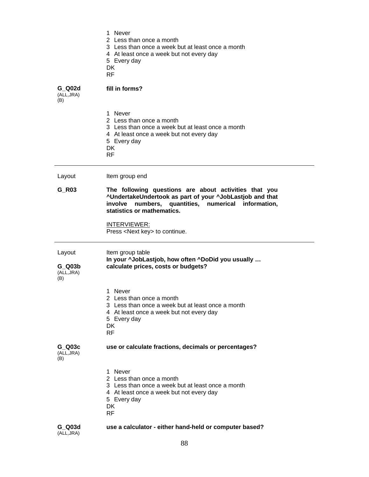|                                       | 1 Never<br>2 Less than once a month<br>3 Less than once a week but at least once a month<br>4 At least once a week but not every day<br>5 Every day<br><b>DK</b><br><b>RF</b>                             |
|---------------------------------------|-----------------------------------------------------------------------------------------------------------------------------------------------------------------------------------------------------------|
| G Q02d<br>(ALL, JRA)<br>(B)           | fill in forms?                                                                                                                                                                                            |
|                                       | 1 Never<br>2 Less than once a month<br>3 Less than once a week but at least once a month<br>4 At least once a week but not every day<br>5 Every day<br><b>DK</b><br><b>RF</b>                             |
| Layout                                | Item group end                                                                                                                                                                                            |
| G_R03                                 | The following questions are about activities that you<br>^UndertakeUndertook as part of your ^JobLastjob and that<br>numbers, quantities, numerical information,<br>involve<br>statistics or mathematics. |
|                                       | <b>INTERVIEWER:</b><br>Press <next key=""> to continue.</next>                                                                                                                                            |
| Layout<br>G Q03b<br>(ALL, JRA)<br>(B) | Item group table<br>In your ^JobLastjob, how often ^DoDid you usually<br>calculate prices, costs or budgets?                                                                                              |
|                                       | 1 Never<br>2 Less than once a month<br>3 Less than once a week but at least once a month<br>4 At least once a week but not every day<br>5 Every day<br>DK<br><b>RF</b>                                    |
| G Q03c<br>(ALL, JRA)<br>(B)           | use or calculate fractions, decimals or percentages?                                                                                                                                                      |
|                                       | 1 Never<br>2 Less than once a month<br>3 Less than once a week but at least once a month<br>4 At least once a week but not every day<br>5 Every day<br>DK<br><b>RF</b>                                    |
| G Q03d<br>(ALL, JRA)                  | use a calculator - either hand-held or computer based?                                                                                                                                                    |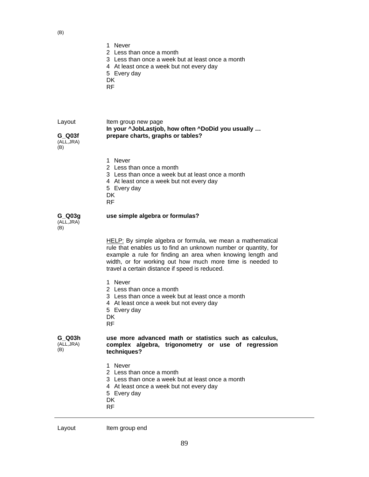|                                       | 1 Never<br>2 Less than once a month<br>3 Less than once a week but at least once a month<br>4 At least once a week but not every day<br>5 Every day<br>DK<br><b>RF</b>                                                                                                                                     |
|---------------------------------------|------------------------------------------------------------------------------------------------------------------------------------------------------------------------------------------------------------------------------------------------------------------------------------------------------------|
| Layout<br>G Q03f<br>(ALL, JRA)<br>(B) | Item group new page<br>In your ^JobLastjob, how often ^DoDid you usually<br>prepare charts, graphs or tables?                                                                                                                                                                                              |
|                                       | 1 Never<br>2 Less than once a month<br>3 Less than once a week but at least once a month<br>4 At least once a week but not every day<br>5 Every day<br>DK<br><b>RF</b>                                                                                                                                     |
| $G_$ Q03g<br>(ALL, JRA)<br>(B)        | use simple algebra or formulas?                                                                                                                                                                                                                                                                            |
|                                       | HELP: By simple algebra or formula, we mean a mathematical<br>rule that enables us to find an unknown number or quantity, for<br>example a rule for finding an area when knowing length and<br>width, or for working out how much more time is needed to<br>travel a certain distance if speed is reduced. |
|                                       | 1 Never<br>2 Less than once a month<br>3 Less than once a week but at least once a month<br>4 At least once a week but not every day<br>5 Every day<br>DK<br><b>RF</b>                                                                                                                                     |
| G Q03h<br>(ALL, JRA)<br>(B)           | use more advanced math or statistics such as calculus,<br>complex algebra, trigonometry or use of regression<br>techniques?                                                                                                                                                                                |
|                                       | 1 Never<br>2 Less than once a month                                                                                                                                                                                                                                                                        |

- 3 Less than once a week but at least once a month
- 4 At least once a week but not every day
- 5 Every day
- DK
- RF

| Layout |
|--------|
|--------|

Item group end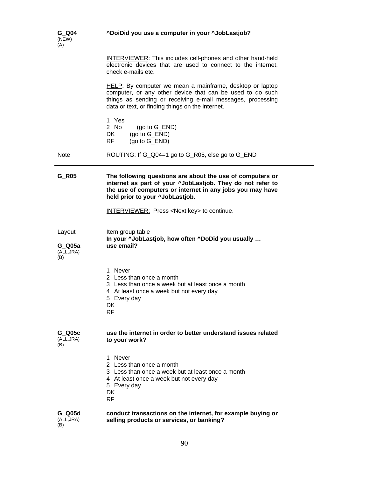| G Q04<br>(NEW)<br>(A)                 | ^DoiDid you use a computer in your ^JobLastjob?                                                                                                                                                                                         |
|---------------------------------------|-----------------------------------------------------------------------------------------------------------------------------------------------------------------------------------------------------------------------------------------|
|                                       | <b>INTERVIEWER:</b> This includes cell-phones and other hand-held<br>electronic devices that are used to connect to the internet,<br>check e-mails etc.                                                                                 |
|                                       | HELP: By computer we mean a mainframe, desktop or laptop<br>computer, or any other device that can be used to do such<br>things as sending or receiving e-mail messages, processing<br>data or text, or finding things on the internet. |
|                                       | 1 Yes<br>2 No<br>(go to $G$ _END)<br>DK<br>$(go to G_END)$<br><b>RF</b><br>(go to G_END)                                                                                                                                                |
| <b>Note</b>                           | ROUTING: If G_Q04=1 go to G_R05, else go to G_END                                                                                                                                                                                       |
| $G_R$ 05                              | The following questions are about the use of computers or<br>internet as part of your ^JobLastjob. They do not refer to<br>the use of computers or internet in any jobs you may have<br>held prior to your ^JobLastjob.                 |
|                                       | <b>INTERVIEWER:</b> Press <next key=""> to continue.</next>                                                                                                                                                                             |
| Layout<br>G Q05a<br>(ALL, JRA)<br>(B) | Item group table<br>In your ^JobLastjob, how often ^DoDid you usually<br>use email?                                                                                                                                                     |
|                                       | 1 Never<br>2 Less than once a month<br>3 Less than once a week but at least once a month<br>4 At least once a week but not every day<br>5 Every day<br>DK.<br><b>RF</b>                                                                 |
| G Q05c<br>(ALL, JRA)<br>(B)           | use the internet in order to better understand issues related<br>to your work?                                                                                                                                                          |
|                                       | 1 Never<br>2 Less than once a month<br>3 Less than once a week but at least once a month<br>4 At least once a week but not every day<br>5 Every day<br>DK<br><b>RF</b>                                                                  |
| G Q05d<br>(ALL, JRA)<br>(B)           | conduct transactions on the internet, for example buying or<br>selling products or services, or banking?                                                                                                                                |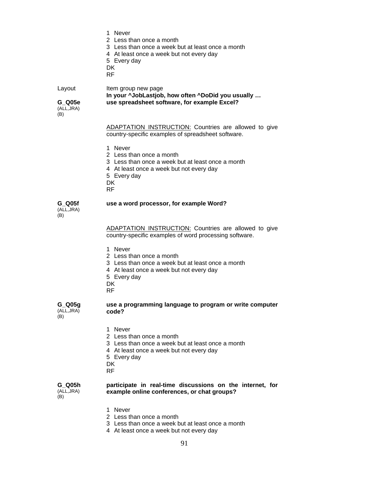- 1 Never
- 2 Less than once a month
- 3 Less than once a week but at least once a month
- 4 At least once a week but not every day
- 5 Every day
- DK
- RF

Layout ltem group new page **In your ^JobLastjob, how often ^DoDid you usually … G\_Q05e use spreadsheet software, for example Excel?** 

(ALL,JRA) (B)

> ADAPTATION INSTRUCTION: Countries are allowed to give country-specific examples of spreadsheet software.

- 1 Never
- 2 Less than once a month
- 3 Less than once a week but at least once a month
- 4 At least once a week but not every day
- 5 Every day
- DK
- RF

#### **G\_Q05f**  (ALL,JRA)  $(B)$

#### **use a word processor, for example Word?**

ADAPTATION INSTRUCTION: Countries are allowed to give country-specific examples of word processing software.

- 1 Never
- 2 Less than once a month
- 3 Less than once a week but at least once a month
- 4 At least once a week but not every day
- 5 Every day
- **DK**
- RF

**G\_Q05g**  (ALL,JRA)  $(B)$ 

### **use a programming language to program or write computer code?**

- 1 Never
- 2 Less than once a month
- 3 Less than once a week but at least once a month
- 4 At least once a week but not every day
- 5 Every day
- **DK**
- RF

**G\_Q05h**  (ALL,JRA) (B)

#### **participate in real-time discussions on the internet, for example online conferences, or chat groups?**

- 1 Never
- 2 Less than once a month
- 3 Less than once a week but at least once a month
- 4 At least once a week but not every day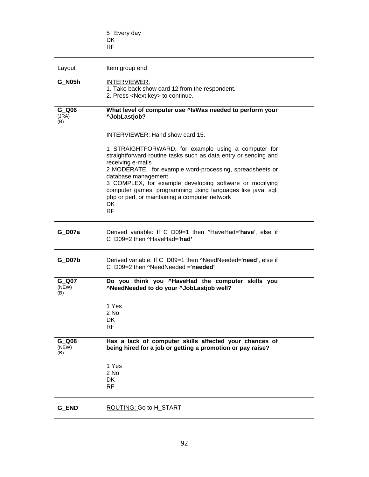|                       | 5 Every day<br>DK<br><b>RF</b>                                                                                                                                                                                                                                                                                                                                                                                                |
|-----------------------|-------------------------------------------------------------------------------------------------------------------------------------------------------------------------------------------------------------------------------------------------------------------------------------------------------------------------------------------------------------------------------------------------------------------------------|
|                       |                                                                                                                                                                                                                                                                                                                                                                                                                               |
| Layout                | Item group end                                                                                                                                                                                                                                                                                                                                                                                                                |
| G N05h                | INTERVIEWER:<br>1. Take back show card 12 from the respondent.<br>2. Press <next key=""> to continue.</next>                                                                                                                                                                                                                                                                                                                  |
| G Q06<br>(JRA)<br>(B) | What level of computer use ^IsWas needed to perform your<br>^JobLastiob?                                                                                                                                                                                                                                                                                                                                                      |
|                       | <b>INTERVIEWER: Hand show card 15.</b>                                                                                                                                                                                                                                                                                                                                                                                        |
|                       | 1 STRAIGHTFORWARD, for example using a computer for<br>straightforward routine tasks such as data entry or sending and<br>receiving e-mails<br>2 MODERATE, for example word-processing, spreadsheets or<br>database management<br>3 COMPLEX, for example developing software or modifying<br>computer games, programming using languages like java, sql,<br>php or perl, or maintaining a computer network<br>DK<br><b>RF</b> |
| G D07a                | Derived variable: If C_D09=1 then ^HaveHad='have', else if<br>C_D09=2 then ^HaveHad='had'                                                                                                                                                                                                                                                                                                                                     |
| $G_D$ 07b             | Derived variable: If C_D09=1 then ^NeedNeeded='need', else if<br>C D09=2 then ^NeedNeeded ='needed'                                                                                                                                                                                                                                                                                                                           |
| G Q07<br>(NEW)<br>(B) | Do you think you ^HaveHad the computer skills you<br>^NeedNeeded to do your ^JobLastjob well?                                                                                                                                                                                                                                                                                                                                 |
|                       | 1 Yes<br>2 No<br><b>DK</b><br><b>RF</b>                                                                                                                                                                                                                                                                                                                                                                                       |
| G Q08<br>(NEW)<br>(B) | Has a lack of computer skills affected your chances of<br>being hired for a job or getting a promotion or pay raise?                                                                                                                                                                                                                                                                                                          |
|                       | 1 Yes<br>2 No<br>DK<br><b>RF</b>                                                                                                                                                                                                                                                                                                                                                                                              |
| G_END                 | ROUTING: Go to H_START                                                                                                                                                                                                                                                                                                                                                                                                        |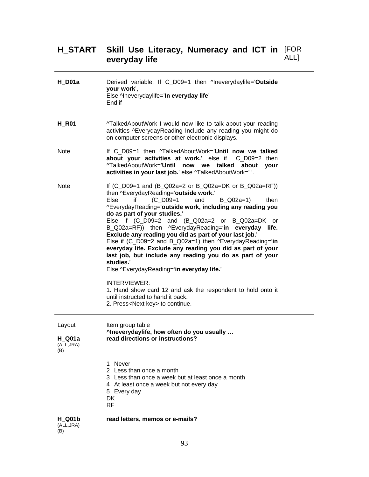#### **H\_START Skill Use Literacy, Numeracy and ICT in everyday life**  [FOR ALL]

| $H_$ D01a                                | Derived variable: If C_D09=1 then ^Ineverydaylife='Outside<br>your work',<br>Else ^Ineverydaylife='In everyday life'<br>End if                                                                                                                                                                                                                                                                                                                                                                                                                                                                                                                                                                                                                                                                                                                   |
|------------------------------------------|--------------------------------------------------------------------------------------------------------------------------------------------------------------------------------------------------------------------------------------------------------------------------------------------------------------------------------------------------------------------------------------------------------------------------------------------------------------------------------------------------------------------------------------------------------------------------------------------------------------------------------------------------------------------------------------------------------------------------------------------------------------------------------------------------------------------------------------------------|
| $H_R$ 01                                 | ^TalkedAboutWork I would now like to talk about your reading<br>activities ^EverydayReading Include any reading you might do<br>on computer screens or other electronic displays.                                                                                                                                                                                                                                                                                                                                                                                                                                                                                                                                                                                                                                                                |
| <b>Note</b>                              | If C D09=1 then ^TalkedAboutWork='Until now we talked<br>about your activities at work.', else if C_D09=2 then<br>^TalkedAboutWork='Until now we talked about your<br>activities in your last job.' else ^TalkedAboutWork=' '.                                                                                                                                                                                                                                                                                                                                                                                                                                                                                                                                                                                                                   |
| <b>Note</b>                              | If $(C_D09=1$ and $(B_Q02a=2$ or B_Q02a=DK or B_Q02a=RF))<br>then ^EverydayReading='outside work.'<br>$(C_{D09=1$<br>Else<br>and<br>if<br>$B$ Q02a=1)<br>then<br>^EverydayReading='outside work, including any reading you<br>do as part of your studies.'<br>Else if (C_D09=2 and (B_Q02a=2 or B_Q02a=DK or<br>B_Q02a=RF)) then ^EverydayReading='in everyday life.<br>Exclude any reading you did as part of your last job.'<br>Else if (C_D09=2 and B_Q02a=1) then ^EverydayReading='in<br>everyday life. Exclude any reading you did as part of your<br>last job, but include any reading you do as part of your<br>studies.'<br>Else ^EverydayReading='in everyday life.'<br>INTERVIEWER:<br>1. Hand show card 12 and ask the respondent to hold onto it<br>until instructed to hand it back.<br>2. Press <next key=""> to continue.</next> |
| Layout<br>$H_$ Q01a<br>(ALL, JRA)<br>(B) | Item group table<br>^Ineverydaylife, how often do you usually<br>read directions or instructions?                                                                                                                                                                                                                                                                                                                                                                                                                                                                                                                                                                                                                                                                                                                                                |
|                                          | 1 Never<br>2 Less than once a month<br>3 Less than once a week but at least once a month<br>4 At least once a week but not every day<br>5 Every day<br><b>DK</b><br><b>RF</b>                                                                                                                                                                                                                                                                                                                                                                                                                                                                                                                                                                                                                                                                    |
| <b>H</b> Q01b<br>(ALL, JRA)<br>(B)       | read letters, memos or e-mails?                                                                                                                                                                                                                                                                                                                                                                                                                                                                                                                                                                                                                                                                                                                                                                                                                  |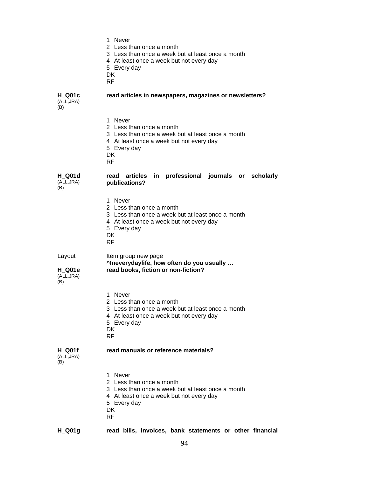1 Never 2 Less than once a month 3 Less than once a week but at least once a month 4 At least once a week but not every day 5 Every day **DK** RF **H\_Q01c**  (ALL,JRA) (B) **read articles in newspapers, magazines or newsletters?**  1 Never 2 Less than once a month 3 Less than once a week but at least once a month 4 At least once a week but not every day 5 Every day **DK** RF **H\_Q01d**  (ALL,JRA) (B) **read articles in professional journals or scholarly publications?**  1 Never 2 Less than once a month 3 Less than once a week but at least once a month 4 At least once a week but not every day 5 Every day DK RF Layout ltem group new page  **^Ineverydaylife, how often do you usually … H\_Q01e**  (ALL,JRA)  $(B)$ **read books, fiction or non-fiction?**  1 Never 2 Less than once a month 3 Less than once a week but at least once a month 4 At least once a week but not every day 5 Every day **DK** RF **H\_Q01f**  (ALL,JRA) (B) **read manuals or reference materials?**  1 Never 2 Less than once a month 3 Less than once a week but at least once a month 4 At least once a week but not every day 5 Every day **DK** RF

**H\_Q01g read bills, invoices, bank statements or other financial** 

94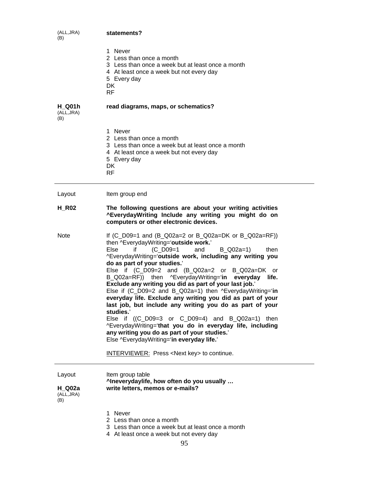| (ALL, JRA)<br>(B)                  | statements?                                                                                                                                                             |
|------------------------------------|-------------------------------------------------------------------------------------------------------------------------------------------------------------------------|
|                                    | 1 Never<br>2 Less than once a month<br>3 Less than once a week but at least once a month<br>4 At least once a week but not every day<br>5 Every day<br>DK.<br>RF.       |
| <b>H</b> Q01h<br>(ALL, JRA)<br>(B) | read diagrams, maps, or schematics?                                                                                                                                     |
|                                    | 1 Never<br>2 Less than once a month<br>3 Less than once a week but at least once a month<br>4 At least once a week but not every day<br>5 Every day<br>DK.<br><b>RF</b> |
| Layout                             | Item group end                                                                                                                                                          |
| <b>H R02</b>                       | The following questions are about your writing activities<br>^EverydayWriting Include any writing you might do on                                                       |

Note If (C\_D09=1 and (B\_Q02a=2 or B\_Q02a=DK or B\_Q02a=RF)) then ^EverydayWriting='**outside work.**' Else if  $(C\ D09=1$  and B $Q02a=1$  then ^EverydayWriting='**outside work, including any writing you do as part of your studies.**' Else if (C\_D09=2 and (B\_Q02a=2 or B\_Q02a=DK or B\_Q02a=RF)) then ^EverydayWriting='**in everyday life. Exclude any writing you did as part of your last job.**' Else if (C\_D09=2 and B\_Q02a=1) then ^EverydayWriting='**in everyday life. Exclude any writing you did as part of your last job, but include any writing you do as part of your studies.**' Else if  $((C_D09=3 \text{ or } C_D09=4)$  and  $B_Q02a=1)$  then ^EverydayWriting='**that you do in everyday life, including any writing you do as part of your studies.**' Else ^EverydayWriting='**in everyday life.**' INTERVIEWER: Press <Next key> to continue.

**computers or other electronic devices.**

| Layout                     | Item group table<br>^Ineverydaylife, how often do you usually |
|----------------------------|---------------------------------------------------------------|
| H Q02a<br>(ALL,JRA)<br>(B) | write letters, memos or e-mails?                              |

- 1 Never
- 2 Less than once a month
- 3 Less than once a week but at least once a month
- 4 At least once a week but not every day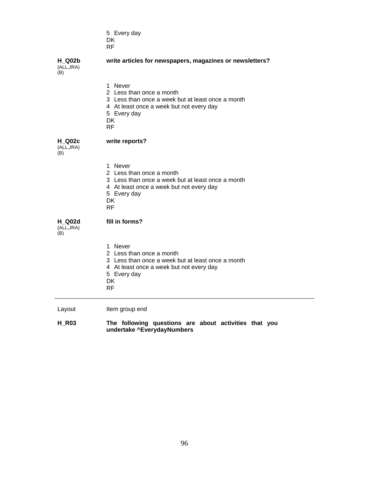5 Every day DK RF

**H\_Q02b**  (ALL,JRA)

## **write articles for newspapers, magazines or newsletters?**

(B)

|                                    | 1 Never<br>2 Less than once a month<br>3 Less than once a week but at least once a month<br>4 At least once a week but not every day<br>5 Every day<br>DK<br><b>RF</b>  |
|------------------------------------|-------------------------------------------------------------------------------------------------------------------------------------------------------------------------|
| <b>H Q02c</b><br>(ALL, JRA)<br>(B) | write reports?                                                                                                                                                          |
|                                    | 1 Never<br>2 Less than once a month<br>3 Less than once a week but at least once a month<br>4 At least once a week but not every day<br>5 Every day<br>DK<br><b>RF</b>  |
| H Q02d<br>(ALL, JRA)<br>(B)        | fill in forms?                                                                                                                                                          |
|                                    | 1 Never<br>2 Less than once a month<br>3 Less than once a week but at least once a month<br>4 At least once a week but not every day<br>5 Every day<br>DK.<br><b>RF</b> |
| Layout                             | Item group end                                                                                                                                                          |

**H\_R03 The following questions are about activities that you undertake ^EverydayNumbers**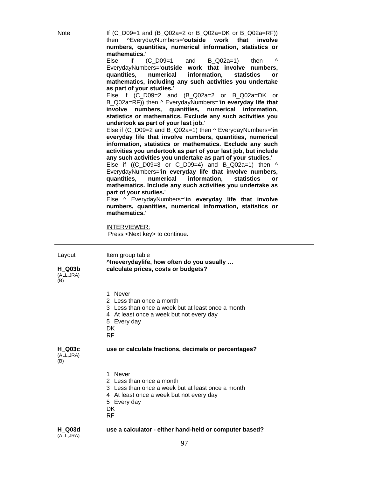Note If (C\_D09=1 and (B\_Q02a=2 or B\_Q02a=DK or B\_Q02a=RF)) then ^EverydayNumbers='**outside work that involve numbers, quantities, numerical information, statistics or mathematics.**'

> Else if  $(C\ D09=1$  and B $Q02a=1$  then EverydayNumbers='**outside work that involve numbers, quantities, numerical information, statistics or mathematics, including any such activities you undertake as part of your studies.**'

> Else if (C\_D09=2 and (B\_Q02a=2 or B\_Q02a=DK or B\_Q02a=RF)) then ^ EverydayNumbers='**in everyday life that involve numbers, quantities, numerical information, statistics or mathematics. Exclude any such activities you undertook as part of your last job.**'

> Else if (C\_D09=2 and B\_Q02a=1) then ^ EverydayNumbers='**in everyday life that involve numbers, quantities, numerical information, statistics or mathematics. Exclude any such activities you undertook as part of your last job, but include any such activities you undertake as part of your studies.**'

> Else if  $((C_D09=3 \text{ or } C_D09=4)$  and  $B_Q02a=1)$  then  $\wedge$ EverydayNumbers='**in everyday life that involve numbers, quantities, numerical information, statistics or mathematics. Include any such activities you undertake as part of your studies.**'

> Else ^ EverydayNumbers='**in everyday life that involve numbers, quantities, numerical information, statistics or mathematics.**'

INTERVIEWER:

Press <Next key> to continue.

Layout Item group table **^Ineverydaylife, how often do you usually … calculate prices, costs or budgets?** 

**H\_Q03b**  (ALL,JRA) (B)

- 1 Never
- 2 Less than once a month
- 3 Less than once a week but at least once a month
- 4 At least once a week but not every day
- 5 Every day
- **DK**
- RF

### **use or calculate fractions, decimals or percentages?**

**H\_Q03c**  (ALL,JRA) (B)

- 1 Never
- 2 Less than once a month
- 
- 3 Less than once a week but at least once a month
- 4 At least once a week but not every day
- 5 Every day
- **DK**
- RF

#### **H\_Q03d**  (ALL,JRA) **use a calculator - either hand-held or computer based?**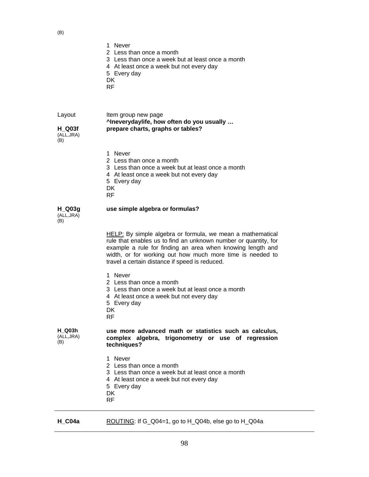(B)

| $\mathcal{L}$                         |                                                                                                                                                                                                                                                                                                            |
|---------------------------------------|------------------------------------------------------------------------------------------------------------------------------------------------------------------------------------------------------------------------------------------------------------------------------------------------------------|
|                                       | 1 Never<br>2 Less than once a month<br>3 Less than once a week but at least once a month<br>4 At least once a week but not every day<br>5 Every day<br><b>DK</b><br><b>RF</b>                                                                                                                              |
| Layout<br>H Q03f<br>(ALL, JRA)<br>(B) | Item group new page<br>^Ineverydaylife, how often do you usually<br>prepare charts, graphs or tables?                                                                                                                                                                                                      |
|                                       | 1 Never<br>2 Less than once a month<br>3 Less than once a week but at least once a month<br>4 At least once a week but not every day<br>5 Every day<br>DK<br><b>RF</b>                                                                                                                                     |
| $H_$ Q03g<br>(ALL, JRA)<br>(B)        | use simple algebra or formulas?                                                                                                                                                                                                                                                                            |
|                                       | HELP: By simple algebra or formula, we mean a mathematical<br>rule that enables us to find an unknown number or quantity, for<br>example a rule for finding an area when knowing length and<br>width, or for working out how much more time is needed to<br>travel a certain distance if speed is reduced. |
|                                       | 1 Never<br>2 Less than once a month<br>3 Less than once a week but at least once a month<br>4 At least once a week but not every day<br>5 Every day<br>DK.<br><b>RF</b>                                                                                                                                    |
| <b>H</b> Q03h<br>(ALL, JRA)<br>(B)    | use more advanced math or statistics such as calculus,<br>complex algebra, trigonometry or use of regression<br>techniques?                                                                                                                                                                                |
|                                       | 1 Never<br>2 Less than once a month<br>3 Less than once a week but at least once a month<br>4 At least once a week but not every day<br>5 Every day<br>DK<br><b>RF</b>                                                                                                                                     |

|  | $H_{C}$ 04a | ROUTING: If G_Q04=1, go to H_Q04b, else go to H_Q04a |
|--|-------------|------------------------------------------------------|
|--|-------------|------------------------------------------------------|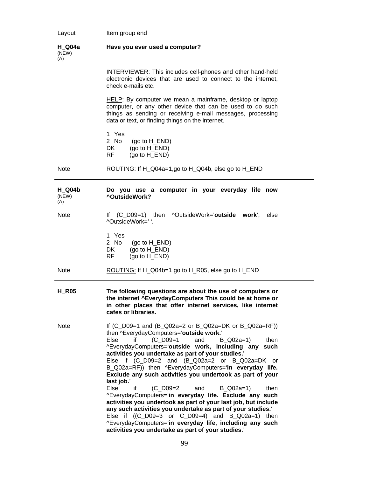| Layout                        | Item group end                                                                                                                                                                                                                                                                                                                                                                                                                                                                                                                                                                                                                                                                                                                                                                                                                                                                                             |
|-------------------------------|------------------------------------------------------------------------------------------------------------------------------------------------------------------------------------------------------------------------------------------------------------------------------------------------------------------------------------------------------------------------------------------------------------------------------------------------------------------------------------------------------------------------------------------------------------------------------------------------------------------------------------------------------------------------------------------------------------------------------------------------------------------------------------------------------------------------------------------------------------------------------------------------------------|
| <b>H</b> Q04a<br>(NEW)<br>(A) | Have you ever used a computer?                                                                                                                                                                                                                                                                                                                                                                                                                                                                                                                                                                                                                                                                                                                                                                                                                                                                             |
|                               | <b>INTERVIEWER:</b> This includes cell-phones and other hand-held<br>electronic devices that are used to connect to the internet,<br>check e-mails etc.                                                                                                                                                                                                                                                                                                                                                                                                                                                                                                                                                                                                                                                                                                                                                    |
|                               | HELP: By computer we mean a mainframe, desktop or laptop<br>computer, or any other device that can be used to do such<br>things as sending or receiving e-mail messages, processing<br>data or text, or finding things on the internet.                                                                                                                                                                                                                                                                                                                                                                                                                                                                                                                                                                                                                                                                    |
|                               | 1 Yes<br>2 No<br>(go to H_END)<br>(go to H_END)<br>DK.<br>(go to H END)<br>RF.                                                                                                                                                                                                                                                                                                                                                                                                                                                                                                                                                                                                                                                                                                                                                                                                                             |
| <b>Note</b>                   | ROUTING: If H_Q04a=1,go to H_Q04b, else go to H_END                                                                                                                                                                                                                                                                                                                                                                                                                                                                                                                                                                                                                                                                                                                                                                                                                                                        |
| <b>H</b> Q04b<br>(NEW)<br>(A) | Do you use a computer in your everyday life now<br>^OutsideWork?                                                                                                                                                                                                                                                                                                                                                                                                                                                                                                                                                                                                                                                                                                                                                                                                                                           |
| <b>Note</b>                   | If (C_D09=1) then ^OutsideWork='outside work',<br>else<br>^OutsideWork=' '.                                                                                                                                                                                                                                                                                                                                                                                                                                                                                                                                                                                                                                                                                                                                                                                                                                |
|                               | 1 Yes<br>2 No<br>(go to H_END)<br>$(go to H_END)$<br>DK.<br>(go to H_END)<br>RF                                                                                                                                                                                                                                                                                                                                                                                                                                                                                                                                                                                                                                                                                                                                                                                                                            |
| <b>Note</b>                   | ROUTING: If H_Q04b=1 go to H_R05, else go to H_END                                                                                                                                                                                                                                                                                                                                                                                                                                                                                                                                                                                                                                                                                                                                                                                                                                                         |
| <b>H_R05</b>                  | The following questions are about the use of computers or<br>the internet ^EverydayComputers This could be at home or<br>in other places that offer internet services, like internet<br>cafes or libraries.                                                                                                                                                                                                                                                                                                                                                                                                                                                                                                                                                                                                                                                                                                |
| Note                          | If $(C_1D09=1$ and $(B_2Q02a=2$ or B_Q02a=DK or B_Q02a=RF)<br>then ^EverydayComputers='outside work.'<br>(C D09=1<br>Else<br>and<br>B Q02a=1)<br>if<br>then<br>^EverydayComputers='outside work, including any such<br>activities you undertake as part of your studies.'<br>Else if (C_D09=2 and (B_Q02a=2 or B_Q02a=DK or<br>B_Q02a=RF)) then ^EverydayComputers='in everyday life.<br>Exclude any such activities you undertook as part of your<br>last job.'<br>$(C_$ D09=2<br>Else<br>if<br>and<br>$B_$ Q02a=1)<br>then<br>^EverydayComputers='in everyday life. Exclude any such<br>activities you undertook as part of your last job, but include<br>any such activities you undertake as part of your studies.'<br>Else if $((C_D09=3 \text{ or } C_D09=4)$ and $B_D02a=1)$ then<br>^EverydayComputers='in everyday life, including any such<br>activities you undertake as part of your studies.' |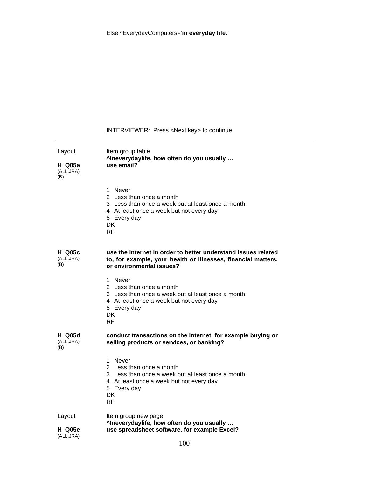Else ^EverydayComputers='**in everyday life.**'

# INTERVIEWER: Press <Next key> to continue.

| Layout<br>H Q05a<br>(ALL, JRA)<br>(B) | Item group table<br>^Ineverydaylife, how often do you usually<br>use email?                                                                                             |
|---------------------------------------|-------------------------------------------------------------------------------------------------------------------------------------------------------------------------|
|                                       | 1 Never<br>2 Less than once a month<br>3 Less than once a week but at least once a month<br>4 At least once a week but not every day<br>5 Every day<br>DK.<br><b>RF</b> |
| <b>H</b> Q05c<br>(ALL, JRA)<br>(B)    | use the internet in order to better understand issues related<br>to, for example, your health or illnesses, financial matters,<br>or environmental issues?              |
|                                       | 1 Never<br>2 Less than once a month<br>3 Less than once a week but at least once a month<br>4 At least once a week but not every day<br>5 Every day<br><b>DK</b><br>RF  |
| <b>H</b> Q05d<br>(ALL, JRA)<br>(B)    | conduct transactions on the internet, for example buying or<br>selling products or services, or banking?                                                                |
|                                       | 1 Never<br>2 Less than once a month<br>3 Less than once a week but at least once a month<br>4 At least once a week but not every day<br>5 Every day<br>DK.<br><b>RF</b> |
| Layout<br><b>H_Q05e</b><br>(ALL, JRA) | Item group new page<br>^Ineverydaylife, how often do you usually<br>use spreadsheet software, for example Excel?                                                        |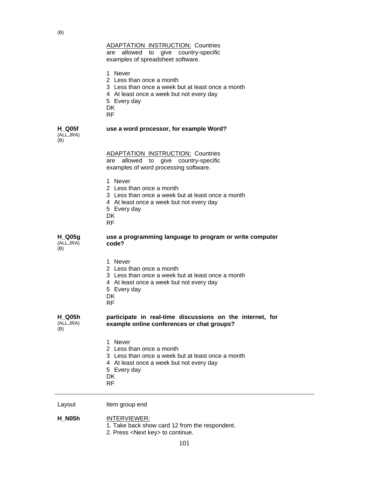are allowed to give country-specific examples of spreadsheet software.

1 Never

- 2 Less than once a month
- 3 Less than once a week but at least once a month
- 4 At least once a week but not every day
- 5 Every day

DK

RF

### **use a word processor, for example Word?**

**H\_Q05f**  (ALL,JRA)  $(B)$ 

| (D)                            |                                                                                                                                                                               |
|--------------------------------|-------------------------------------------------------------------------------------------------------------------------------------------------------------------------------|
|                                | <b>ADAPTATION INSTRUCTION: Countries</b><br>allowed to give country-specific<br>are<br>examples of word processing software.                                                  |
|                                | 1 Never<br>2 Less than once a month<br>3 Less than once a week but at least once a month<br>4 At least once a week but not every day<br>5 Every day<br><b>DK</b><br><b>RF</b> |
| $H_$ Q05g<br>(ALL, JRA)<br>(B) | use a programming language to program or write computer<br>code?                                                                                                              |
|                                | 1 Never<br>2 Less than once a month<br>3 Less than once a week but at least once a month<br>4 At least once a week but not every day<br>5 Every day<br>DK.<br><b>RF</b>       |
| H Q05h<br>(ALL, JRA)<br>(B)    | participate in real-time discussions on the internet, for<br>example online conferences or chat groups?                                                                       |
|                                | 1 Never<br>2 Less than once a month<br>3 Less than once a week but at least once a month<br>4 At least once a week but not every day<br>5 Every day<br>DK<br><b>RF</b>        |
| Layout                         | Item group end                                                                                                                                                                |

**H\_N05h** INTERVIEWER:

- 1. Take back show card 12 from the respondent.
- 2. Press <Next key> to continue.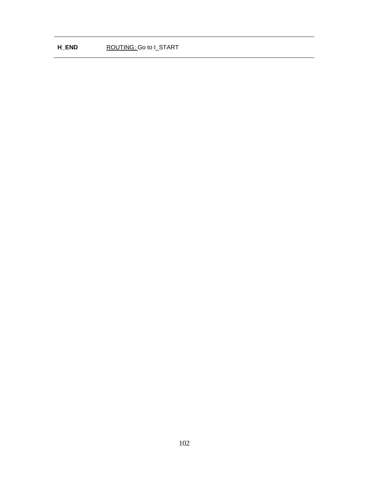## **H\_END ROUTING:** Go to I\_START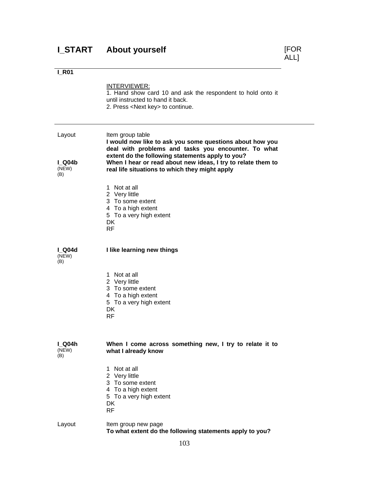# **I\_R01**

|                          | INTERVIEWER:<br>1. Hand show card 10 and ask the respondent to hold onto it<br>until instructed to hand it back.<br>2. Press <next key=""> to continue.</next>                          |
|--------------------------|-----------------------------------------------------------------------------------------------------------------------------------------------------------------------------------------|
| Layout                   | Item group table<br>I would now like to ask you some questions about how you<br>deal with problems and tasks you encounter. To what<br>extent do the following statements apply to you? |
| $I$ Q04b<br>(NEW)<br>(B) | When I hear or read about new ideas, I try to relate them to<br>real life situations to which they might apply                                                                          |
|                          | 1 Not at all<br>2 Very little<br>3 To some extent<br>4 To a high extent<br>5 To a very high extent<br><b>DK</b><br><b>RF</b>                                                            |
| Q04d<br>(NEW)<br>(B)     | I like learning new things                                                                                                                                                              |
|                          | 1 Not at all<br>2 Very little<br>3 To some extent<br>4 To a high extent<br>5 To a very high extent<br>DK.<br><b>RF</b>                                                                  |
| I Q04h<br>(NEW)<br>(B)   | When I come across something new, I try to relate it to<br>what I already know                                                                                                          |
|                          | 1 Not at all<br>2 Very little<br>3 To some extent<br>4 To a high extent<br>5 To a very high extent<br>DK<br><b>RF</b>                                                                   |
| Layout                   | Item group new page<br>To what extent do the following statements apply to you?                                                                                                         |

[FOR<br>ALL]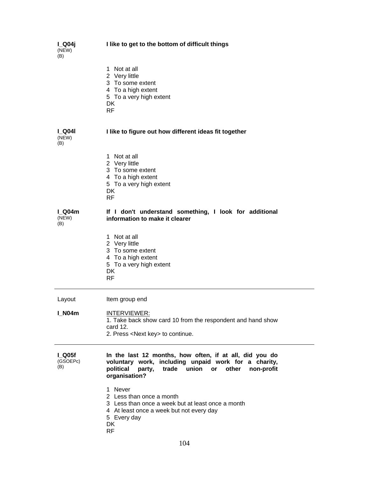| I_Q04j<br>(NEW)<br>(B)  | I like to get to the bottom of difficult things                                                                                                                                                        |
|-------------------------|--------------------------------------------------------------------------------------------------------------------------------------------------------------------------------------------------------|
|                         | 1 Not at all<br>2 Very little<br>3 To some extent<br>4 To a high extent<br>5 To a very high extent<br>DK<br><b>RF</b>                                                                                  |
| l Q04l<br>(NEW)<br>(B)  | I like to figure out how different ideas fit together                                                                                                                                                  |
|                         | 1 Not at all<br>2 Very little<br>3 To some extent<br>4 To a high extent<br>5 To a very high extent<br>DK<br><b>RF</b>                                                                                  |
| I Q04m<br>(NEW)<br>(B)  | If I don't understand something, I look for additional<br>information to make it clearer                                                                                                               |
|                         | 1 Not at all<br>2 Very little<br>3 To some extent<br>4 To a high extent<br>5 To a very high extent<br>DK<br>RF.                                                                                        |
| Layout                  | Item group end                                                                                                                                                                                         |
| <b>I_N04m</b>           | <b>INTERVIEWER:</b><br>1. Take back show card 10 from the respondent and hand show<br>card 12.<br>2. Press <next key=""> to continue.</next>                                                           |
| Q05f<br>(GSOEPc)<br>(B) | In the last 12 months, how often, if at all, did you do<br>voluntary work, including unpaid work for a charity,<br>union<br>political<br>trade<br>other<br>party,<br>or<br>non-profit<br>organisation? |
|                         | 1 Never<br>2 Less than once a month<br>3 Less than once a week but at least once a month<br>4 At least once a week but not every day<br>5 Every day<br>DK<br><b>RF</b>                                 |

104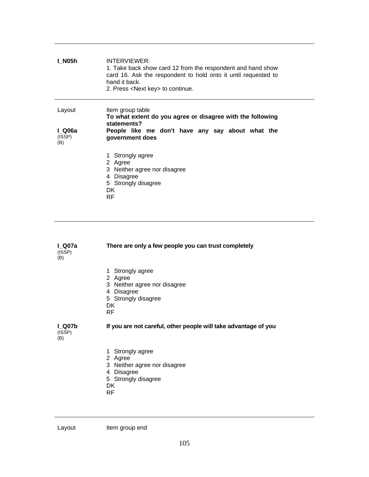| l N05h                            | INTERVIEWER:<br>1. Take back show card 12 from the respondent and hand show<br>card 16. Ask the respondent to hold onto it until requested to<br>hand it back.<br>2. Press <next key=""> to continue.</next> |
|-----------------------------------|--------------------------------------------------------------------------------------------------------------------------------------------------------------------------------------------------------------|
| Layout<br>I Q06a<br>(ISSP)<br>(B) | Item group table<br>To what extent do you agree or disagree with the following<br>statements?<br>People like me don't have any say about what the<br>government does                                         |
|                                   | 1 Strongly agree<br>2 Agree<br>3 Neither agree nor disagree<br>4 Disagree<br>5 Strongly disagree<br>DK.<br>RF                                                                                                |

| l Q07a        | There are only a few people you can trust completely |
|---------------|------------------------------------------------------|
| (ISSP)<br>(B) |                                                      |

- 1 Strongly agree
- 2 Agree
- 3 Neither agree nor disagree
- 4 Disagree
- 5 Strongly disagree
- DK
- RF

**I\_Q07b** 

## **If you are not careful, other people will take advantage of you**

(ISSP) (B)

- 1 Strongly agree
- 2 Agree
- 3 Neither agree nor disagree
- 4 Disagree
- 5 Strongly disagree
- DK
- RF

Layout Item group end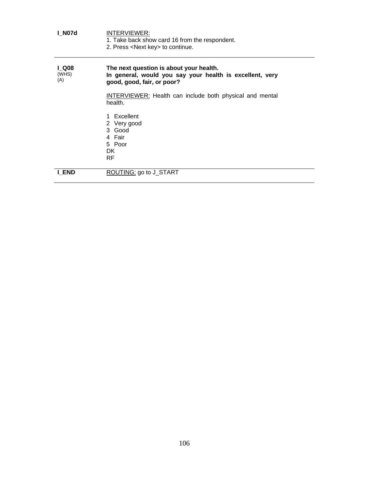| <b>I N07d</b>               | INTERVIEWER:<br>1. Take back show card 16 from the respondent.<br>2. Press <next key=""> to continue.</next>                      |
|-----------------------------|-----------------------------------------------------------------------------------------------------------------------------------|
| <b>LQ08</b><br>(WHS)<br>(A) | The next question is about your health.<br>In general, would you say your health is excellent, very<br>good, good, fair, or poor? |
|                             | <b>INTERVIEWER:</b> Health can include both physical and mental<br>health.                                                        |
|                             | 1 Excellent<br>2 Very good<br>3 Good<br>4 Fair<br>5 Poor<br>DK.<br>RF.                                                            |
| I END                       | ROUTING: go to J_START                                                                                                            |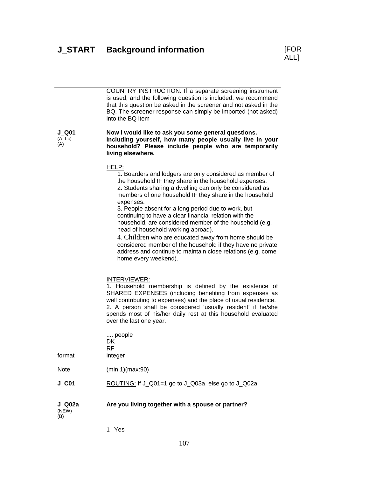

| J Q02a<br>(NEW)<br>(B) | Are you living together with a spouse or partner?                                                                                                                                                                                                                                                                                                                                                                                                                                                                                                                                                                                                                                               |
|------------------------|-------------------------------------------------------------------------------------------------------------------------------------------------------------------------------------------------------------------------------------------------------------------------------------------------------------------------------------------------------------------------------------------------------------------------------------------------------------------------------------------------------------------------------------------------------------------------------------------------------------------------------------------------------------------------------------------------|
| $J$ <sub>_C01</sub>    | ROUTING: If J_Q01=1 go to J_Q03a, else go to J_Q02a                                                                                                                                                                                                                                                                                                                                                                                                                                                                                                                                                                                                                                             |
| <b>Note</b>            | (min:1)(max:90)                                                                                                                                                                                                                                                                                                                                                                                                                                                                                                                                                                                                                                                                                 |
| tormat                 | DK<br><b>RF</b><br>integer                                                                                                                                                                                                                                                                                                                                                                                                                                                                                                                                                                                                                                                                      |
|                        | INTERVIEWER:<br>1. Household membership is defined by the existence of<br>SHARED EXPENSES (including benefiting from expenses as<br>well contributing to expenses) and the place of usual residence.<br>2. A person shall be considered 'usually resident' if he/she<br>spends most of his/her daily rest at this household evaluated<br>over the last one year.<br>people                                                                                                                                                                                                                                                                                                                      |
|                        | HELP:<br>1. Boarders and lodgers are only considered as member of<br>the household IF they share in the household expenses.<br>2. Students sharing a dwelling can only be considered as<br>members of one household IF they share in the household<br>expenses.<br>3. People absent for a long period due to work, but<br>continuing to have a clear financial relation with the<br>household, are considered member of the household (e.g.<br>head of household working abroad).<br>4. Children who are educated away from home should be<br>considered member of the household if they have no private<br>address and continue to maintain close relations (e.g. come<br>home every weekend). |
| J Q01<br>(ALLc)<br>(A) | Now I would like to ask you some general questions.<br>Including yourself, how many people usually live in your<br>household? Please include people who are temporarily<br>living elsewhere.                                                                                                                                                                                                                                                                                                                                                                                                                                                                                                    |
|                        | COUNTRY INSTRUCTION: If a separate screening instrument<br>is used, and the following question is included, we recommend<br>that this question be asked in the screener and not asked in the<br>BQ. The screener response can simply be imported (not asked)<br>into the BQ item                                                                                                                                                                                                                                                                                                                                                                                                                |

1 Yes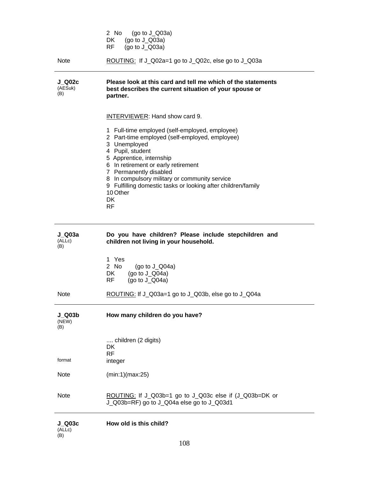|                                 | 2 No<br>(go to $J_Q$ 03a)<br>DK<br>(go to $J_Q$ 03a)<br>RF<br>(go to $J_Q$ 03a)                                                                                                                                                                                                                                                                                                   |  |
|---------------------------------|-----------------------------------------------------------------------------------------------------------------------------------------------------------------------------------------------------------------------------------------------------------------------------------------------------------------------------------------------------------------------------------|--|
| <b>Note</b>                     | ROUTING: If J_Q02a=1 go to J_Q02c, else go to J_Q03a                                                                                                                                                                                                                                                                                                                              |  |
| $J_Q$ 002 $c$<br>(AESuk)<br>(B) | Please look at this card and tell me which of the statements<br>best describes the current situation of your spouse or<br>partner.                                                                                                                                                                                                                                                |  |
|                                 | INTERVIEWER: Hand show card 9.                                                                                                                                                                                                                                                                                                                                                    |  |
|                                 | 1 Full-time employed (self-employed, employee)<br>2 Part-time employed (self-employed, employee)<br>3 Unemployed<br>4 Pupil, student<br>5 Apprentice, internship<br>6 In retirement or early retirement<br>7 Permanently disabled<br>8 In compulsory military or community service<br>9 Fulfilling domestic tasks or looking after children/family<br>10 Other<br>DK<br><b>RF</b> |  |
|                                 |                                                                                                                                                                                                                                                                                                                                                                                   |  |
| J Q03a<br>(ALLc)<br>(B)         | Do you have children? Please include stepchildren and<br>children not living in your household.                                                                                                                                                                                                                                                                                   |  |
|                                 | 1 Yes<br>2 No<br>(go to $J_Q$ Q04a)<br>(go to $J_Q$ Q04a)<br>DK.<br>RF<br>(go to $J_Q$ 04a)                                                                                                                                                                                                                                                                                       |  |
| <b>Note</b>                     | ROUTING: If J_Q03a=1 go to J_Q03b, else go to J_Q04a                                                                                                                                                                                                                                                                                                                              |  |
| $J_$ Q03b<br>(NEW)<br>(B)       | How many children do you have?                                                                                                                                                                                                                                                                                                                                                    |  |
|                                 | children (2 digits)<br>DK                                                                                                                                                                                                                                                                                                                                                         |  |
| format                          | <b>RF</b><br>integer                                                                                                                                                                                                                                                                                                                                                              |  |
| Note                            | (min:1)(max:25)                                                                                                                                                                                                                                                                                                                                                                   |  |

| J Q03c | How old is this child? |
|--------|------------------------|
| (ALLc) |                        |
| (B)    |                        |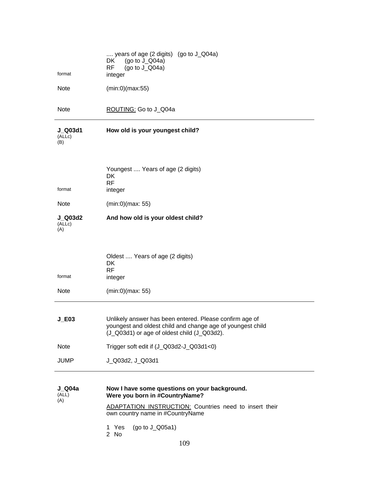| format                          | years of age $(2 \text{ digits})$ $(g \circ \text{to } J_Q 04a)$<br>DK<br>(go to $J_{Q}$ 04a)<br><b>RF</b><br>(go to $J_Q$ Q04a)<br>integer                          |
|---------------------------------|----------------------------------------------------------------------------------------------------------------------------------------------------------------------|
| <b>Note</b>                     | (min:0)(max:55)                                                                                                                                                      |
| <b>Note</b>                     | ROUTING: Go to J_Q04a                                                                                                                                                |
| J_Q03d1<br>(ALLc)<br>(B)        | How old is your youngest child?                                                                                                                                      |
| format                          | Youngest  Years of age (2 digits)<br><b>DK</b><br><b>RF</b><br>integer                                                                                               |
| <b>Note</b>                     | (min:0)(max: 55)                                                                                                                                                     |
| <b>J_Q03d2</b><br>(ALLc)<br>(A) | And how old is your oldest child?                                                                                                                                    |
| format                          | Oldest  Years of age (2 digits)<br>DK<br><b>RF</b><br>integer                                                                                                        |
| <b>Note</b>                     | (min:0)(max: 55)                                                                                                                                                     |
| $J_E$ 03                        | Unlikely answer has been entered. Please confirm age of<br>youngest and oldest child and change age of youngest child<br>(J_Q03d1) or age of oldest child (J_Q03d2). |
| Note                            | Trigger soft edit if (J_Q03d2-J_Q03d1<0)                                                                                                                             |
| <b>JUMP</b>                     | J_Q03d2, J_Q03d1                                                                                                                                                     |
| $J_$ Q04a<br>(ALL)<br>(A)       | Now I have some questions on your background.<br>Were you born in #CountryName?                                                                                      |
|                                 | <b>ADAPTATION INSTRUCTION:</b> Countries need to insert their<br>own country name in #CountryName                                                                    |

- $($ go to J $\_$ Q05a1) 1 Yes<br>2 No
-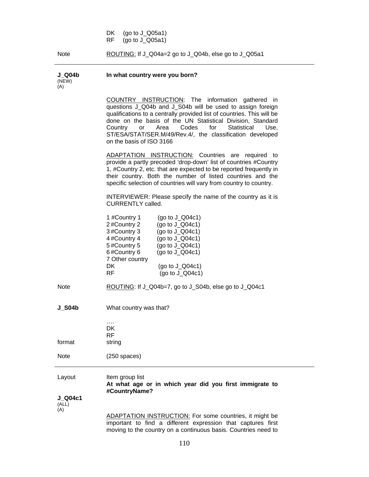DK (go to J\_Q05a1)<br>RF (go to J\_Q05a1)  $(go to J_Q05a1)$ 

**In what country were you born?** 

**J\_Q04b** 

Note ROUTING: If J\_Q04a=2 go to J\_Q04b, else go to J\_Q05a1

| (NEW)<br>(A)                |                                                                                                                                                                                                                                                                                                                                                                                                                 |
|-----------------------------|-----------------------------------------------------------------------------------------------------------------------------------------------------------------------------------------------------------------------------------------------------------------------------------------------------------------------------------------------------------------------------------------------------------------|
|                             | COUNTRY INSTRUCTION: The information gathered in<br>questions J_Q04b and J_S04b will be used to assign foreign<br>qualifications to a centrally provided list of countries. This will be<br>done on the basis of the UN Statistical Division, Standard<br>Codes<br>for<br>Statistical<br>Country<br>Area<br>Use.<br>or<br>ST/ESA/STAT/SER.M/49/Rev.4/, the classification developed<br>on the basis of ISO 3166 |
|                             | ADAPTATION INSTRUCTION: Countries are required to<br>provide a partly precoded 'drop-down' list of countries #Country<br>1, #Country 2, etc. that are expected to be reported frequently in<br>their country. Both the number of listed countries and the<br>specific selection of countries will vary from country to country.                                                                                 |
|                             | INTERVIEWER: Please specify the name of the country as it is<br><b>CURRENTLY called.</b>                                                                                                                                                                                                                                                                                                                        |
|                             | 1 #Country 1<br>(go to $J_Q$ Q04c1)<br>2#Country 2<br>(go to $J_Q04c1$ )<br>3#Country 3<br>(go to $J_Q$ Q04c1)<br>4#Country 4<br>(go to $J_Q$ Q04c1)<br>5#Country 5<br>(go to $J_Q04c1$ )<br>6#Country 6<br>(go to $J_Q$ Q04c1)<br>7 Other country<br>DK<br>(go to $J_Q$ Q04c1)<br><b>RF</b><br>(go to $J_Q$ Q04c1)                                                                                             |
| <b>Note</b>                 | ROUTING: If J_Q04b=7, go to J_S04b, else go to J_Q04c1                                                                                                                                                                                                                                                                                                                                                          |
| <b>J S04b</b>               | What country was that?<br>.                                                                                                                                                                                                                                                                                                                                                                                     |
| format                      | DK<br>RF.<br>string                                                                                                                                                                                                                                                                                                                                                                                             |
| Note                        | $(250$ spaces)                                                                                                                                                                                                                                                                                                                                                                                                  |
| Layout                      | Item group list<br>At what age or in which year did you first immigrate to<br>#CountryName?                                                                                                                                                                                                                                                                                                                     |
| $J_Q$ 004c1<br>(ALL)<br>(A) | <b>ADAPTATION INSTRUCTION:</b> For some countries, it might be                                                                                                                                                                                                                                                                                                                                                  |

important to find a different expression that captures first moving to the country on a continuous basis. Countries need to  $\overline{\phantom{0}}$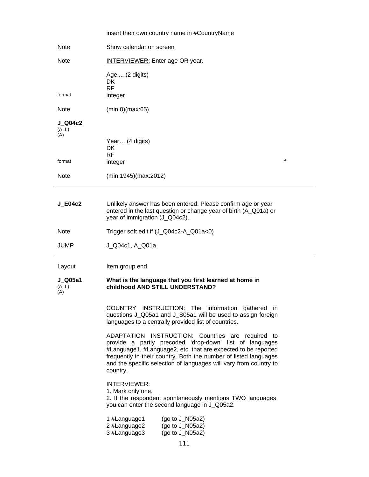|                         | insert their own country name in #CountryName                                                                                                                                                                                                                                                                                      |
|-------------------------|------------------------------------------------------------------------------------------------------------------------------------------------------------------------------------------------------------------------------------------------------------------------------------------------------------------------------------|
| <b>Note</b>             | Show calendar on screen                                                                                                                                                                                                                                                                                                            |
| <b>Note</b>             | <b>INTERVIEWER:</b> Enter age OR year.                                                                                                                                                                                                                                                                                             |
| format                  | Age (2 digits)<br><b>DK</b><br><b>RF</b><br>integer                                                                                                                                                                                                                                                                                |
| <b>Note</b>             | (min:0)(max:65)                                                                                                                                                                                                                                                                                                                    |
| J Q04c2<br>(ALL)<br>(A) |                                                                                                                                                                                                                                                                                                                                    |
|                         | Year(4 digits)<br>DK<br><b>RF</b>                                                                                                                                                                                                                                                                                                  |
| format                  | f<br>integer                                                                                                                                                                                                                                                                                                                       |
| <b>Note</b>             | (min:1945)(max:2012)                                                                                                                                                                                                                                                                                                               |
| $J_E04c2$               | Unlikely answer has been entered. Please confirm age or year<br>entered in the last question or change year of birth (A_Q01a) or<br>year of immigration (J_Q04c2).                                                                                                                                                                 |
| <b>Note</b>             | Trigger soft edit if (J_Q04c2-A_Q01a<0)                                                                                                                                                                                                                                                                                            |
| <b>JUMP</b>             | J_Q04c1, A_Q01a                                                                                                                                                                                                                                                                                                                    |
| Layout                  | Item group end                                                                                                                                                                                                                                                                                                                     |
| J_Q05a1<br>(ALL)<br>(A) | What is the language that you first learned at home in<br>childhood AND STILL UNDERSTAND?                                                                                                                                                                                                                                          |
|                         | COUNTRY INSTRUCTION: The information gathered in<br>questions J_Q05a1 and J_S05a1 will be used to assign foreign<br>languages to a centrally provided list of countries.                                                                                                                                                           |
|                         | ADAPTATION INSTRUCTION: Countries are required to<br>provide a partly precoded 'drop-down' list of languages<br>#Language1, #Language2, etc. that are expected to be reported<br>frequently in their country. Both the number of listed languages<br>and the specific selection of languages will vary from country to<br>country. |
|                         | INTERVIEWER:<br>1. Mark only one.<br>2. If the respondent spontaneously mentions TWO languages,<br>you can enter the second language in J_Q05a2.                                                                                                                                                                                   |
|                         | 1 #Language1<br>(go to $J_N05a2$ )<br>2 #Language2<br>(go to J_N05a2)<br>3 #Language3<br>(go to J_N05a2)                                                                                                                                                                                                                           |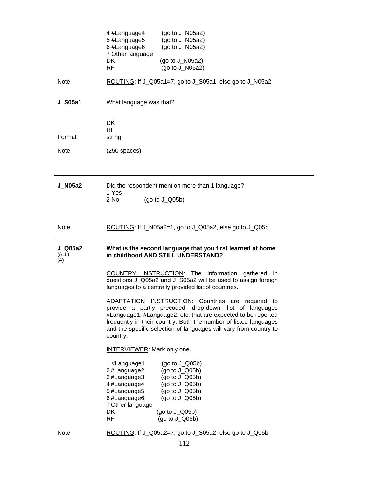|                         | 4 #Language4<br>(go to J_N05a2)<br>5 #Language5<br>(go to $J$ _N05a2)<br>6 #Language6<br>(go to J_N05a2)<br>7 Other language<br>DK<br>(go to $J$ _N05a2)<br><b>RF</b><br>(go to $J$ _N05a2)                                                                                                                                                                                                                                                                                                                    |
|-------------------------|----------------------------------------------------------------------------------------------------------------------------------------------------------------------------------------------------------------------------------------------------------------------------------------------------------------------------------------------------------------------------------------------------------------------------------------------------------------------------------------------------------------|
| <b>Note</b>             | ROUTING: If J_Q05a1=7, go to J_S05a1, else go to J_N05a2                                                                                                                                                                                                                                                                                                                                                                                                                                                       |
| <b>J_S05a1</b>          | What language was that?                                                                                                                                                                                                                                                                                                                                                                                                                                                                                        |
| Format                  | $\cdots$<br>DK<br><b>RF</b><br>string                                                                                                                                                                                                                                                                                                                                                                                                                                                                          |
| <b>Note</b>             | $(250$ spaces)                                                                                                                                                                                                                                                                                                                                                                                                                                                                                                 |
|                         |                                                                                                                                                                                                                                                                                                                                                                                                                                                                                                                |
| <b>J_N05a2</b>          | Did the respondent mention more than 1 language?<br>1 Yes<br>$2$ No<br>(go to $J_Q(05b)$                                                                                                                                                                                                                                                                                                                                                                                                                       |
| <b>Note</b>             | ROUTING: If J_N05a2=1, go to J_Q05a2, else go to J_Q05b                                                                                                                                                                                                                                                                                                                                                                                                                                                        |
|                         |                                                                                                                                                                                                                                                                                                                                                                                                                                                                                                                |
| J Q05a2<br>(ALL)<br>(A) | What is the second language that you first learned at home<br>in childhood AND STILL UNDERSTAND?                                                                                                                                                                                                                                                                                                                                                                                                               |
|                         | COUNTRY INSTRUCTION: The information gathered in<br>questions J_Q05a2 and J_S05a2 will be used to assign foreign<br>languages to a centrally provided list of countries.<br>ADAPTATION INSTRUCTION: Countries are required to<br>provide a partly precoded 'drop-down' list of languages<br>#Language1, #Language2, etc. that are expected to be reported<br>frequently in their country. Both the number of listed languages<br>and the specific selection of languages will vary from country to<br>country. |
|                         | <b>INTERVIEWER: Mark only one.</b>                                                                                                                                                                                                                                                                                                                                                                                                                                                                             |
|                         | 1 #Language1<br>(go to $J_Q(05b)$<br>2#Language2<br>(go to $J_Q(05b)$<br>3#Language3<br>(go to $J_Q(05b)$<br>4#Language4<br>(go to $J_Q(05b)$<br>5#Language5<br>(go to $J_Q(05b)$<br>6#Language6<br>(go to $J_Q(05b)$<br>7 Other language<br>DK<br>(go to $J_Q(05b)$<br><b>RF</b><br>(go to J_Q05b)                                                                                                                                                                                                            |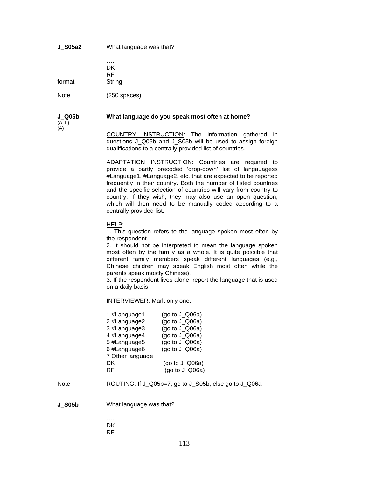**J\_S05a2** What language was that?

| format | DK.<br>RF<br>String |
|--------|---------------------|
| Note   | $(250$ spaces)      |

#### **J\_Q05b What language do you speak most often at home?**

(ALL) (A)

COUNTRY INSTRUCTION: The information gathered in questions J\_Q05b and J\_S05b will be used to assign foreign qualifications to a centrally provided list of countries.

ADAPTATION INSTRUCTION: Countries are required to provide a partly precoded 'drop-down' list of langauagess #Language1, #Language2, etc. that are expected to be reported frequently in their country. Both the number of listed countries and the specific selection of countries will vary from country to country. If they wish, they may also use an open question, which will then need to be manually coded according to a centrally provided list.

#### HELP:

1. This question refers to the language spoken most often by the respondent.

2. It should not be interpreted to mean the language spoken most often by the family as a whole. It is quite possible that different family members speak different languages (e.g., Chinese children may speak English most often while the parents speak mostly Chinese).

3. If the respondent lives alone, report the language that is used on a daily basis.

INTERVIEWER: Mark only one.

| 1 #Language1     | (go to $J_Q$ Q06a) |
|------------------|--------------------|
| 2 #Language2     | (go to J_Q06a)     |
| 3 #Language3     | (go to $J_Q$ Q06a) |
| 4 #Language4     | (go to $J_Q$ Q06a) |
| 5 #Language5     | (go to $J_Q$ Q06a) |
| 6 #Language6     | (go to $J_Q$ Q06a) |
| 7 Other language |                    |
| DK               | (go to $J_Q$ Q06a) |
| RF               | (go to $J_Q$ 06a)  |

Note ROUTING: If J\_Q05b=7, go to J\_S05b, else go to J\_Q06a

**J\_S05b** What language was that?

…. **DK** RF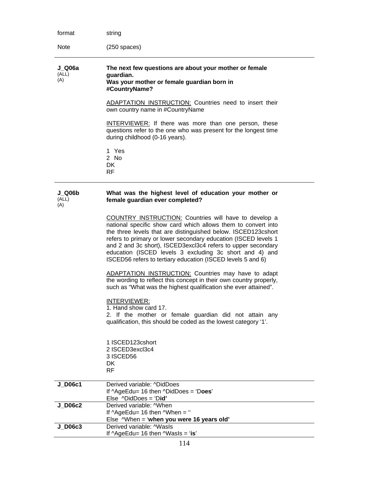| format                 | string                                                                                                                                                                                                                                                                                                                                                                                                                                              |
|------------------------|-----------------------------------------------------------------------------------------------------------------------------------------------------------------------------------------------------------------------------------------------------------------------------------------------------------------------------------------------------------------------------------------------------------------------------------------------------|
| <b>Note</b>            | $(250$ spaces)                                                                                                                                                                                                                                                                                                                                                                                                                                      |
| J Q06a<br>(ALL)<br>(A) | The next few questions are about your mother or female<br>guardian.<br>Was your mother or female guardian born in<br>#CountryName?<br><b>ADAPTATION INSTRUCTION:</b> Countries need to insert their<br>own country name in #CountryName                                                                                                                                                                                                             |
|                        | <b>INTERVIEWER:</b> If there was more than one person, these<br>questions refer to the one who was present for the longest time<br>during childhood (0-16 years).                                                                                                                                                                                                                                                                                   |
|                        | 1 Yes<br>2 No<br>DK.<br>RF.                                                                                                                                                                                                                                                                                                                                                                                                                         |
| J Q06b<br>(ALL)<br>(A) | What was the highest level of education your mother or<br>female guardian ever completed?                                                                                                                                                                                                                                                                                                                                                           |
|                        | COUNTRY INSTRUCTION: Countries will have to develop a<br>national specific show card which allows them to convert into<br>the three levels that are distinguished below. ISCED123cshort<br>refers to primary or lower secondary education (ISCED levels 1<br>and 2 and 3c short), ISCED3excl3c4 refers to upper secondary<br>education (ISCED levels 3 excluding 3c short and 4) and<br>ISCED56 refers to tertiary education (ISCED levels 5 and 6) |
|                        | <b>ADAPTATION INSTRUCTION:</b> Countries may have to adapt<br>the wording to reflect this concept in their own country properly,<br>such as "What was the highest qualification she ever attained".                                                                                                                                                                                                                                                 |
|                        | INTERVIEWER:<br>1. Hand show card 17.<br>2. If the mother or female guardian did not attain any<br>qualification, this should be coded as the lowest category '1'.                                                                                                                                                                                                                                                                                  |
|                        | 1 ISCED123cshort<br>2 ISCED3excl3c4<br>3 ISCED56<br>DK.<br><b>RF</b>                                                                                                                                                                                                                                                                                                                                                                                |
| <b>J_D06c1</b>         | Derived variable: ^DidDoes<br>If $\triangle$ AgeEdu= 16 then $\triangle$ DidDoes = 'Does'<br>Else $\triangle$ DidDoes = 'Did'                                                                                                                                                                                                                                                                                                                       |
| <b>J_D06c2</b>         | Derived variable: ^When<br>If $\triangle$ AgeEdu= 16 then $\triangle$ When = "<br>Else ^When = 'when you were 16 years old'                                                                                                                                                                                                                                                                                                                         |
| J D06c3                | Derived variable: ^WasIs<br>If $\triangle$ AgeEdu= 16 then $\triangle$ WasIs = 'is'                                                                                                                                                                                                                                                                                                                                                                 |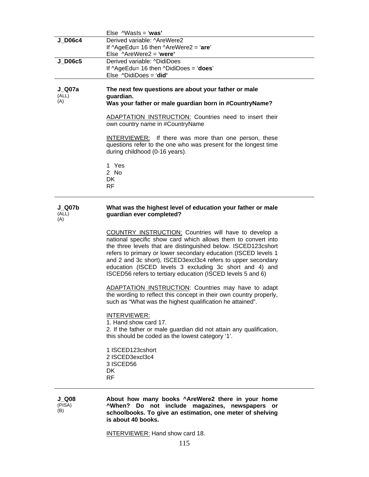|                               | Else $\wedge$ Wasls = 'was'                                                                                                                                                                                                                                                                                                                                                                                                                         |
|-------------------------------|-----------------------------------------------------------------------------------------------------------------------------------------------------------------------------------------------------------------------------------------------------------------------------------------------------------------------------------------------------------------------------------------------------------------------------------------------------|
| <b>J_D06c4</b>                | Derived variable: ^AreWere2                                                                                                                                                                                                                                                                                                                                                                                                                         |
|                               | If $\triangle$ AgeEdu= 16 then $\triangle$ AreWere2 = 'are'<br>Else $\triangle$ AreWere2 = 'were'                                                                                                                                                                                                                                                                                                                                                   |
| <b>J_D06c5</b>                | Derived variable: ^DidiDoes                                                                                                                                                                                                                                                                                                                                                                                                                         |
|                               | If $\triangle$ AgeEdu= 16 then $\triangle$ DidiDoes = 'does'                                                                                                                                                                                                                                                                                                                                                                                        |
|                               | Else $\triangle$ DidiDoes = 'did'                                                                                                                                                                                                                                                                                                                                                                                                                   |
| <b>J_Q07a</b><br>(ALL)<br>(A) | The next few questions are about your father or male<br>guardian.<br>Was your father or male guardian born in #CountryName?<br>ADAPTATION INSTRUCTION: Countries need to insert their                                                                                                                                                                                                                                                               |
|                               | own country name in #CountryName<br><b>INTERVIEWER:</b> If there was more than one person, these<br>questions refer to the one who was present for the longest time<br>during childhood (0-16 years).                                                                                                                                                                                                                                               |
|                               | 1 Yes<br>2 No<br>DK.<br>RF                                                                                                                                                                                                                                                                                                                                                                                                                          |
| J Q07b<br>(ALL)<br>(A)        | What was the highest level of education your father or male<br>guardian ever completed?                                                                                                                                                                                                                                                                                                                                                             |
|                               | COUNTRY INSTRUCTION: Countries will have to develop a<br>national specific show card which allows them to convert into<br>the three levels that are distinguished below. ISCED123cshort<br>refers to primary or lower secondary education (ISCED levels 1<br>and 2 and 3c short), ISCED3excl3c4 refers to upper secondary<br>education (ISCED levels 3 excluding 3c short and 4) and<br>ISCED56 refers to tertiary education (ISCED levels 5 and 6) |
|                               | <b>ADAPTATION INSTRUCTION: Countries may have to adapt</b><br>the wording to reflect this concept in their own country properly,<br>such as "What was the highest qualification he attained".                                                                                                                                                                                                                                                       |
|                               | INTERVIEWER:<br>1. Hand show card 17.<br>2. If the father or male guardian did not attain any qualification,<br>this should be coded as the lowest category '1'.                                                                                                                                                                                                                                                                                    |
|                               | 1 ISCED123cshort<br>2 ISCED3excl3c4<br>3 ISCED56<br>DK.<br>RF                                                                                                                                                                                                                                                                                                                                                                                       |
| J Q08<br>(PISA)<br>(B)        | About how many books ^AreWere2 there in your home<br>"When? Do not include magazines, newspapers or<br>schoolbooks. To give an estimation, one meter of shelving<br>is about 40 books.                                                                                                                                                                                                                                                              |

INTERVIEWER: Hand show card 18.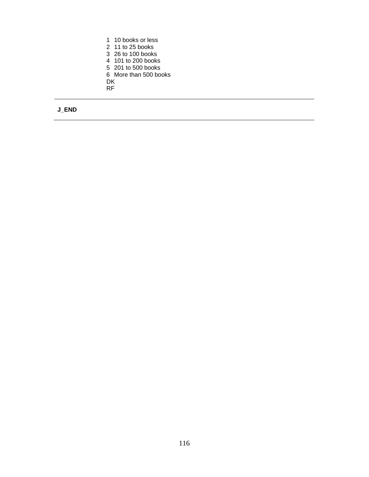1 10 books or less 2 11 to 25 books 3 26 to 100 books 4 101 to 200 books 5 201 to 500 books 6 More than 500 books DK RF

## **J\_END**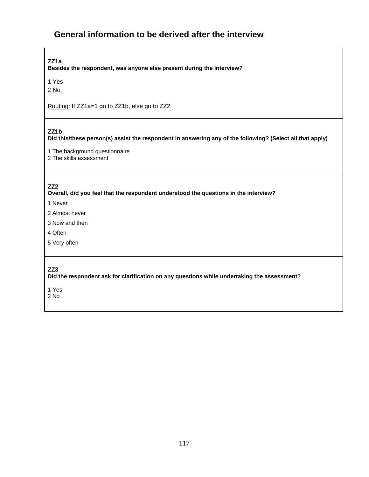# **General information to be derived after the interview**

**ZZ1a** 

**Besides the respondent, was anyone else present during the interview?** 

1 Yes

2 No

Routing: If ZZ1a=1 go to ZZ1b, else go to ZZ2

### **ZZ1b**

**Did this/these person(s) assist the respondent in answering any of the following? (Select all that apply)** 

1 The background questionnaire

2 The skills assessment

### **ZZ2**

**Overall, did you feel that the respondent understood the questions in the interview?** 

1 Never

- 2 Almost never
- 3 Now and then
- 4 Often
- 5 Very often

#### **ZZ3**

**Did the respondent ask for clarification on any questions while undertaking the assessment?** 

1 Yes

2 No